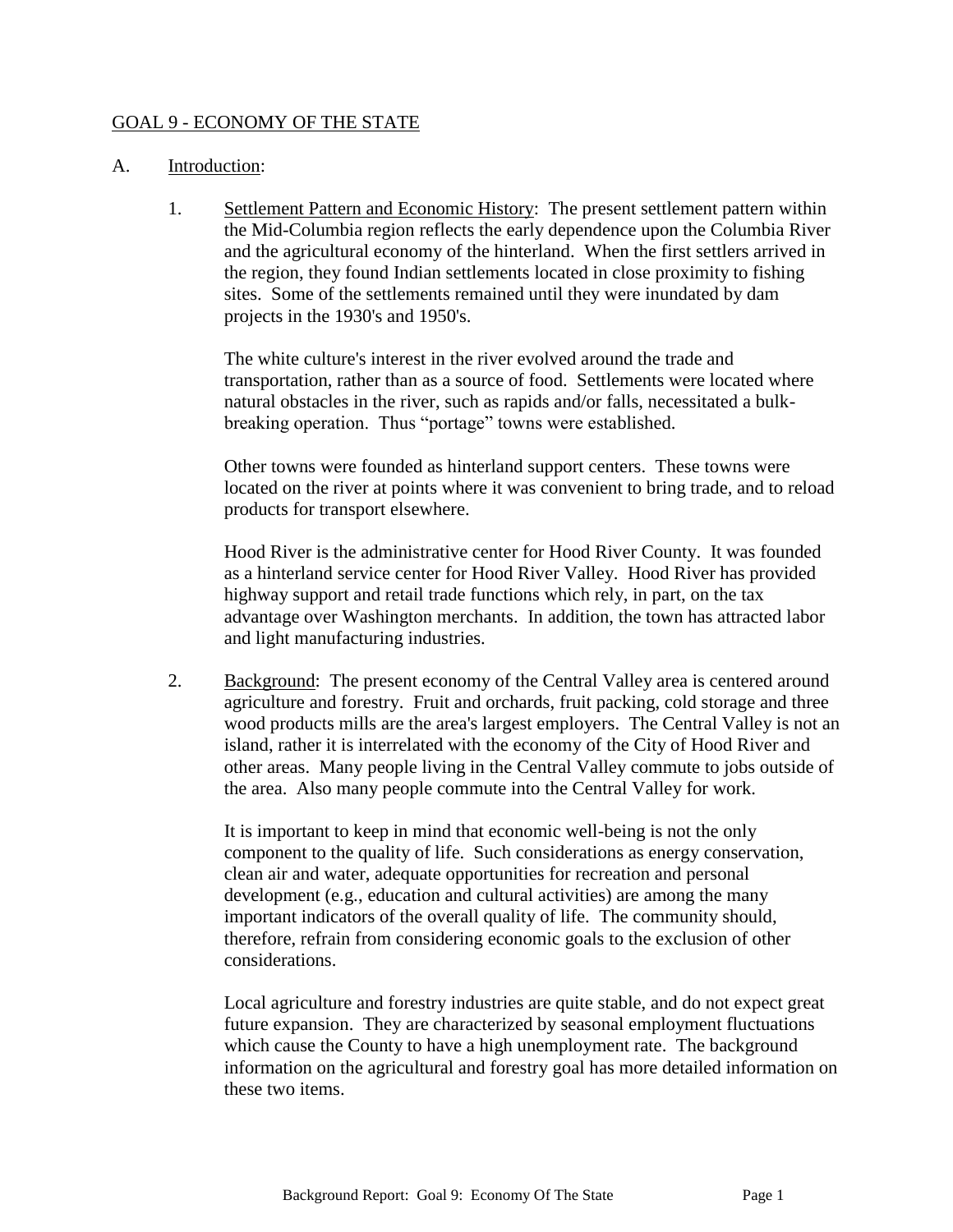#### GOAL 9 - ECONOMY OF THE STATE

#### A. Introduction:

1. Settlement Pattern and Economic History: The present settlement pattern within the Mid-Columbia region reflects the early dependence upon the Columbia River and the agricultural economy of the hinterland. When the first settlers arrived in the region, they found Indian settlements located in close proximity to fishing sites. Some of the settlements remained until they were inundated by dam projects in the 1930's and 1950's.

The white culture's interest in the river evolved around the trade and transportation, rather than as a source of food. Settlements were located where natural obstacles in the river, such as rapids and/or falls, necessitated a bulkbreaking operation. Thus "portage" towns were established.

Other towns were founded as hinterland support centers. These towns were located on the river at points where it was convenient to bring trade, and to reload products for transport elsewhere.

Hood River is the administrative center for Hood River County. It was founded as a hinterland service center for Hood River Valley. Hood River has provided highway support and retail trade functions which rely, in part, on the tax advantage over Washington merchants. In addition, the town has attracted labor and light manufacturing industries.

2. Background: The present economy of the Central Valley area is centered around agriculture and forestry. Fruit and orchards, fruit packing, cold storage and three wood products mills are the area's largest employers. The Central Valley is not an island, rather it is interrelated with the economy of the City of Hood River and other areas. Many people living in the Central Valley commute to jobs outside of the area. Also many people commute into the Central Valley for work.

It is important to keep in mind that economic well-being is not the only component to the quality of life. Such considerations as energy conservation, clean air and water, adequate opportunities for recreation and personal development (e.g., education and cultural activities) are among the many important indicators of the overall quality of life. The community should, therefore, refrain from considering economic goals to the exclusion of other considerations.

Local agriculture and forestry industries are quite stable, and do not expect great future expansion. They are characterized by seasonal employment fluctuations which cause the County to have a high unemployment rate. The background information on the agricultural and forestry goal has more detailed information on these two items.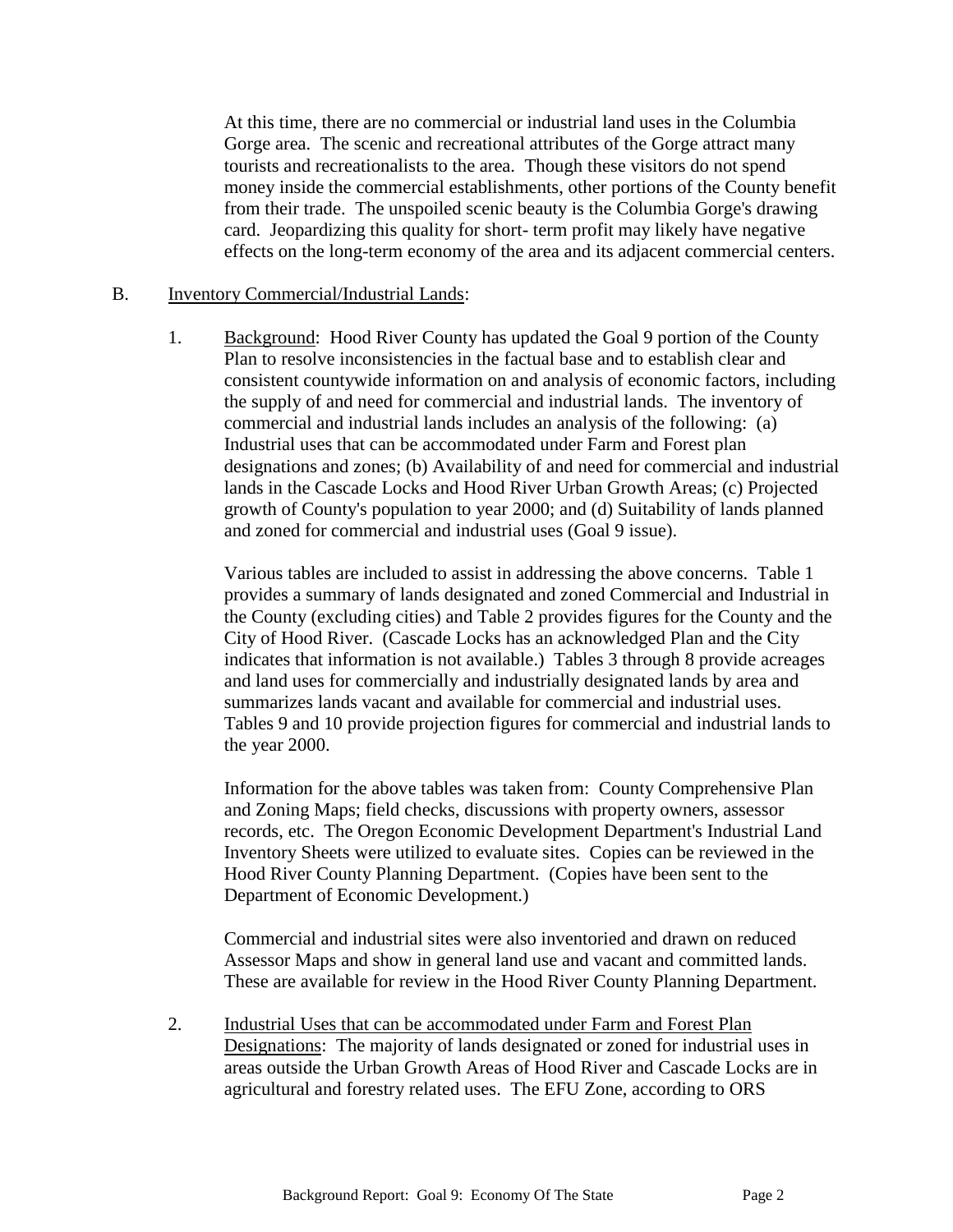At this time, there are no commercial or industrial land uses in the Columbia Gorge area. The scenic and recreational attributes of the Gorge attract many tourists and recreationalists to the area. Though these visitors do not spend money inside the commercial establishments, other portions of the County benefit from their trade. The unspoiled scenic beauty is the Columbia Gorge's drawing card. Jeopardizing this quality for short- term profit may likely have negative effects on the long-term economy of the area and its adjacent commercial centers.

#### B. Inventory Commercial/Industrial Lands:

1. Background: Hood River County has updated the Goal 9 portion of the County Plan to resolve inconsistencies in the factual base and to establish clear and consistent countywide information on and analysis of economic factors, including the supply of and need for commercial and industrial lands. The inventory of commercial and industrial lands includes an analysis of the following: (a) Industrial uses that can be accommodated under Farm and Forest plan designations and zones; (b) Availability of and need for commercial and industrial lands in the Cascade Locks and Hood River Urban Growth Areas; (c) Projected growth of County's population to year 2000; and (d) Suitability of lands planned and zoned for commercial and industrial uses (Goal 9 issue).

Various tables are included to assist in addressing the above concerns. Table 1 provides a summary of lands designated and zoned Commercial and Industrial in the County (excluding cities) and Table 2 provides figures for the County and the City of Hood River. (Cascade Locks has an acknowledged Plan and the City indicates that information is not available.) Tables 3 through 8 provide acreages and land uses for commercially and industrially designated lands by area and summarizes lands vacant and available for commercial and industrial uses. Tables 9 and 10 provide projection figures for commercial and industrial lands to the year 2000.

Information for the above tables was taken from: County Comprehensive Plan and Zoning Maps; field checks, discussions with property owners, assessor records, etc. The Oregon Economic Development Department's Industrial Land Inventory Sheets were utilized to evaluate sites. Copies can be reviewed in the Hood River County Planning Department. (Copies have been sent to the Department of Economic Development.)

Commercial and industrial sites were also inventoried and drawn on reduced Assessor Maps and show in general land use and vacant and committed lands. These are available for review in the Hood River County Planning Department.

2. Industrial Uses that can be accommodated under Farm and Forest Plan Designations: The majority of lands designated or zoned for industrial uses in areas outside the Urban Growth Areas of Hood River and Cascade Locks are in agricultural and forestry related uses. The EFU Zone, according to ORS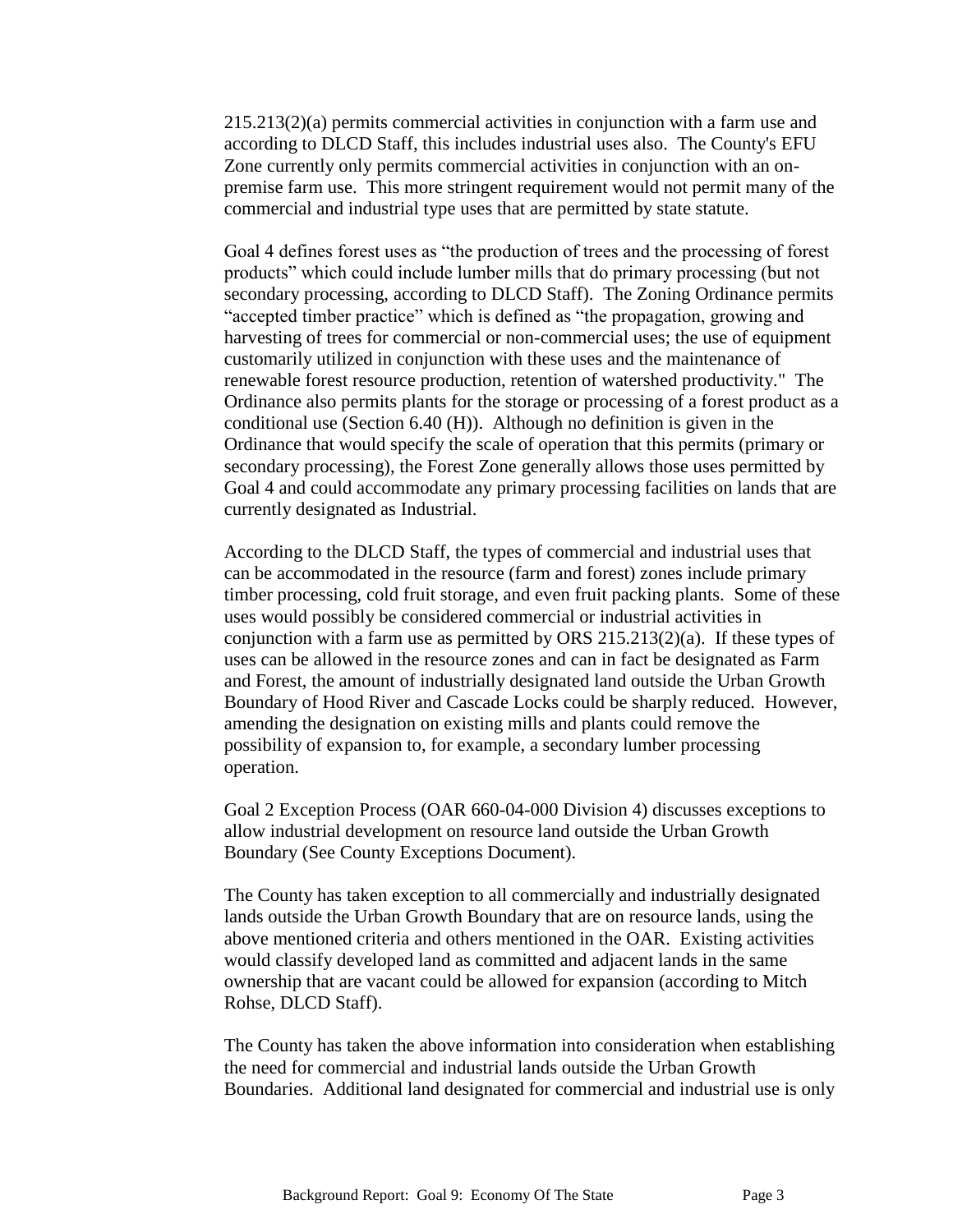215.213(2)(a) permits commercial activities in conjunction with a farm use and according to DLCD Staff, this includes industrial uses also. The County's EFU Zone currently only permits commercial activities in conjunction with an onpremise farm use. This more stringent requirement would not permit many of the commercial and industrial type uses that are permitted by state statute.

Goal 4 defines forest uses as "the production of trees and the processing of forest products" which could include lumber mills that do primary processing (but not secondary processing, according to DLCD Staff). The Zoning Ordinance permits "accepted timber practice" which is defined as "the propagation, growing and harvesting of trees for commercial or non-commercial uses; the use of equipment customarily utilized in conjunction with these uses and the maintenance of renewable forest resource production, retention of watershed productivity." The Ordinance also permits plants for the storage or processing of a forest product as a conditional use (Section 6.40 (H)). Although no definition is given in the Ordinance that would specify the scale of operation that this permits (primary or secondary processing), the Forest Zone generally allows those uses permitted by Goal 4 and could accommodate any primary processing facilities on lands that are currently designated as Industrial.

According to the DLCD Staff, the types of commercial and industrial uses that can be accommodated in the resource (farm and forest) zones include primary timber processing, cold fruit storage, and even fruit packing plants. Some of these uses would possibly be considered commercial or industrial activities in conjunction with a farm use as permitted by ORS 215.213(2)(a). If these types of uses can be allowed in the resource zones and can in fact be designated as Farm and Forest, the amount of industrially designated land outside the Urban Growth Boundary of Hood River and Cascade Locks could be sharply reduced. However, amending the designation on existing mills and plants could remove the possibility of expansion to, for example, a secondary lumber processing operation.

Goal 2 Exception Process (OAR 660-04-000 Division 4) discusses exceptions to allow industrial development on resource land outside the Urban Growth Boundary (See County Exceptions Document).

The County has taken exception to all commercially and industrially designated lands outside the Urban Growth Boundary that are on resource lands, using the above mentioned criteria and others mentioned in the OAR. Existing activities would classify developed land as committed and adjacent lands in the same ownership that are vacant could be allowed for expansion (according to Mitch Rohse, DLCD Staff).

The County has taken the above information into consideration when establishing the need for commercial and industrial lands outside the Urban Growth Boundaries. Additional land designated for commercial and industrial use is only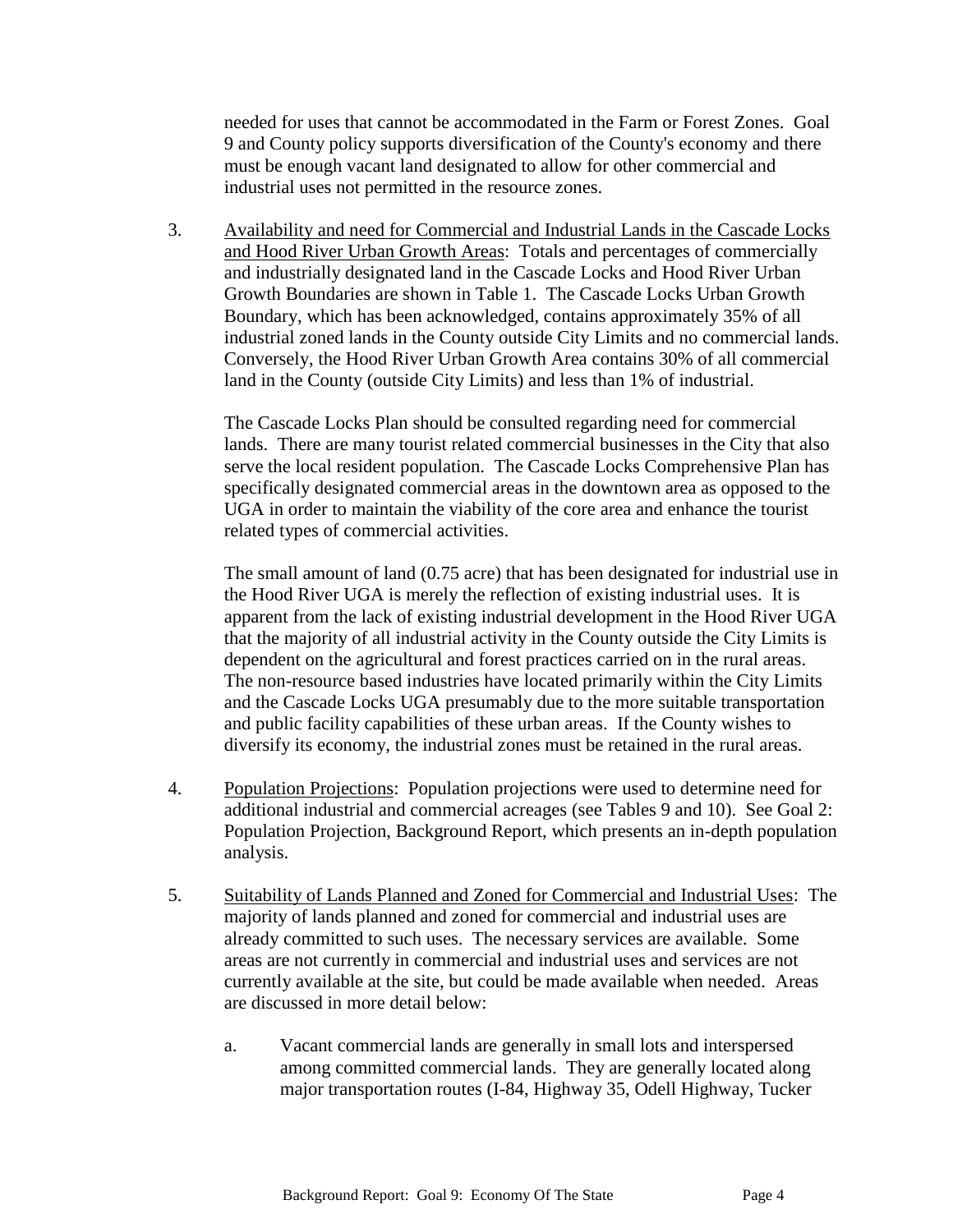needed for uses that cannot be accommodated in the Farm or Forest Zones. Goal 9 and County policy supports diversification of the County's economy and there must be enough vacant land designated to allow for other commercial and industrial uses not permitted in the resource zones.

3. Availability and need for Commercial and Industrial Lands in the Cascade Locks and Hood River Urban Growth Areas: Totals and percentages of commercially and industrially designated land in the Cascade Locks and Hood River Urban Growth Boundaries are shown in Table 1. The Cascade Locks Urban Growth Boundary, which has been acknowledged, contains approximately 35% of all industrial zoned lands in the County outside City Limits and no commercial lands. Conversely, the Hood River Urban Growth Area contains 30% of all commercial land in the County (outside City Limits) and less than 1% of industrial.

The Cascade Locks Plan should be consulted regarding need for commercial lands. There are many tourist related commercial businesses in the City that also serve the local resident population. The Cascade Locks Comprehensive Plan has specifically designated commercial areas in the downtown area as opposed to the UGA in order to maintain the viability of the core area and enhance the tourist related types of commercial activities.

The small amount of land (0.75 acre) that has been designated for industrial use in the Hood River UGA is merely the reflection of existing industrial uses. It is apparent from the lack of existing industrial development in the Hood River UGA that the majority of all industrial activity in the County outside the City Limits is dependent on the agricultural and forest practices carried on in the rural areas. The non-resource based industries have located primarily within the City Limits and the Cascade Locks UGA presumably due to the more suitable transportation and public facility capabilities of these urban areas. If the County wishes to diversify its economy, the industrial zones must be retained in the rural areas.

- 4. Population Projections: Population projections were used to determine need for additional industrial and commercial acreages (see Tables 9 and 10). See Goal 2: Population Projection, Background Report, which presents an in-depth population analysis.
- 5. Suitability of Lands Planned and Zoned for Commercial and Industrial Uses: The majority of lands planned and zoned for commercial and industrial uses are already committed to such uses. The necessary services are available. Some areas are not currently in commercial and industrial uses and services are not currently available at the site, but could be made available when needed. Areas are discussed in more detail below:
	- a. Vacant commercial lands are generally in small lots and interspersed among committed commercial lands. They are generally located along major transportation routes (I-84, Highway 35, Odell Highway, Tucker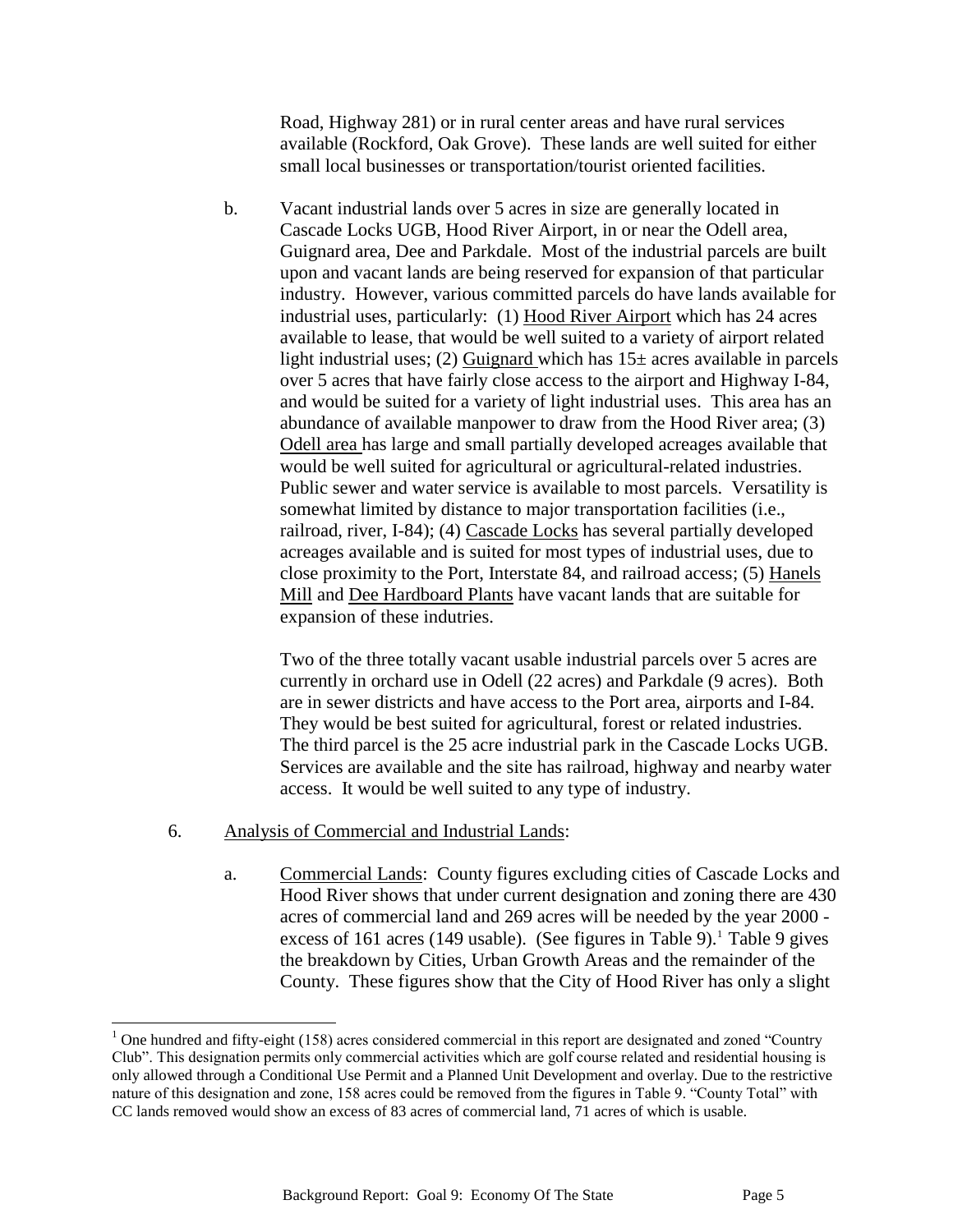Road, Highway 281) or in rural center areas and have rural services available (Rockford, Oak Grove). These lands are well suited for either small local businesses or transportation/tourist oriented facilities.

b. Vacant industrial lands over 5 acres in size are generally located in Cascade Locks UGB, Hood River Airport, in or near the Odell area, Guignard area, Dee and Parkdale. Most of the industrial parcels are built upon and vacant lands are being reserved for expansion of that particular industry. However, various committed parcels do have lands available for industrial uses, particularly: (1) Hood River Airport which has 24 acres available to lease, that would be well suited to a variety of airport related light industrial uses; (2) Guignard which has  $15\pm$  acres available in parcels over 5 acres that have fairly close access to the airport and Highway I-84, and would be suited for a variety of light industrial uses. This area has an abundance of available manpower to draw from the Hood River area; (3) Odell area has large and small partially developed acreages available that would be well suited for agricultural or agricultural-related industries. Public sewer and water service is available to most parcels. Versatility is somewhat limited by distance to major transportation facilities (i.e., railroad, river, I-84); (4) Cascade Locks has several partially developed acreages available and is suited for most types of industrial uses, due to close proximity to the Port, Interstate 84, and railroad access; (5) Hanels Mill and Dee Hardboard Plants have vacant lands that are suitable for expansion of these indutries.

Two of the three totally vacant usable industrial parcels over 5 acres are currently in orchard use in Odell (22 acres) and Parkdale (9 acres). Both are in sewer districts and have access to the Port area, airports and I-84. They would be best suited for agricultural, forest or related industries. The third parcel is the 25 acre industrial park in the Cascade Locks UGB. Services are available and the site has railroad, highway and nearby water access. It would be well suited to any type of industry.

6. Analysis of Commercial and Industrial Lands:

 $\overline{a}$ 

a. Commercial Lands: County figures excluding cities of Cascade Locks and Hood River shows that under current designation and zoning there are 430 acres of commercial land and 269 acres will be needed by the year 2000 excess of 161 acres (149 usable). (See figures in Table 9).<sup>1</sup> Table 9 gives the breakdown by Cities, Urban Growth Areas and the remainder of the County. These figures show that the City of Hood River has only a slight

 $1$  One hundred and fifty-eight (158) acres considered commercial in this report are designated and zoned "Country" Club". This designation permits only commercial activities which are golf course related and residential housing is only allowed through a Conditional Use Permit and a Planned Unit Development and overlay. Due to the restrictive nature of this designation and zone, 158 acres could be removed from the figures in Table 9. "County Total" with CC lands removed would show an excess of 83 acres of commercial land, 71 acres of which is usable.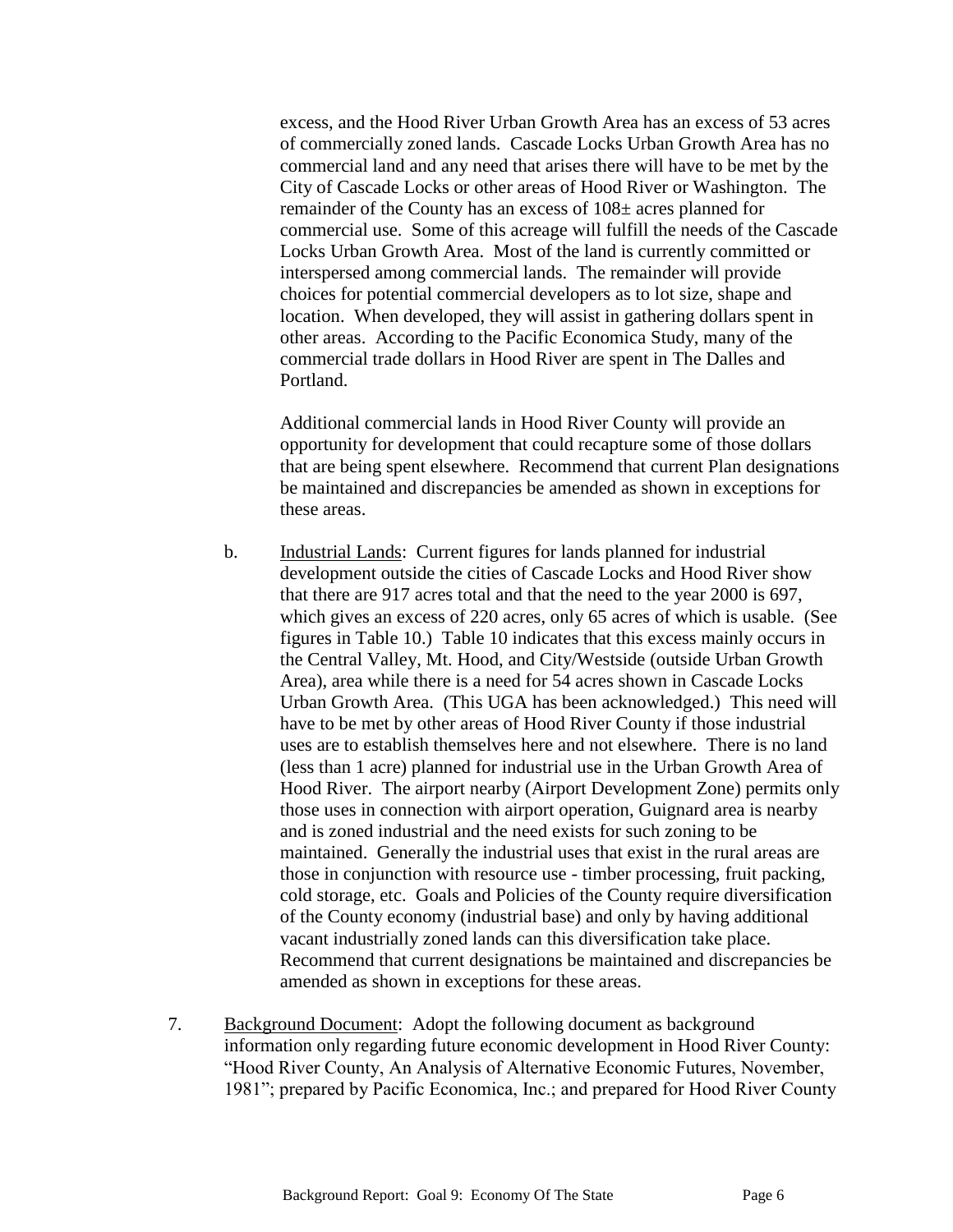excess, and the Hood River Urban Growth Area has an excess of 53 acres of commercially zoned lands. Cascade Locks Urban Growth Area has no commercial land and any need that arises there will have to be met by the City of Cascade Locks or other areas of Hood River or Washington. The remainder of the County has an excess of 108± acres planned for commercial use. Some of this acreage will fulfill the needs of the Cascade Locks Urban Growth Area. Most of the land is currently committed or interspersed among commercial lands. The remainder will provide choices for potential commercial developers as to lot size, shape and location. When developed, they will assist in gathering dollars spent in other areas. According to the Pacific Economica Study, many of the commercial trade dollars in Hood River are spent in The Dalles and Portland.

Additional commercial lands in Hood River County will provide an opportunity for development that could recapture some of those dollars that are being spent elsewhere. Recommend that current Plan designations be maintained and discrepancies be amended as shown in exceptions for these areas.

- b. Industrial Lands: Current figures for lands planned for industrial development outside the cities of Cascade Locks and Hood River show that there are 917 acres total and that the need to the year 2000 is 697, which gives an excess of 220 acres, only 65 acres of which is usable. (See figures in Table 10.) Table 10 indicates that this excess mainly occurs in the Central Valley, Mt. Hood, and City/Westside (outside Urban Growth Area), area while there is a need for 54 acres shown in Cascade Locks Urban Growth Area. (This UGA has been acknowledged.) This need will have to be met by other areas of Hood River County if those industrial uses are to establish themselves here and not elsewhere. There is no land (less than 1 acre) planned for industrial use in the Urban Growth Area of Hood River. The airport nearby (Airport Development Zone) permits only those uses in connection with airport operation, Guignard area is nearby and is zoned industrial and the need exists for such zoning to be maintained. Generally the industrial uses that exist in the rural areas are those in conjunction with resource use - timber processing, fruit packing, cold storage, etc. Goals and Policies of the County require diversification of the County economy (industrial base) and only by having additional vacant industrially zoned lands can this diversification take place. Recommend that current designations be maintained and discrepancies be amended as shown in exceptions for these areas.
- 7. Background Document: Adopt the following document as background information only regarding future economic development in Hood River County: "Hood River County, An Analysis of Alternative Economic Futures, November, 1981"; prepared by Pacific Economica, Inc.; and prepared for Hood River County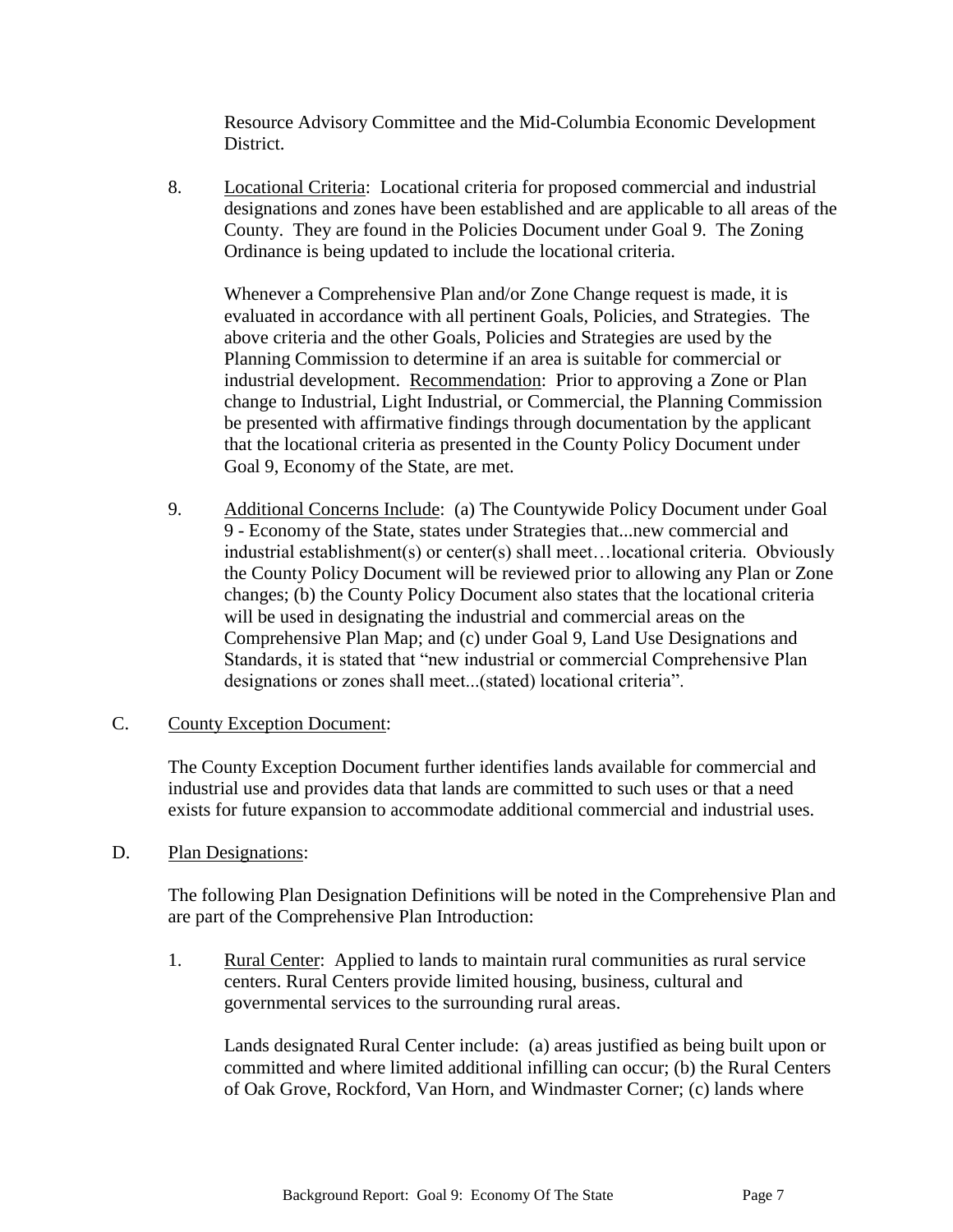Resource Advisory Committee and the Mid-Columbia Economic Development District.

8. Locational Criteria: Locational criteria for proposed commercial and industrial designations and zones have been established and are applicable to all areas of the County. They are found in the Policies Document under Goal 9. The Zoning Ordinance is being updated to include the locational criteria.

Whenever a Comprehensive Plan and/or Zone Change request is made, it is evaluated in accordance with all pertinent Goals, Policies, and Strategies. The above criteria and the other Goals, Policies and Strategies are used by the Planning Commission to determine if an area is suitable for commercial or industrial development. Recommendation: Prior to approving a Zone or Plan change to Industrial, Light Industrial, or Commercial, the Planning Commission be presented with affirmative findings through documentation by the applicant that the locational criteria as presented in the County Policy Document under Goal 9, Economy of the State, are met.

9. Additional Concerns Include: (a) The Countywide Policy Document under Goal 9 - Economy of the State, states under Strategies that...new commercial and industrial establishment(s) or center(s) shall meet…locational criteria. Obviously the County Policy Document will be reviewed prior to allowing any Plan or Zone changes; (b) the County Policy Document also states that the locational criteria will be used in designating the industrial and commercial areas on the Comprehensive Plan Map; and (c) under Goal 9, Land Use Designations and Standards, it is stated that "new industrial or commercial Comprehensive Plan designations or zones shall meet...(stated) locational criteria".

## C. County Exception Document:

The County Exception Document further identifies lands available for commercial and industrial use and provides data that lands are committed to such uses or that a need exists for future expansion to accommodate additional commercial and industrial uses.

D. Plan Designations:

The following Plan Designation Definitions will be noted in the Comprehensive Plan and are part of the Comprehensive Plan Introduction:

1. Rural Center: Applied to lands to maintain rural communities as rural service centers. Rural Centers provide limited housing, business, cultural and governmental services to the surrounding rural areas.

Lands designated Rural Center include: (a) areas justified as being built upon or committed and where limited additional infilling can occur; (b) the Rural Centers of Oak Grove, Rockford, Van Horn, and Windmaster Corner; (c) lands where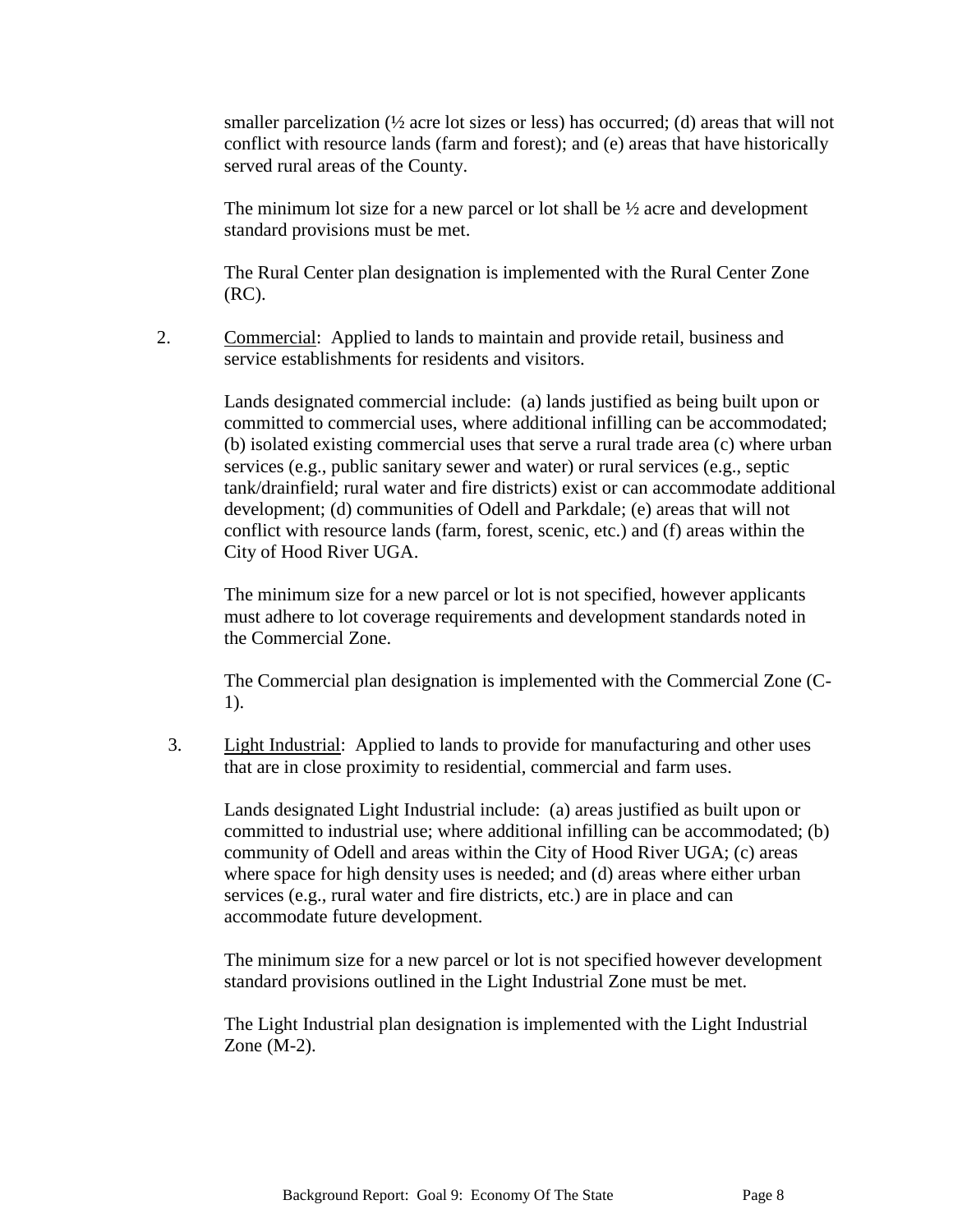smaller parcelization  $\frac{1}{2}$  acre lot sizes or less) has occurred; (d) areas that will not conflict with resource lands (farm and forest); and (e) areas that have historically served rural areas of the County.

The minimum lot size for a new parcel or lot shall be  $\frac{1}{2}$  acre and development standard provisions must be met.

The Rural Center plan designation is implemented with the Rural Center Zone (RC).

2. Commercial: Applied to lands to maintain and provide retail, business and service establishments for residents and visitors.

> Lands designated commercial include: (a) lands justified as being built upon or committed to commercial uses, where additional infilling can be accommodated; (b) isolated existing commercial uses that serve a rural trade area (c) where urban services (e.g., public sanitary sewer and water) or rural services (e.g., septic tank/drainfield; rural water and fire districts) exist or can accommodate additional development; (d) communities of Odell and Parkdale; (e) areas that will not conflict with resource lands (farm, forest, scenic, etc.) and (f) areas within the City of Hood River UGA.

The minimum size for a new parcel or lot is not specified, however applicants must adhere to lot coverage requirements and development standards noted in the Commercial Zone.

The Commercial plan designation is implemented with the Commercial Zone (C-1).

3. Light Industrial: Applied to lands to provide for manufacturing and other uses that are in close proximity to residential, commercial and farm uses.

Lands designated Light Industrial include: (a) areas justified as built upon or committed to industrial use; where additional infilling can be accommodated; (b) community of Odell and areas within the City of Hood River UGA; (c) areas where space for high density uses is needed; and (d) areas where either urban services (e.g., rural water and fire districts, etc.) are in place and can accommodate future development.

The minimum size for a new parcel or lot is not specified however development standard provisions outlined in the Light Industrial Zone must be met.

The Light Industrial plan designation is implemented with the Light Industrial Zone (M-2).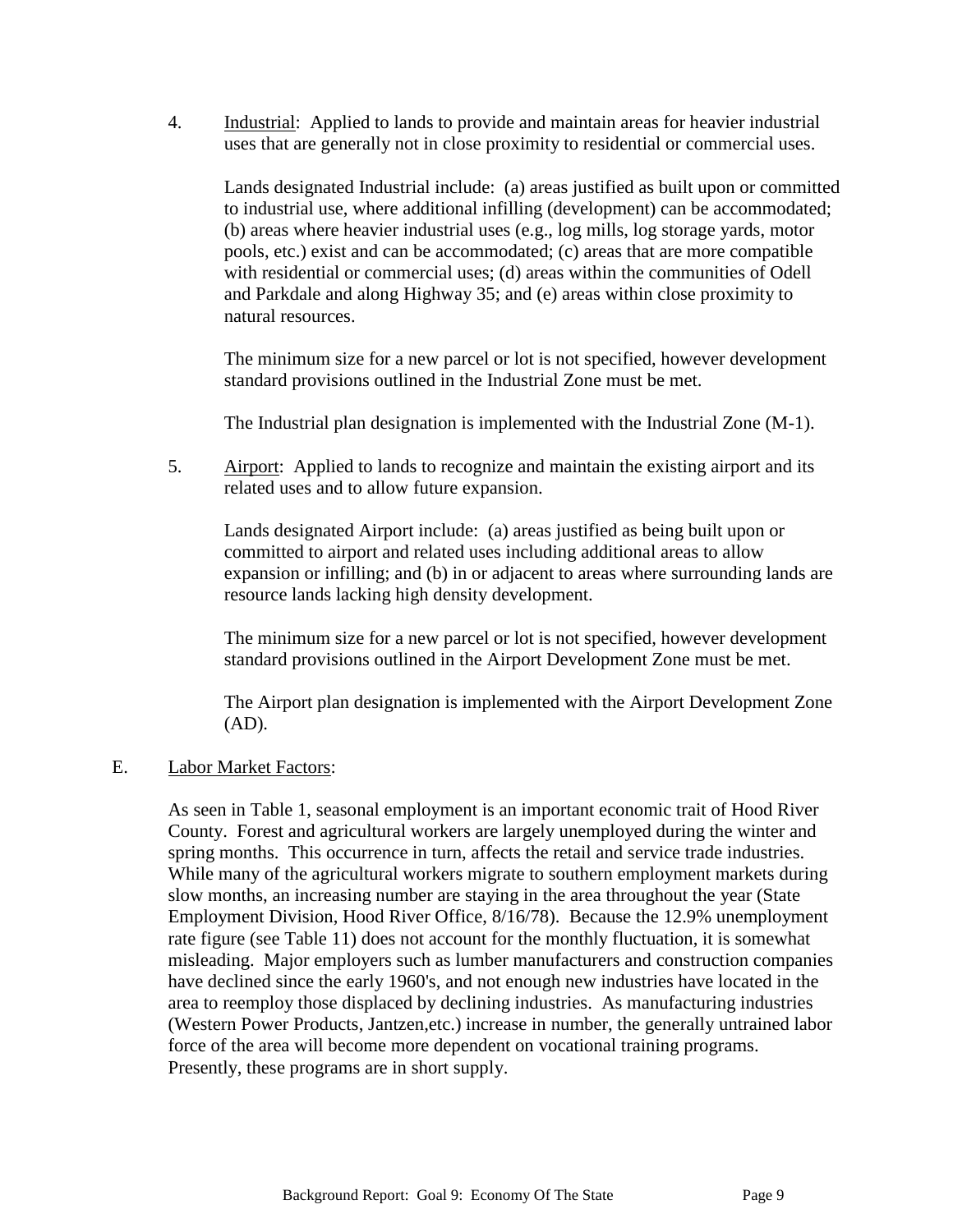4. Industrial: Applied to lands to provide and maintain areas for heavier industrial uses that are generally not in close proximity to residential or commercial uses.

Lands designated Industrial include: (a) areas justified as built upon or committed to industrial use, where additional infilling (development) can be accommodated; (b) areas where heavier industrial uses (e.g., log mills, log storage yards, motor pools, etc.) exist and can be accommodated; (c) areas that are more compatible with residential or commercial uses; (d) areas within the communities of Odell and Parkdale and along Highway 35; and (e) areas within close proximity to natural resources.

The minimum size for a new parcel or lot is not specified, however development standard provisions outlined in the Industrial Zone must be met.

The Industrial plan designation is implemented with the Industrial Zone (M-1).

5. Airport: Applied to lands to recognize and maintain the existing airport and its related uses and to allow future expansion.

Lands designated Airport include: (a) areas justified as being built upon or committed to airport and related uses including additional areas to allow expansion or infilling; and (b) in or adjacent to areas where surrounding lands are resource lands lacking high density development.

The minimum size for a new parcel or lot is not specified, however development standard provisions outlined in the Airport Development Zone must be met.

The Airport plan designation is implemented with the Airport Development Zone (AD).

## E. Labor Market Factors:

As seen in Table 1, seasonal employment is an important economic trait of Hood River County. Forest and agricultural workers are largely unemployed during the winter and spring months. This occurrence in turn, affects the retail and service trade industries. While many of the agricultural workers migrate to southern employment markets during slow months, an increasing number are staying in the area throughout the year (State Employment Division, Hood River Office, 8/16/78). Because the 12.9% unemployment rate figure (see Table 11) does not account for the monthly fluctuation, it is somewhat misleading. Major employers such as lumber manufacturers and construction companies have declined since the early 1960's, and not enough new industries have located in the area to reemploy those displaced by declining industries. As manufacturing industries (Western Power Products, Jantzen,etc.) increase in number, the generally untrained labor force of the area will become more dependent on vocational training programs. Presently, these programs are in short supply.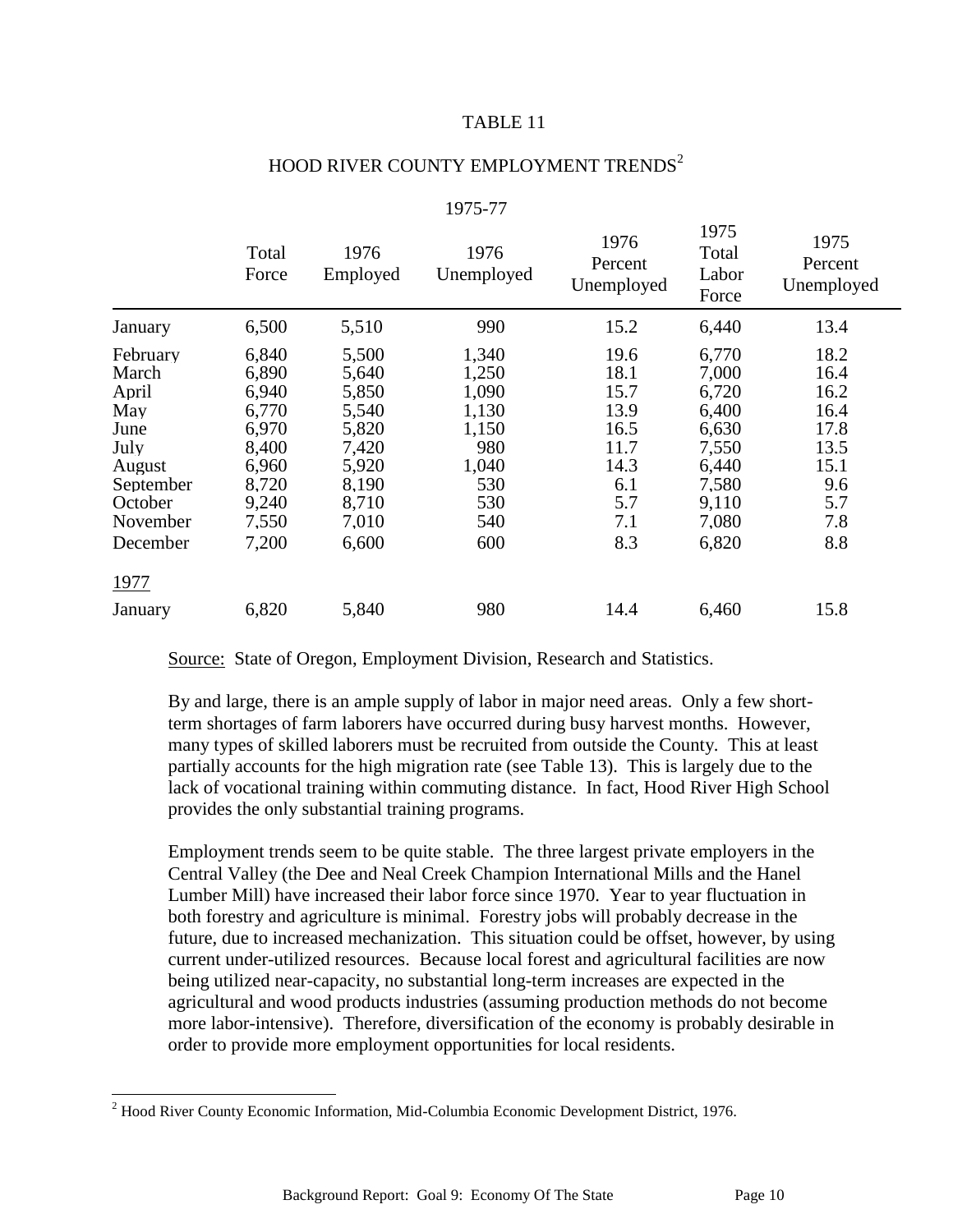#### TABLE 11

 $1075$ 

| HOOD RIVER COUNTY EMPLOYMENT TRENDS <sup>2</sup> |  |  |
|--------------------------------------------------|--|--|
|                                                  |  |  |

| Total<br>Force                                                                                  | 1976<br>Employed                                                                                | 1976<br>Unemployed                                                                    | 1976<br>Percent<br>Unemployed                                                    | 171J<br>Total<br>Labor<br>Force                                                                 | 1975<br>Percent<br>Unemployed                                                    |
|-------------------------------------------------------------------------------------------------|-------------------------------------------------------------------------------------------------|---------------------------------------------------------------------------------------|----------------------------------------------------------------------------------|-------------------------------------------------------------------------------------------------|----------------------------------------------------------------------------------|
| 6,500                                                                                           | 5,510                                                                                           | 990                                                                                   | 15.2                                                                             | 6,440                                                                                           | 13.4                                                                             |
| 6,840<br>6,890<br>6,940<br>6,770<br>6,970<br>8,400<br>6,960<br>8,720<br>9,240<br>7,550<br>7,200 | 5,500<br>5,640<br>5,850<br>5,540<br>5,820<br>7,420<br>5,920<br>8,190<br>8,710<br>7,010<br>6,600 | 1,340<br>1,250<br>1,090<br>1,130<br>1,150<br>980<br>1,040<br>530<br>530<br>540<br>600 | 19.6<br>18.1<br>15.7<br>13.9<br>16.5<br>11.7<br>14.3<br>6.1<br>5.7<br>7.1<br>8.3 | 6,770<br>7,000<br>6,720<br>6,400<br>6,630<br>7,550<br>6,440<br>7,580<br>9,110<br>7,080<br>6,820 | 18.2<br>16.4<br>16.2<br>16.4<br>17.8<br>13.5<br>15.1<br>9.6<br>5.7<br>7.8<br>8.8 |
|                                                                                                 |                                                                                                 |                                                                                       |                                                                                  |                                                                                                 |                                                                                  |
| 6,820                                                                                           | 5,840                                                                                           | 980                                                                                   | 14.4                                                                             | 6,460                                                                                           | 15.8                                                                             |
|                                                                                                 |                                                                                                 |                                                                                       |                                                                                  |                                                                                                 |                                                                                  |

# 1975-77

Source: State of Oregon, Employment Division, Research and Statistics.

By and large, there is an ample supply of labor in major need areas. Only a few shortterm shortages of farm laborers have occurred during busy harvest months. However, many types of skilled laborers must be recruited from outside the County. This at least partially accounts for the high migration rate (see Table 13). This is largely due to the lack of vocational training within commuting distance. In fact, Hood River High School provides the only substantial training programs.

Employment trends seem to be quite stable. The three largest private employers in the Central Valley (the Dee and Neal Creek Champion International Mills and the Hanel Lumber Mill) have increased their labor force since 1970. Year to year fluctuation in both forestry and agriculture is minimal. Forestry jobs will probably decrease in the future, due to increased mechanization. This situation could be offset, however, by using current under-utilized resources. Because local forest and agricultural facilities are now being utilized near-capacity, no substantial long-term increases are expected in the agricultural and wood products industries (assuming production methods do not become more labor-intensive). Therefore, diversification of the economy is probably desirable in order to provide more employment opportunities for local residents.

l

<sup>&</sup>lt;sup>2</sup> Hood River County Economic Information, Mid-Columbia Economic Development District, 1976.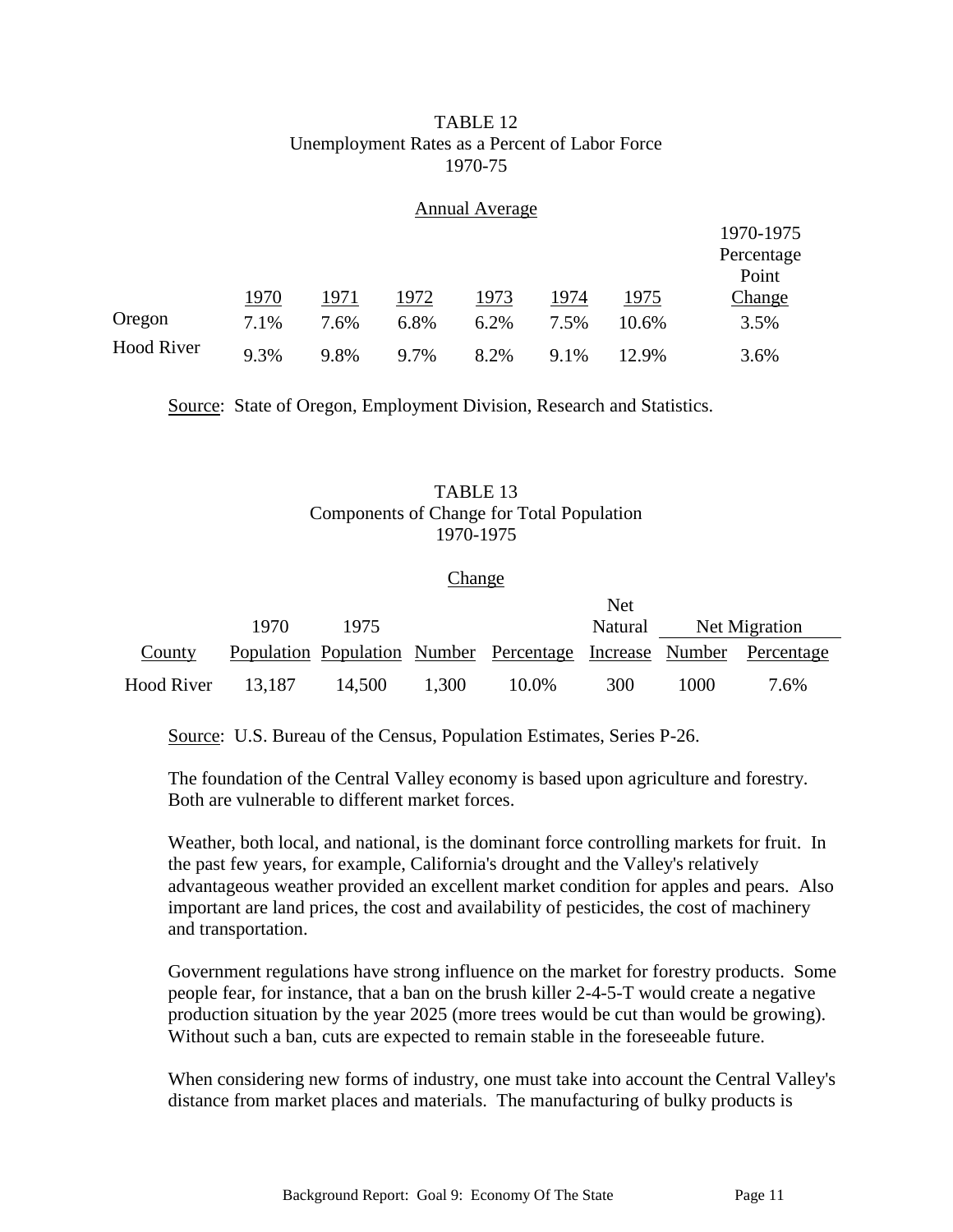#### TABLE 12 Unemployment Rates as a Percent of Labor Force 1970-75

#### Annual Average

|                   |      |      |      |      |      |       | 1970-1975  |
|-------------------|------|------|------|------|------|-------|------------|
|                   |      |      |      |      |      |       | Percentage |
|                   |      |      |      |      |      |       | Point      |
|                   | 1970 | 1971 | 1972 | 1973 | 1974 | 1975  | Change     |
| Oregon            | 7.1% | 7.6% | 6.8% | 6.2% | 7.5% | 10.6% | 3.5%       |
| <b>Hood River</b> | 9.3% | 9.8% | 9.7% | 8.2% | 9.1% | 12.9% | 3.6%       |

Source: State of Oregon, Employment Division, Research and Statistics.

# TABLE 13 Components of Change for Total Population 1970-1975

#### Change

|                   |        |        |       |                                                                    | Net     |      |               |
|-------------------|--------|--------|-------|--------------------------------------------------------------------|---------|------|---------------|
|                   | 1970   | 1975   |       |                                                                    | Natural |      | Net Migration |
| County            |        |        |       | Population Population Number Percentage Increase Number Percentage |         |      |               |
| <b>Hood River</b> | 13.187 | 14.500 | 1,300 | 10.0%                                                              | 300     | 1000 | 7.6%          |

Source: U.S. Bureau of the Census, Population Estimates, Series P-26.

The foundation of the Central Valley economy is based upon agriculture and forestry. Both are vulnerable to different market forces.

Weather, both local, and national, is the dominant force controlling markets for fruit. In the past few years, for example, California's drought and the Valley's relatively advantageous weather provided an excellent market condition for apples and pears. Also important are land prices, the cost and availability of pesticides, the cost of machinery and transportation.

Government regulations have strong influence on the market for forestry products. Some people fear, for instance, that a ban on the brush killer 2-4-5-T would create a negative production situation by the year 2025 (more trees would be cut than would be growing). Without such a ban, cuts are expected to remain stable in the foreseeable future.

When considering new forms of industry, one must take into account the Central Valley's distance from market places and materials. The manufacturing of bulky products is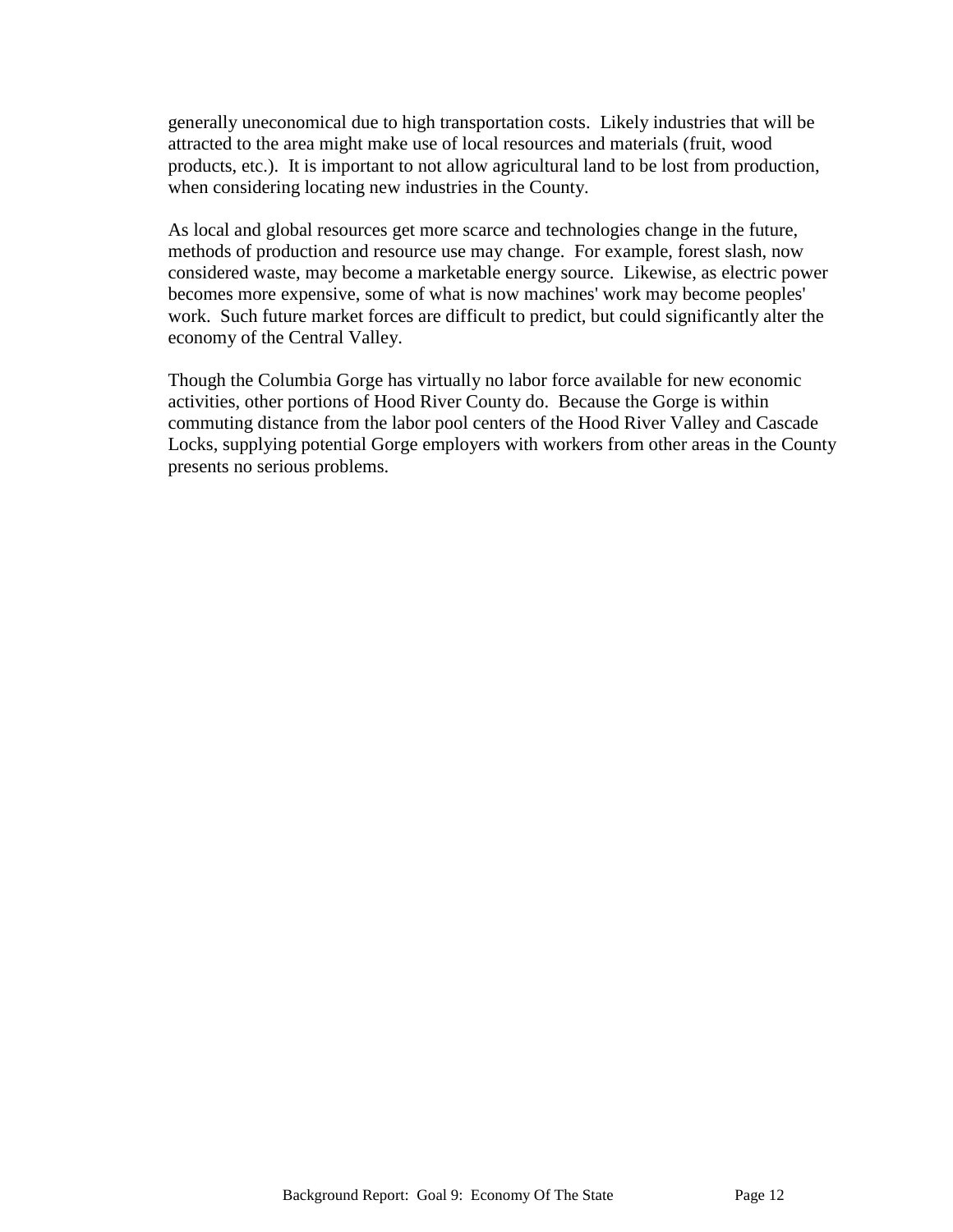generally uneconomical due to high transportation costs. Likely industries that will be attracted to the area might make use of local resources and materials (fruit, wood products, etc.). It is important to not allow agricultural land to be lost from production, when considering locating new industries in the County.

As local and global resources get more scarce and technologies change in the future, methods of production and resource use may change. For example, forest slash, now considered waste, may become a marketable energy source. Likewise, as electric power becomes more expensive, some of what is now machines' work may become peoples' work. Such future market forces are difficult to predict, but could significantly alter the economy of the Central Valley.

Though the Columbia Gorge has virtually no labor force available for new economic activities, other portions of Hood River County do. Because the Gorge is within commuting distance from the labor pool centers of the Hood River Valley and Cascade Locks, supplying potential Gorge employers with workers from other areas in the County presents no serious problems.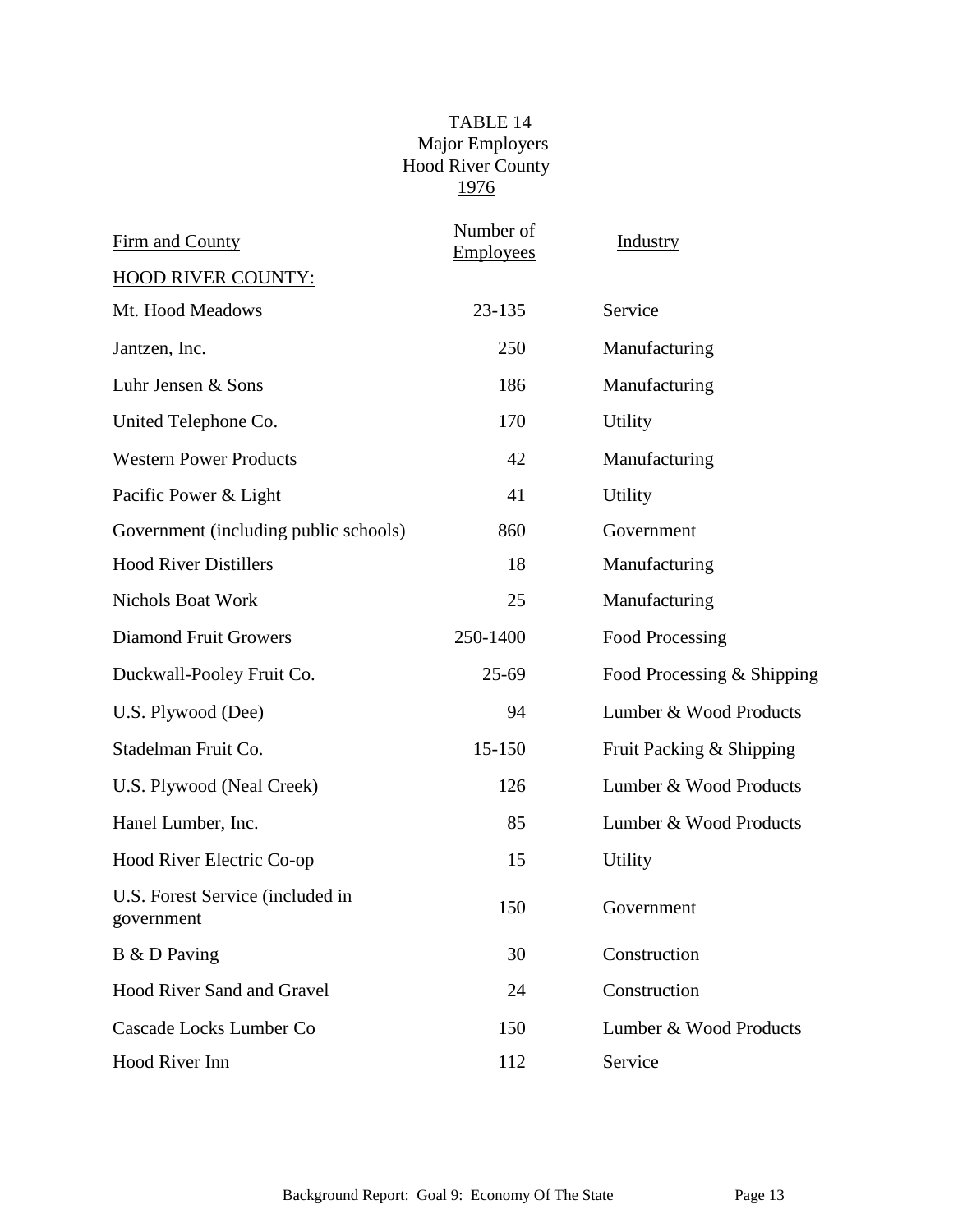# TABLE 14 Major Employers Hood River County 1976

| Firm and County                                | Number of<br><b>Employees</b> | <b>Industry</b>            |
|------------------------------------------------|-------------------------------|----------------------------|
| <b>HOOD RIVER COUNTY:</b>                      |                               |                            |
| Mt. Hood Meadows                               | 23-135                        | Service                    |
| Jantzen, Inc.                                  | 250                           | Manufacturing              |
| Luhr Jensen & Sons                             | 186                           | Manufacturing              |
| United Telephone Co.                           | 170                           | Utility                    |
| <b>Western Power Products</b>                  | 42                            | Manufacturing              |
| Pacific Power & Light                          | 41                            | Utility                    |
| Government (including public schools)          | 860                           | Government                 |
| <b>Hood River Distillers</b>                   | 18                            | Manufacturing              |
| <b>Nichols Boat Work</b>                       | 25                            | Manufacturing              |
| <b>Diamond Fruit Growers</b>                   | 250-1400                      | Food Processing            |
| Duckwall-Pooley Fruit Co.                      | $25-69$                       | Food Processing & Shipping |
| U.S. Plywood (Dee)                             | 94                            | Lumber & Wood Products     |
| Stadelman Fruit Co.                            | 15-150                        | Fruit Packing & Shipping   |
| U.S. Plywood (Neal Creek)                      | 126                           | Lumber & Wood Products     |
| Hanel Lumber, Inc.                             | 85                            | Lumber & Wood Products     |
| Hood River Electric Co-op                      | 15                            | Utility                    |
| U.S. Forest Service (included in<br>government | 150                           | Government                 |
| B & D Paving                                   | 30                            | Construction               |
| <b>Hood River Sand and Gravel</b>              | 24                            | Construction               |
| Cascade Locks Lumber Co                        | 150                           | Lumber & Wood Products     |
| Hood River Inn                                 | 112                           | Service                    |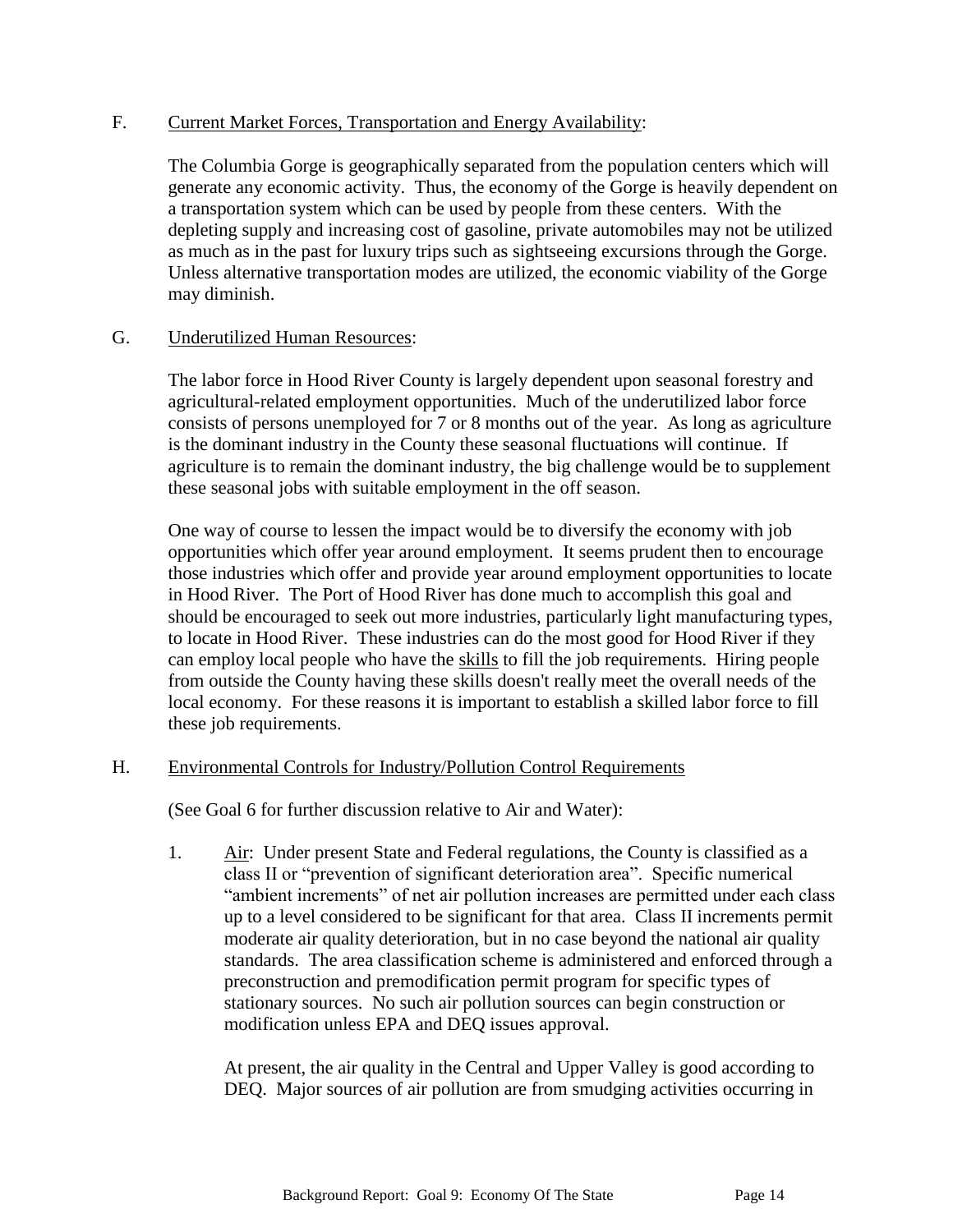### F. Current Market Forces, Transportation and Energy Availability:

The Columbia Gorge is geographically separated from the population centers which will generate any economic activity. Thus, the economy of the Gorge is heavily dependent on a transportation system which can be used by people from these centers. With the depleting supply and increasing cost of gasoline, private automobiles may not be utilized as much as in the past for luxury trips such as sightseeing excursions through the Gorge. Unless alternative transportation modes are utilized, the economic viability of the Gorge may diminish.

#### G. Underutilized Human Resources:

The labor force in Hood River County is largely dependent upon seasonal forestry and agricultural-related employment opportunities. Much of the underutilized labor force consists of persons unemployed for 7 or 8 months out of the year. As long as agriculture is the dominant industry in the County these seasonal fluctuations will continue. If agriculture is to remain the dominant industry, the big challenge would be to supplement these seasonal jobs with suitable employment in the off season.

One way of course to lessen the impact would be to diversify the economy with job opportunities which offer year around employment. It seems prudent then to encourage those industries which offer and provide year around employment opportunities to locate in Hood River. The Port of Hood River has done much to accomplish this goal and should be encouraged to seek out more industries, particularly light manufacturing types, to locate in Hood River. These industries can do the most good for Hood River if they can employ local people who have the skills to fill the job requirements. Hiring people from outside the County having these skills doesn't really meet the overall needs of the local economy. For these reasons it is important to establish a skilled labor force to fill these job requirements.

### H. Environmental Controls for Industry/Pollution Control Requirements

(See Goal 6 for further discussion relative to Air and Water):

1. Air: Under present State and Federal regulations, the County is classified as a class II or "prevention of significant deterioration area". Specific numerical "ambient increments" of net air pollution increases are permitted under each class up to a level considered to be significant for that area. Class II increments permit moderate air quality deterioration, but in no case beyond the national air quality standards. The area classification scheme is administered and enforced through a preconstruction and premodification permit program for specific types of stationary sources. No such air pollution sources can begin construction or modification unless EPA and DEQ issues approval.

At present, the air quality in the Central and Upper Valley is good according to DEQ. Major sources of air pollution are from smudging activities occurring in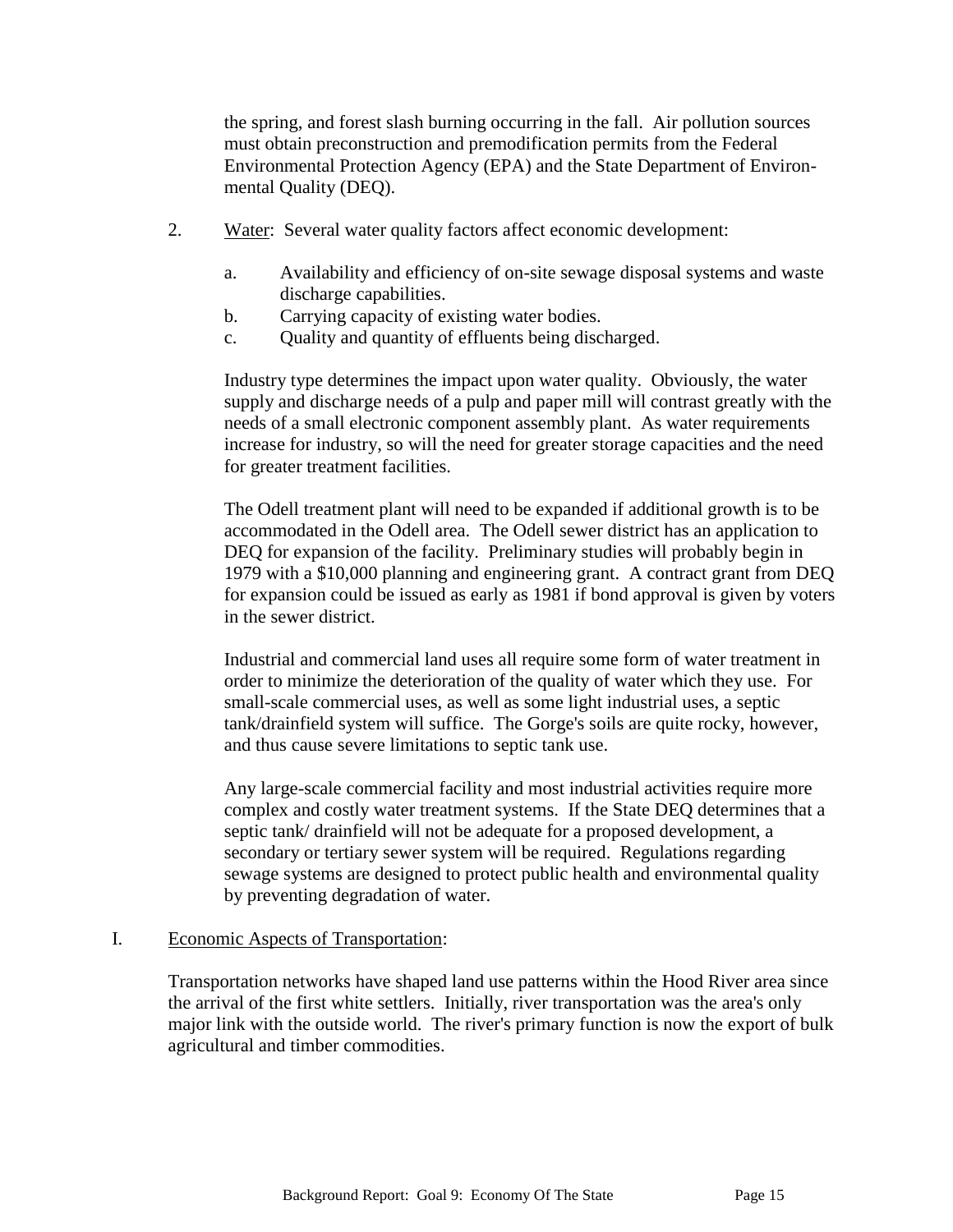the spring, and forest slash burning occurring in the fall. Air pollution sources must obtain preconstruction and premodification permits from the Federal Environmental Protection Agency (EPA) and the State Department of Environmental Quality (DEQ).

- 2. Water: Several water quality factors affect economic development:
	- a. Availability and efficiency of on-site sewage disposal systems and waste discharge capabilities.
	- b. Carrying capacity of existing water bodies.
	- c. Quality and quantity of effluents being discharged.

Industry type determines the impact upon water quality. Obviously, the water supply and discharge needs of a pulp and paper mill will contrast greatly with the needs of a small electronic component assembly plant. As water requirements increase for industry, so will the need for greater storage capacities and the need for greater treatment facilities.

The Odell treatment plant will need to be expanded if additional growth is to be accommodated in the Odell area. The Odell sewer district has an application to DEQ for expansion of the facility. Preliminary studies will probably begin in 1979 with a \$10,000 planning and engineering grant. A contract grant from DEQ for expansion could be issued as early as 1981 if bond approval is given by voters in the sewer district.

Industrial and commercial land uses all require some form of water treatment in order to minimize the deterioration of the quality of water which they use. For small-scale commercial uses, as well as some light industrial uses, a septic tank/drainfield system will suffice. The Gorge's soils are quite rocky, however, and thus cause severe limitations to septic tank use.

Any large-scale commercial facility and most industrial activities require more complex and costly water treatment systems. If the State DEQ determines that a septic tank/ drainfield will not be adequate for a proposed development, a secondary or tertiary sewer system will be required. Regulations regarding sewage systems are designed to protect public health and environmental quality by preventing degradation of water.

### I. Economic Aspects of Transportation:

Transportation networks have shaped land use patterns within the Hood River area since the arrival of the first white settlers. Initially, river transportation was the area's only major link with the outside world. The river's primary function is now the export of bulk agricultural and timber commodities.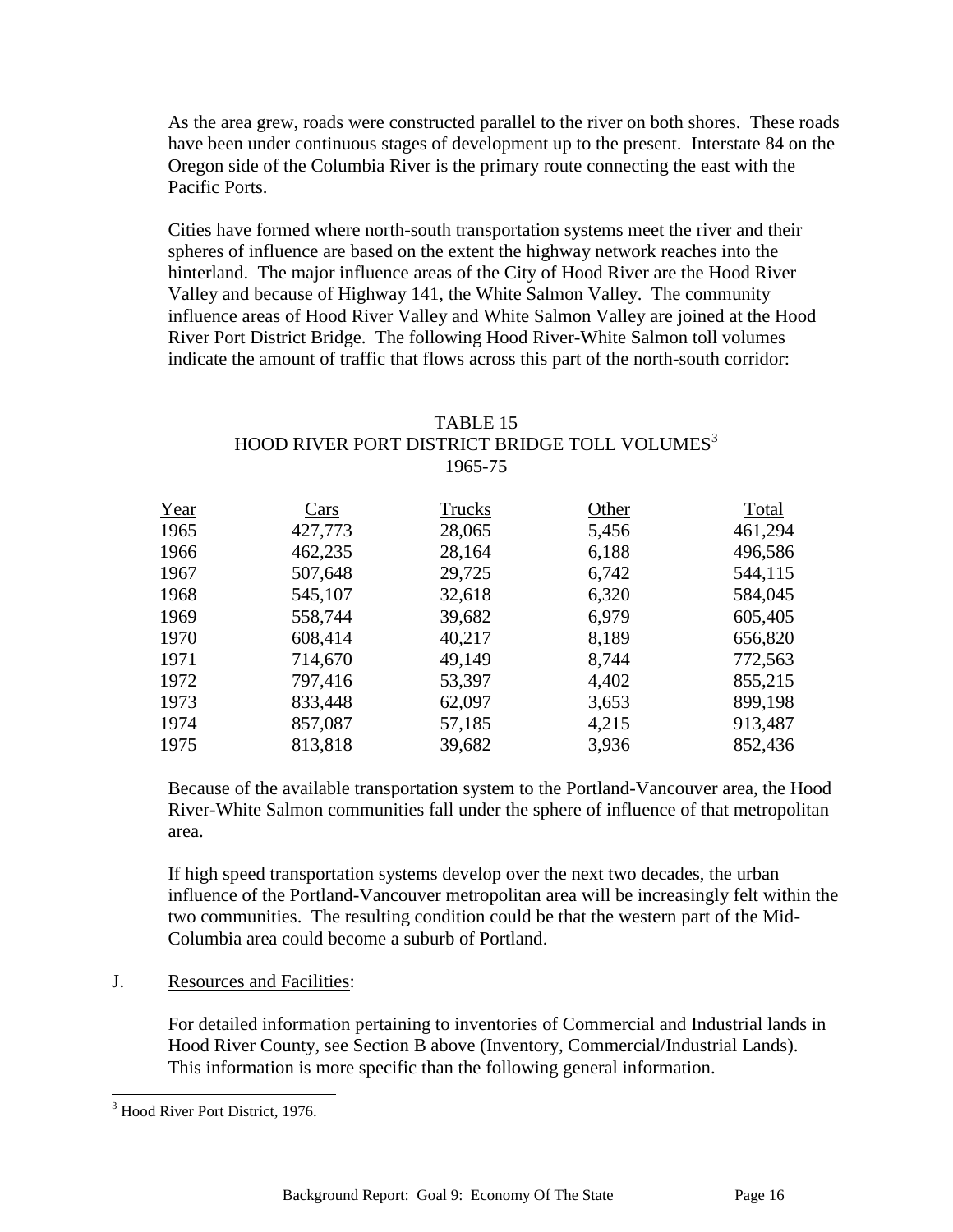As the area grew, roads were constructed parallel to the river on both shores. These roads have been under continuous stages of development up to the present. Interstate 84 on the Oregon side of the Columbia River is the primary route connecting the east with the Pacific Ports.

Cities have formed where north-south transportation systems meet the river and their spheres of influence are based on the extent the highway network reaches into the hinterland. The major influence areas of the City of Hood River are the Hood River Valley and because of Highway 141, the White Salmon Valley. The community influence areas of Hood River Valley and White Salmon Valley are joined at the Hood River Port District Bridge. The following Hood River-White Salmon toll volumes indicate the amount of traffic that flows across this part of the north-south corridor:

## TABLE 15 HOOD RIVER PORT DISTRICT BRIDGE TOLL VOLUMES<sup>3</sup> 1965-75

| Year | Cars    | Trucks | Other | Total   |
|------|---------|--------|-------|---------|
| 1965 | 427,773 | 28,065 | 5,456 | 461,294 |
| 1966 | 462,235 | 28,164 | 6,188 | 496,586 |
| 1967 | 507,648 | 29,725 | 6,742 | 544,115 |
| 1968 | 545,107 | 32,618 | 6,320 | 584,045 |
| 1969 | 558,744 | 39,682 | 6,979 | 605,405 |
| 1970 | 608,414 | 40,217 | 8,189 | 656,820 |
| 1971 | 714,670 | 49,149 | 8,744 | 772,563 |
| 1972 | 797,416 | 53,397 | 4,402 | 855,215 |
| 1973 | 833,448 | 62,097 | 3,653 | 899,198 |
| 1974 | 857,087 | 57,185 | 4,215 | 913,487 |
| 1975 | 813,818 | 39,682 | 3,936 | 852,436 |

Because of the available transportation system to the Portland-Vancouver area, the Hood River-White Salmon communities fall under the sphere of influence of that metropolitan area.

If high speed transportation systems develop over the next two decades, the urban influence of the Portland-Vancouver metropolitan area will be increasingly felt within the two communities. The resulting condition could be that the western part of the Mid-Columbia area could become a suburb of Portland.

J. Resources and Facilities:

For detailed information pertaining to inventories of Commercial and Industrial lands in Hood River County, see Section B above (Inventory, Commercial/Industrial Lands). This information is more specific than the following general information.

l

<sup>&</sup>lt;sup>3</sup> Hood River Port District, 1976.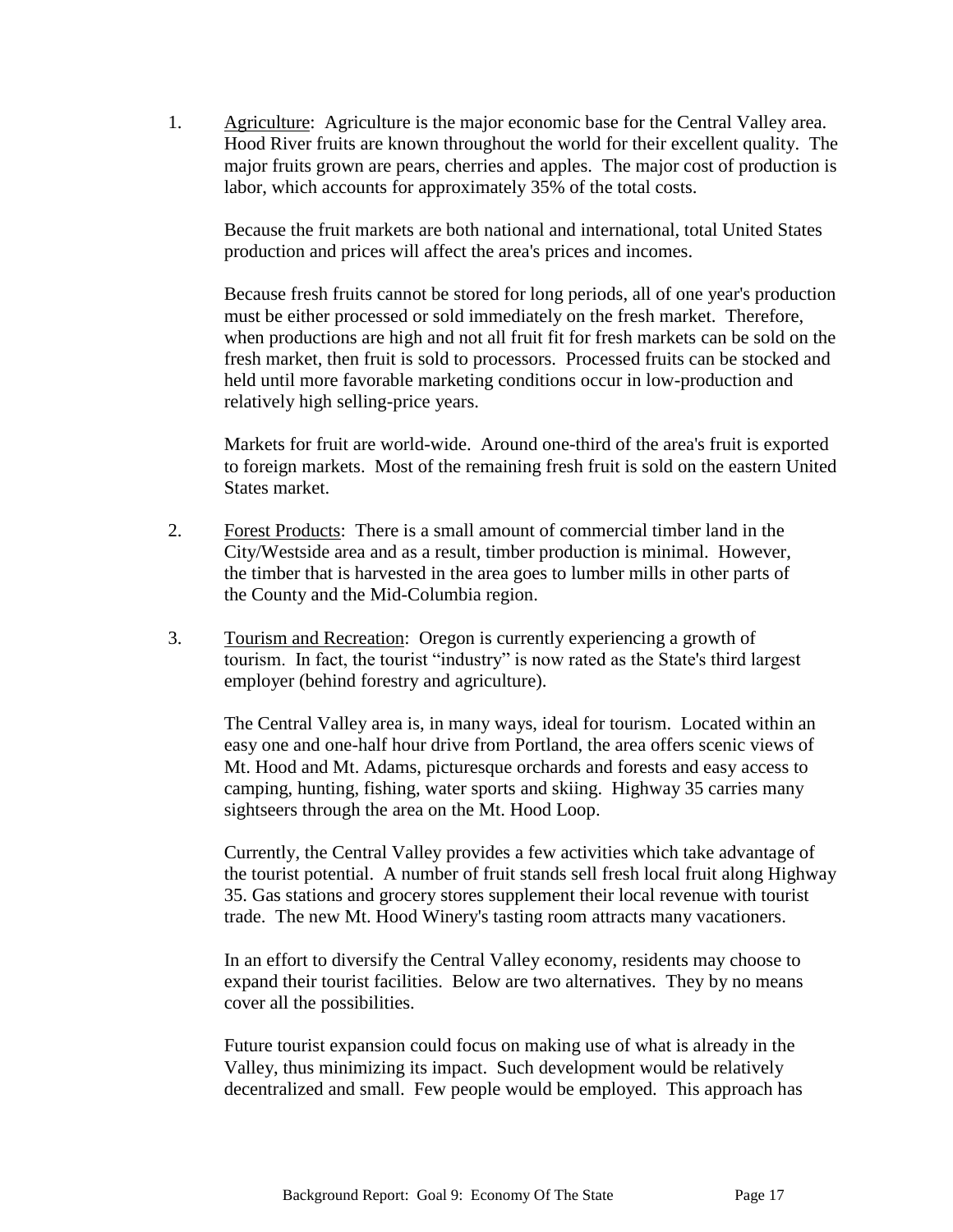1. Agriculture: Agriculture is the major economic base for the Central Valley area. Hood River fruits are known throughout the world for their excellent quality. The major fruits grown are pears, cherries and apples. The major cost of production is labor, which accounts for approximately 35% of the total costs.

Because the fruit markets are both national and international, total United States production and prices will affect the area's prices and incomes.

Because fresh fruits cannot be stored for long periods, all of one year's production must be either processed or sold immediately on the fresh market. Therefore, when productions are high and not all fruit fit for fresh markets can be sold on the fresh market, then fruit is sold to processors. Processed fruits can be stocked and held until more favorable marketing conditions occur in low-production and relatively high selling-price years.

Markets for fruit are world-wide. Around one-third of the area's fruit is exported to foreign markets. Most of the remaining fresh fruit is sold on the eastern United States market.

- 2. Forest Products: There is a small amount of commercial timber land in the City/Westside area and as a result, timber production is minimal. However, the timber that is harvested in the area goes to lumber mills in other parts of the County and the Mid-Columbia region.
- 3. Tourism and Recreation: Oregon is currently experiencing a growth of tourism. In fact, the tourist "industry" is now rated as the State's third largest employer (behind forestry and agriculture).

The Central Valley area is, in many ways, ideal for tourism. Located within an easy one and one-half hour drive from Portland, the area offers scenic views of Mt. Hood and Mt. Adams, picturesque orchards and forests and easy access to camping, hunting, fishing, water sports and skiing. Highway 35 carries many sightseers through the area on the Mt. Hood Loop.

Currently, the Central Valley provides a few activities which take advantage of the tourist potential. A number of fruit stands sell fresh local fruit along Highway 35. Gas stations and grocery stores supplement their local revenue with tourist trade. The new Mt. Hood Winery's tasting room attracts many vacationers.

In an effort to diversify the Central Valley economy, residents may choose to expand their tourist facilities. Below are two alternatives. They by no means cover all the possibilities.

Future tourist expansion could focus on making use of what is already in the Valley, thus minimizing its impact. Such development would be relatively decentralized and small. Few people would be employed. This approach has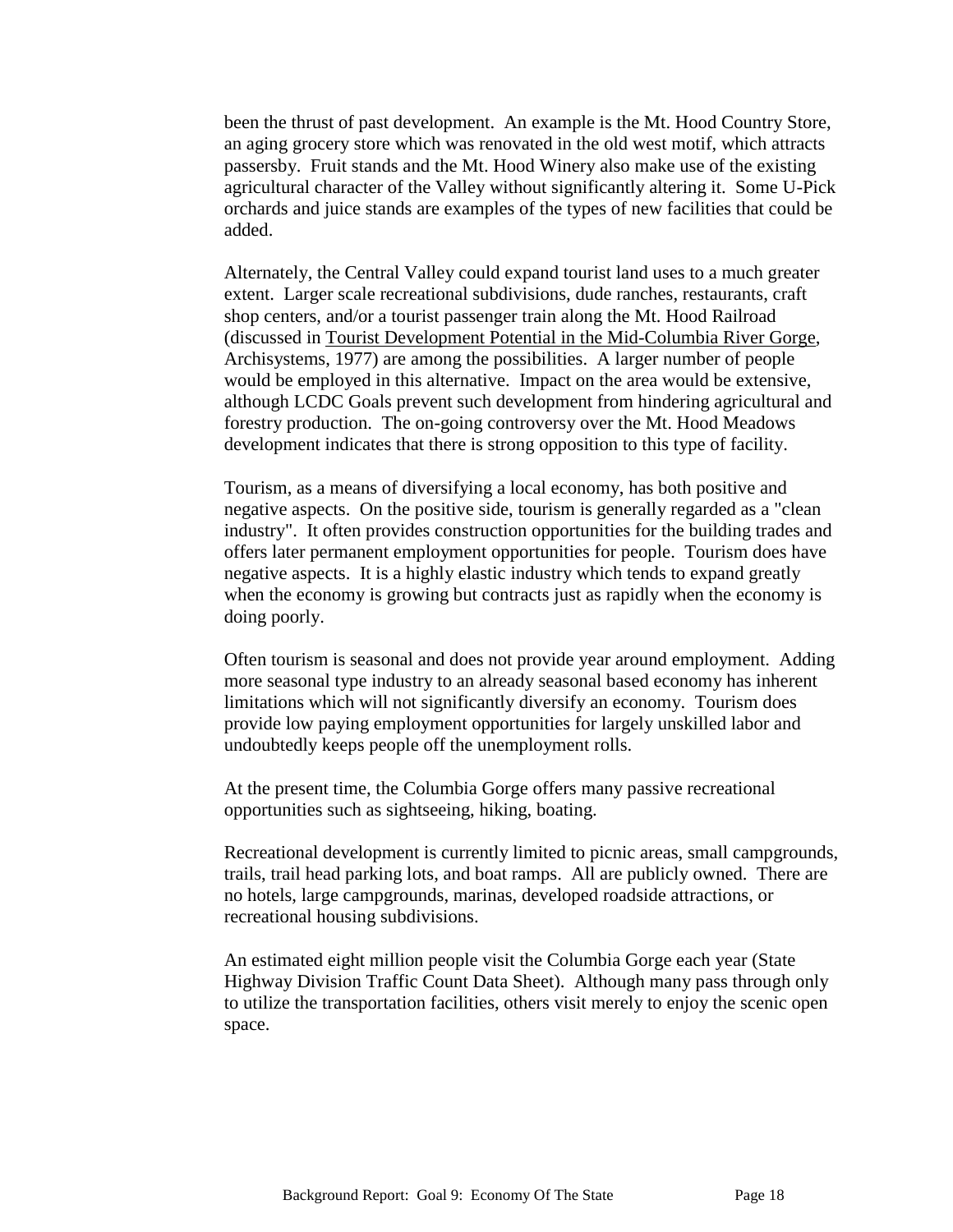been the thrust of past development. An example is the Mt. Hood Country Store, an aging grocery store which was renovated in the old west motif, which attracts passersby. Fruit stands and the Mt. Hood Winery also make use of the existing agricultural character of the Valley without significantly altering it. Some U-Pick orchards and juice stands are examples of the types of new facilities that could be added.

Alternately, the Central Valley could expand tourist land uses to a much greater extent. Larger scale recreational subdivisions, dude ranches, restaurants, craft shop centers, and/or a tourist passenger train along the Mt. Hood Railroad (discussed in Tourist Development Potential in the Mid-Columbia River Gorge, Archisystems, 1977) are among the possibilities. A larger number of people would be employed in this alternative. Impact on the area would be extensive, although LCDC Goals prevent such development from hindering agricultural and forestry production. The on-going controversy over the Mt. Hood Meadows development indicates that there is strong opposition to this type of facility.

Tourism, as a means of diversifying a local economy, has both positive and negative aspects. On the positive side, tourism is generally regarded as a "clean industry". It often provides construction opportunities for the building trades and offers later permanent employment opportunities for people. Tourism does have negative aspects. It is a highly elastic industry which tends to expand greatly when the economy is growing but contracts just as rapidly when the economy is doing poorly.

Often tourism is seasonal and does not provide year around employment. Adding more seasonal type industry to an already seasonal based economy has inherent limitations which will not significantly diversify an economy. Tourism does provide low paying employment opportunities for largely unskilled labor and undoubtedly keeps people off the unemployment rolls.

At the present time, the Columbia Gorge offers many passive recreational opportunities such as sightseeing, hiking, boating.

Recreational development is currently limited to picnic areas, small campgrounds, trails, trail head parking lots, and boat ramps. All are publicly owned. There are no hotels, large campgrounds, marinas, developed roadside attractions, or recreational housing subdivisions.

An estimated eight million people visit the Columbia Gorge each year (State Highway Division Traffic Count Data Sheet). Although many pass through only to utilize the transportation facilities, others visit merely to enjoy the scenic open space.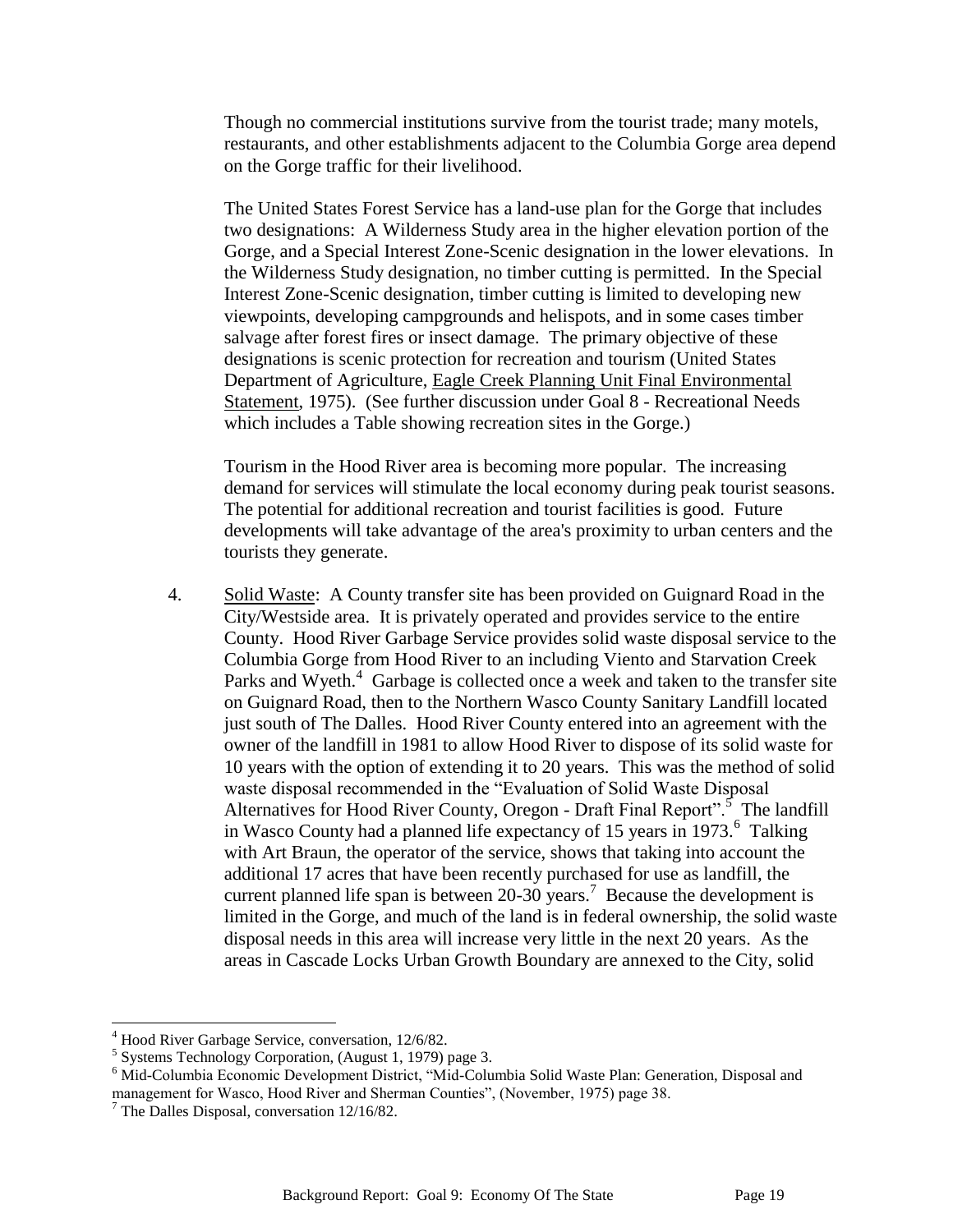Though no commercial institutions survive from the tourist trade; many motels, restaurants, and other establishments adjacent to the Columbia Gorge area depend on the Gorge traffic for their livelihood.

The United States Forest Service has a land-use plan for the Gorge that includes two designations: A Wilderness Study area in the higher elevation portion of the Gorge, and a Special Interest Zone-Scenic designation in the lower elevations. In the Wilderness Study designation, no timber cutting is permitted. In the Special Interest Zone-Scenic designation, timber cutting is limited to developing new viewpoints, developing campgrounds and helispots, and in some cases timber salvage after forest fires or insect damage. The primary objective of these designations is scenic protection for recreation and tourism (United States Department of Agriculture, Eagle Creek Planning Unit Final Environmental Statement, 1975). (See further discussion under Goal 8 - Recreational Needs which includes a Table showing recreation sites in the Gorge.)

Tourism in the Hood River area is becoming more popular. The increasing demand for services will stimulate the local economy during peak tourist seasons. The potential for additional recreation and tourist facilities is good. Future developments will take advantage of the area's proximity to urban centers and the tourists they generate.

4. Solid Waste: A County transfer site has been provided on Guignard Road in the City/Westside area. It is privately operated and provides service to the entire County. Hood River Garbage Service provides solid waste disposal service to the Columbia Gorge from Hood River to an including Viento and Starvation Creek Parks and Wyeth.<sup>4</sup> Garbage is collected once a week and taken to the transfer site on Guignard Road, then to the Northern Wasco County Sanitary Landfill located just south of The Dalles. Hood River County entered into an agreement with the owner of the landfill in 1981 to allow Hood River to dispose of its solid waste for 10 years with the option of extending it to 20 years. This was the method of solid waste disposal recommended in the "Evaluation of Solid Waste Disposal Alternatives for Hood River County, Oregon - Draft Final Report".<sup>5</sup> The landfill in Wasco County had a planned life expectancy of 15 years in  $1973$ .<sup>6</sup> Talking with Art Braun, the operator of the service, shows that taking into account the additional 17 acres that have been recently purchased for use as landfill, the current planned life span is between 20-30 years.<sup>7</sup> Because the development is limited in the Gorge, and much of the land is in federal ownership, the solid waste disposal needs in this area will increase very little in the next 20 years. As the areas in Cascade Locks Urban Growth Boundary are annexed to the City, solid

 $\overline{a}$ 

<sup>4</sup> Hood River Garbage Service, conversation, 12/6/82.

<sup>5</sup> Systems Technology Corporation, (August 1, 1979) page 3.

<sup>&</sup>lt;sup>6</sup> Mid-Columbia Economic Development District, "Mid-Columbia Solid Waste Plan: Generation, Disposal and management for Wasco, Hood River and Sherman Counties", (November, 1975) page 38.

 $<sup>7</sup>$  The Dalles Disposal, conversation 12/16/82.</sup>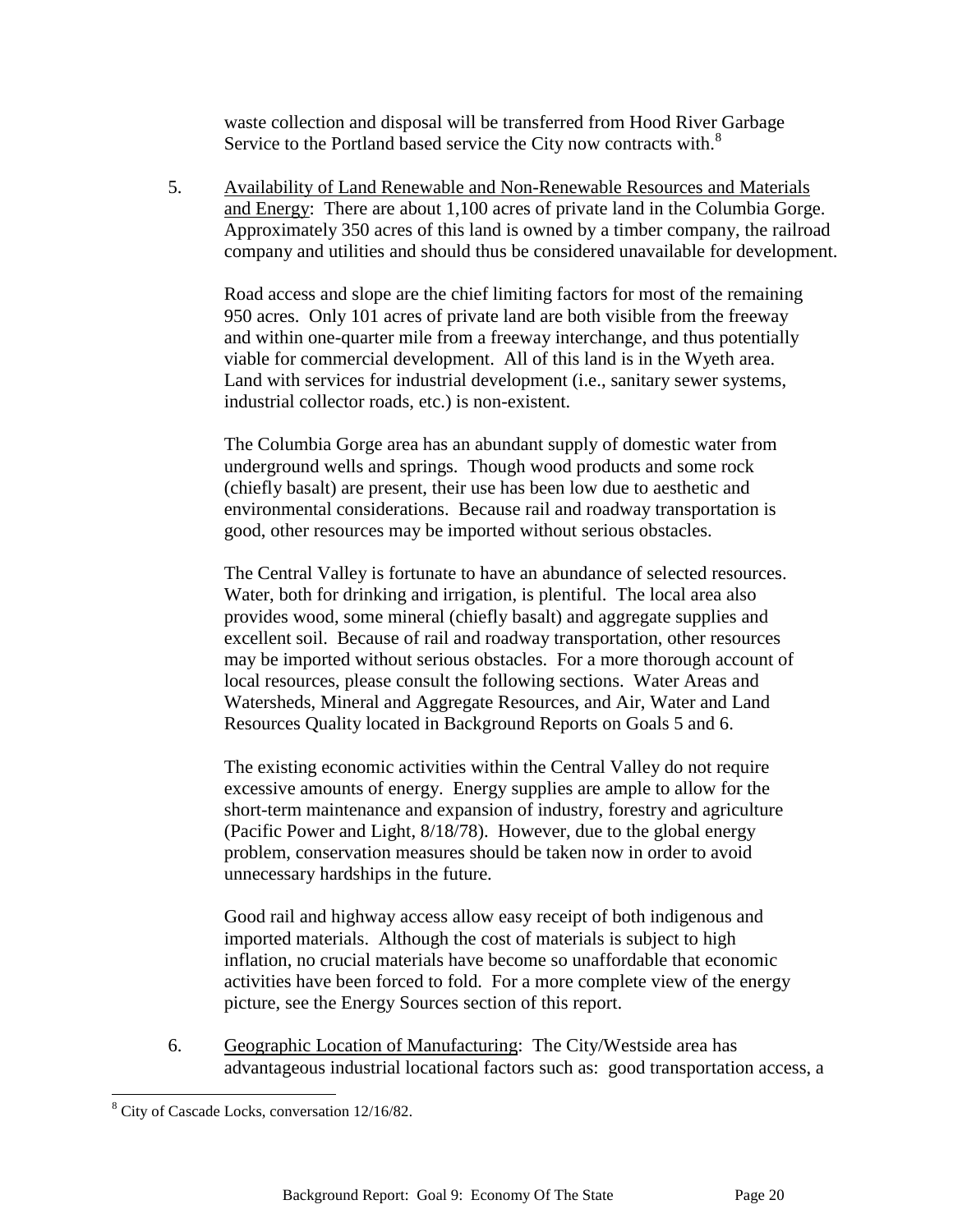waste collection and disposal will be transferred from Hood River Garbage Service to the Portland based service the City now contracts with.<sup>8</sup>

5. Availability of Land Renewable and Non-Renewable Resources and Materials and Energy: There are about 1,100 acres of private land in the Columbia Gorge. Approximately 350 acres of this land is owned by a timber company, the railroad company and utilities and should thus be considered unavailable for development.

Road access and slope are the chief limiting factors for most of the remaining 950 acres. Only 101 acres of private land are both visible from the freeway and within one-quarter mile from a freeway interchange, and thus potentially viable for commercial development. All of this land is in the Wyeth area. Land with services for industrial development (i.e., sanitary sewer systems, industrial collector roads, etc.) is non-existent.

The Columbia Gorge area has an abundant supply of domestic water from underground wells and springs. Though wood products and some rock (chiefly basalt) are present, their use has been low due to aesthetic and environmental considerations. Because rail and roadway transportation is good, other resources may be imported without serious obstacles.

The Central Valley is fortunate to have an abundance of selected resources. Water, both for drinking and irrigation, is plentiful. The local area also provides wood, some mineral (chiefly basalt) and aggregate supplies and excellent soil. Because of rail and roadway transportation, other resources may be imported without serious obstacles. For a more thorough account of local resources, please consult the following sections. Water Areas and Watersheds, Mineral and Aggregate Resources, and Air, Water and Land Resources Quality located in Background Reports on Goals 5 and 6.

The existing economic activities within the Central Valley do not require excessive amounts of energy. Energy supplies are ample to allow for the short-term maintenance and expansion of industry, forestry and agriculture (Pacific Power and Light, 8/18/78). However, due to the global energy problem, conservation measures should be taken now in order to avoid unnecessary hardships in the future.

Good rail and highway access allow easy receipt of both indigenous and imported materials. Although the cost of materials is subject to high inflation, no crucial materials have become so unaffordable that economic activities have been forced to fold. For a more complete view of the energy picture, see the Energy Sources section of this report.

6. Geographic Location of Manufacturing: The City/Westside area has advantageous industrial locational factors such as: good transportation access, a

l

<sup>&</sup>lt;sup>8</sup> City of Cascade Locks, conversation 12/16/82.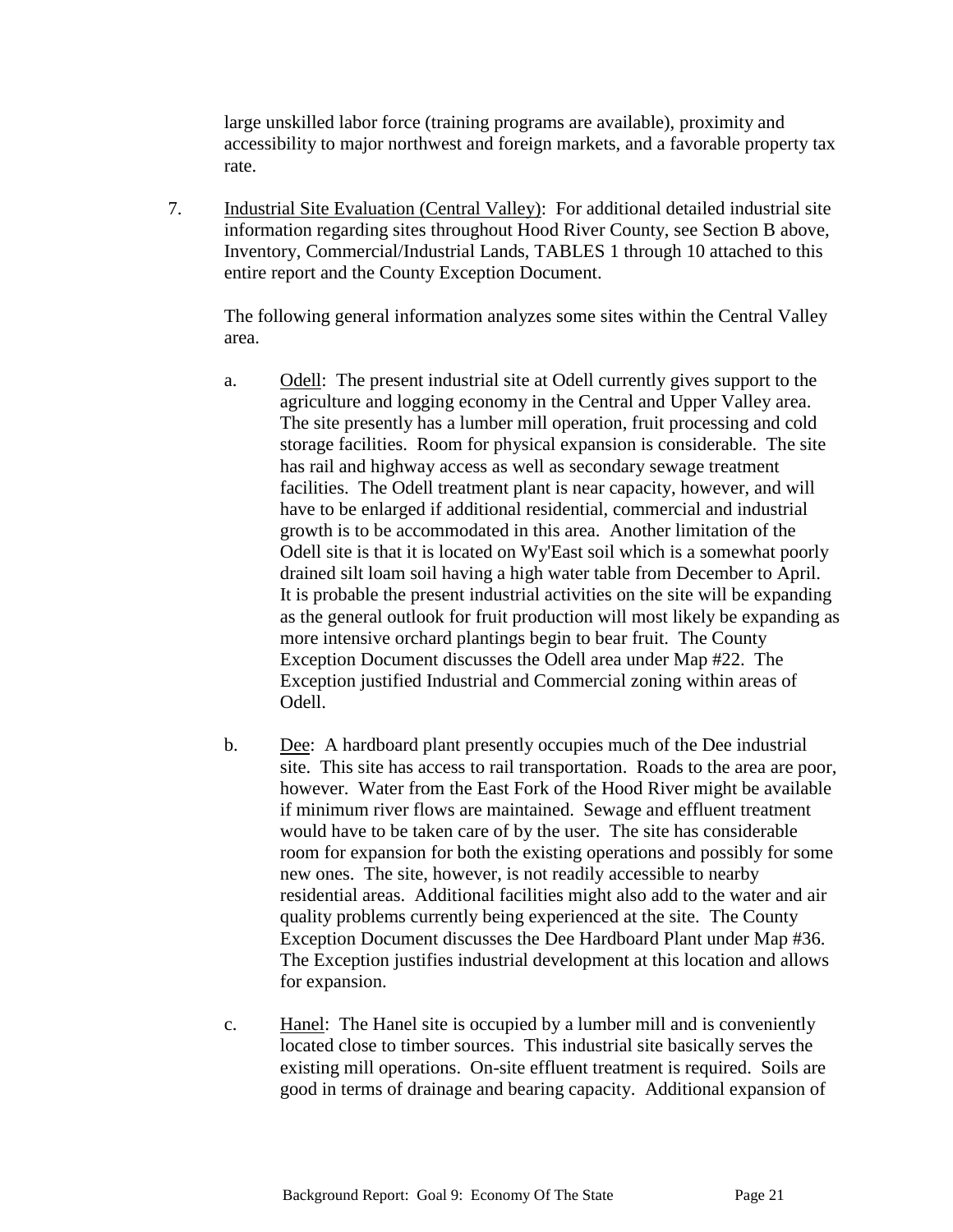large unskilled labor force (training programs are available), proximity and accessibility to major northwest and foreign markets, and a favorable property tax rate.

7. Industrial Site Evaluation (Central Valley): For additional detailed industrial site information regarding sites throughout Hood River County, see Section B above, Inventory, Commercial/Industrial Lands, TABLES 1 through 10 attached to this entire report and the County Exception Document.

The following general information analyzes some sites within the Central Valley area.

- a. Odell: The present industrial site at Odell currently gives support to the agriculture and logging economy in the Central and Upper Valley area. The site presently has a lumber mill operation, fruit processing and cold storage facilities. Room for physical expansion is considerable. The site has rail and highway access as well as secondary sewage treatment facilities. The Odell treatment plant is near capacity, however, and will have to be enlarged if additional residential, commercial and industrial growth is to be accommodated in this area. Another limitation of the Odell site is that it is located on Wy'East soil which is a somewhat poorly drained silt loam soil having a high water table from December to April. It is probable the present industrial activities on the site will be expanding as the general outlook for fruit production will most likely be expanding as more intensive orchard plantings begin to bear fruit. The County Exception Document discusses the Odell area under Map #22. The Exception justified Industrial and Commercial zoning within areas of Odell.
- b. Dee: A hardboard plant presently occupies much of the Dee industrial site. This site has access to rail transportation. Roads to the area are poor, however. Water from the East Fork of the Hood River might be available if minimum river flows are maintained. Sewage and effluent treatment would have to be taken care of by the user. The site has considerable room for expansion for both the existing operations and possibly for some new ones. The site, however, is not readily accessible to nearby residential areas. Additional facilities might also add to the water and air quality problems currently being experienced at the site. The County Exception Document discusses the Dee Hardboard Plant under Map #36. The Exception justifies industrial development at this location and allows for expansion.
- c. Hanel: The Hanel site is occupied by a lumber mill and is conveniently located close to timber sources. This industrial site basically serves the existing mill operations. On-site effluent treatment is required. Soils are good in terms of drainage and bearing capacity. Additional expansion of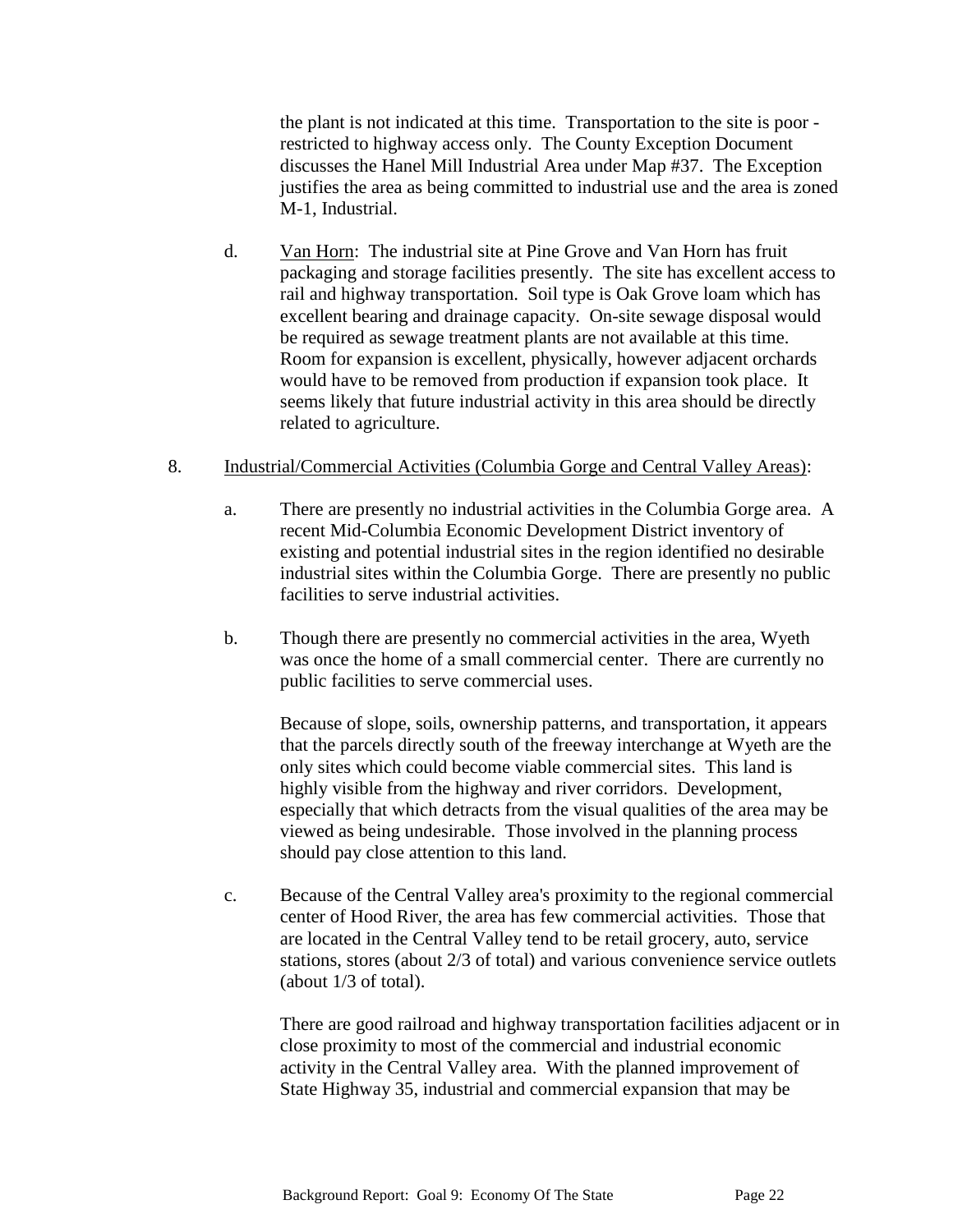the plant is not indicated at this time. Transportation to the site is poor restricted to highway access only. The County Exception Document discusses the Hanel Mill Industrial Area under Map #37. The Exception justifies the area as being committed to industrial use and the area is zoned M-1, Industrial.

d. Van Horn: The industrial site at Pine Grove and Van Horn has fruit packaging and storage facilities presently. The site has excellent access to rail and highway transportation. Soil type is Oak Grove loam which has excellent bearing and drainage capacity. On-site sewage disposal would be required as sewage treatment plants are not available at this time. Room for expansion is excellent, physically, however adjacent orchards would have to be removed from production if expansion took place. It seems likely that future industrial activity in this area should be directly related to agriculture.

### 8. Industrial/Commercial Activities (Columbia Gorge and Central Valley Areas):

- a. There are presently no industrial activities in the Columbia Gorge area. A recent Mid-Columbia Economic Development District inventory of existing and potential industrial sites in the region identified no desirable industrial sites within the Columbia Gorge. There are presently no public facilities to serve industrial activities.
- b. Though there are presently no commercial activities in the area, Wyeth was once the home of a small commercial center. There are currently no public facilities to serve commercial uses.

Because of slope, soils, ownership patterns, and transportation, it appears that the parcels directly south of the freeway interchange at Wyeth are the only sites which could become viable commercial sites. This land is highly visible from the highway and river corridors. Development, especially that which detracts from the visual qualities of the area may be viewed as being undesirable. Those involved in the planning process should pay close attention to this land.

c. Because of the Central Valley area's proximity to the regional commercial center of Hood River, the area has few commercial activities. Those that are located in the Central Valley tend to be retail grocery, auto, service stations, stores (about 2/3 of total) and various convenience service outlets (about 1/3 of total).

There are good railroad and highway transportation facilities adjacent or in close proximity to most of the commercial and industrial economic activity in the Central Valley area. With the planned improvement of State Highway 35, industrial and commercial expansion that may be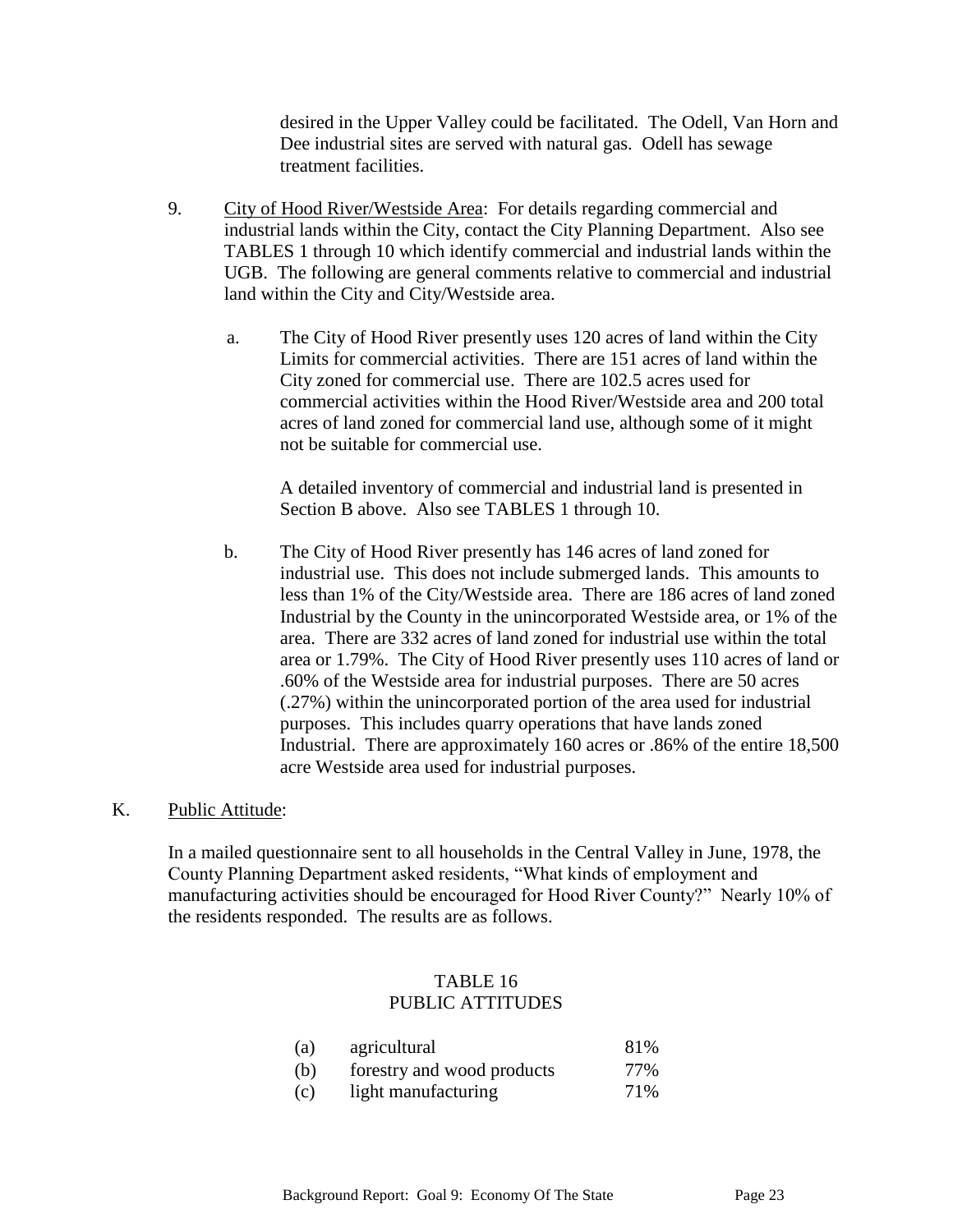desired in the Upper Valley could be facilitated. The Odell, Van Horn and Dee industrial sites are served with natural gas. Odell has sewage treatment facilities.

- 9. City of Hood River/Westside Area: For details regarding commercial and industrial lands within the City, contact the City Planning Department. Also see TABLES 1 through 10 which identify commercial and industrial lands within the UGB. The following are general comments relative to commercial and industrial land within the City and City/Westside area.
	- a. The City of Hood River presently uses 120 acres of land within the City Limits for commercial activities. There are 151 acres of land within the City zoned for commercial use. There are 102.5 acres used for commercial activities within the Hood River/Westside area and 200 total acres of land zoned for commercial land use, although some of it might not be suitable for commercial use.

A detailed inventory of commercial and industrial land is presented in Section B above. Also see TABLES 1 through 10.

b. The City of Hood River presently has 146 acres of land zoned for industrial use. This does not include submerged lands. This amounts to less than 1% of the City/Westside area. There are 186 acres of land zoned Industrial by the County in the unincorporated Westside area, or 1% of the area. There are 332 acres of land zoned for industrial use within the total area or 1.79%. The City of Hood River presently uses 110 acres of land or .60% of the Westside area for industrial purposes. There are 50 acres (.27%) within the unincorporated portion of the area used for industrial purposes. This includes quarry operations that have lands zoned Industrial. There are approximately 160 acres or .86% of the entire 18,500 acre Westside area used for industrial purposes.

### K. Public Attitude:

In a mailed questionnaire sent to all households in the Central Valley in June, 1978, the County Planning Department asked residents, "What kinds of employment and manufacturing activities should be encouraged for Hood River County?" Nearly 10% of the residents responded. The results are as follows.

### TABLE 16 PUBLIC ATTITUDES

| (a) | agricultural               | 81% |
|-----|----------------------------|-----|
| (b) | forestry and wood products | 77% |
| (c) | light manufacturing        | 71% |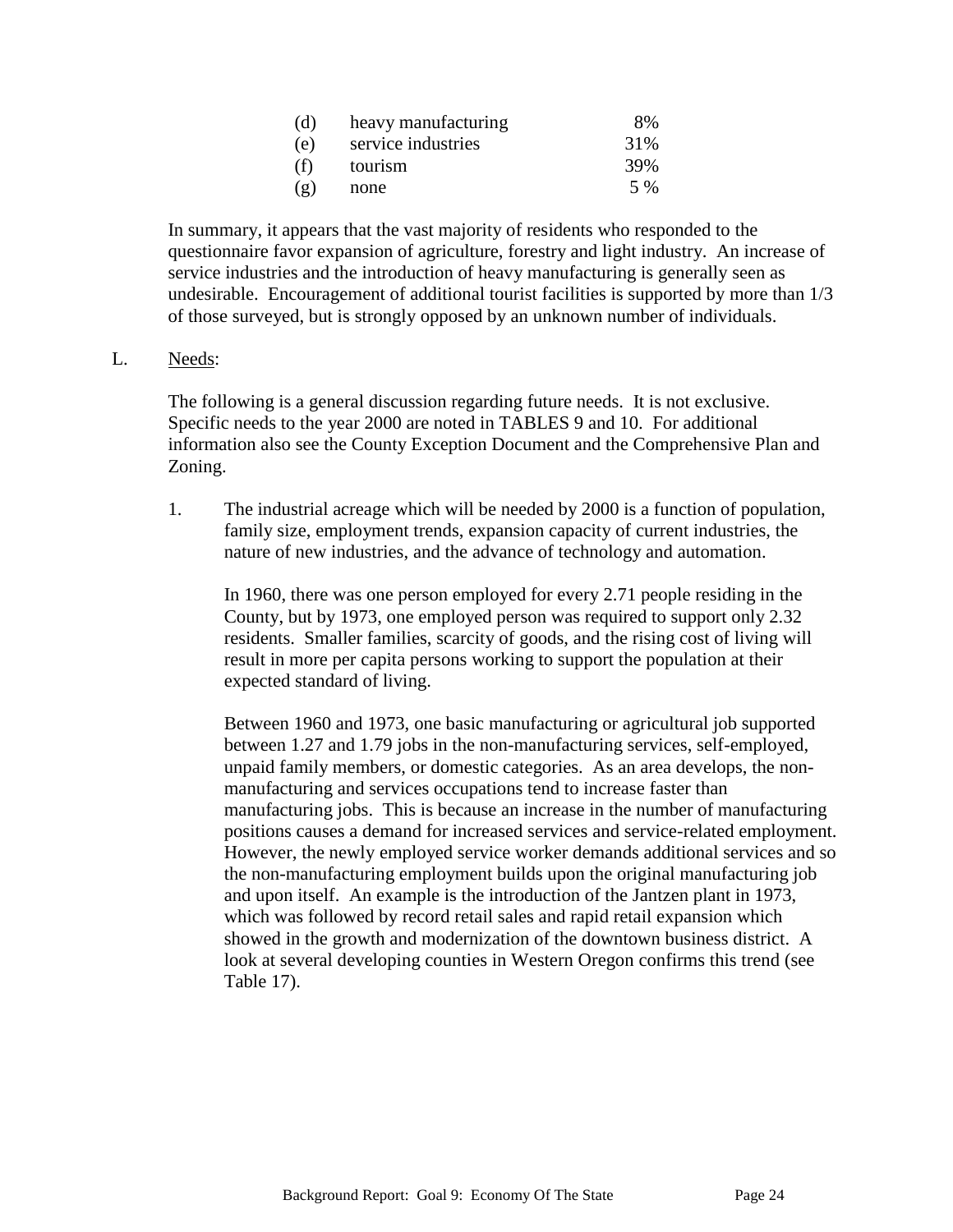| (d) | heavy manufacturing | 8%   |
|-----|---------------------|------|
| (e) | service industries  | 31%  |
| (f) | tourism             | 39%  |
| (g) | none                | .5 % |

In summary, it appears that the vast majority of residents who responded to the questionnaire favor expansion of agriculture, forestry and light industry. An increase of service industries and the introduction of heavy manufacturing is generally seen as undesirable. Encouragement of additional tourist facilities is supported by more than 1/3 of those surveyed, but is strongly opposed by an unknown number of individuals.

### L. Needs:

The following is a general discussion regarding future needs. It is not exclusive. Specific needs to the year 2000 are noted in TABLES 9 and 10. For additional information also see the County Exception Document and the Comprehensive Plan and Zoning.

1. The industrial acreage which will be needed by 2000 is a function of population, family size, employment trends, expansion capacity of current industries, the nature of new industries, and the advance of technology and automation.

In 1960, there was one person employed for every 2.71 people residing in the County, but by 1973, one employed person was required to support only 2.32 residents. Smaller families, scarcity of goods, and the rising cost of living will result in more per capita persons working to support the population at their expected standard of living.

Between 1960 and 1973, one basic manufacturing or agricultural job supported between 1.27 and 1.79 jobs in the non-manufacturing services, self-employed, unpaid family members, or domestic categories. As an area develops, the nonmanufacturing and services occupations tend to increase faster than manufacturing jobs. This is because an increase in the number of manufacturing positions causes a demand for increased services and service-related employment. However, the newly employed service worker demands additional services and so the non-manufacturing employment builds upon the original manufacturing job and upon itself. An example is the introduction of the Jantzen plant in 1973, which was followed by record retail sales and rapid retail expansion which showed in the growth and modernization of the downtown business district. A look at several developing counties in Western Oregon confirms this trend (see Table 17).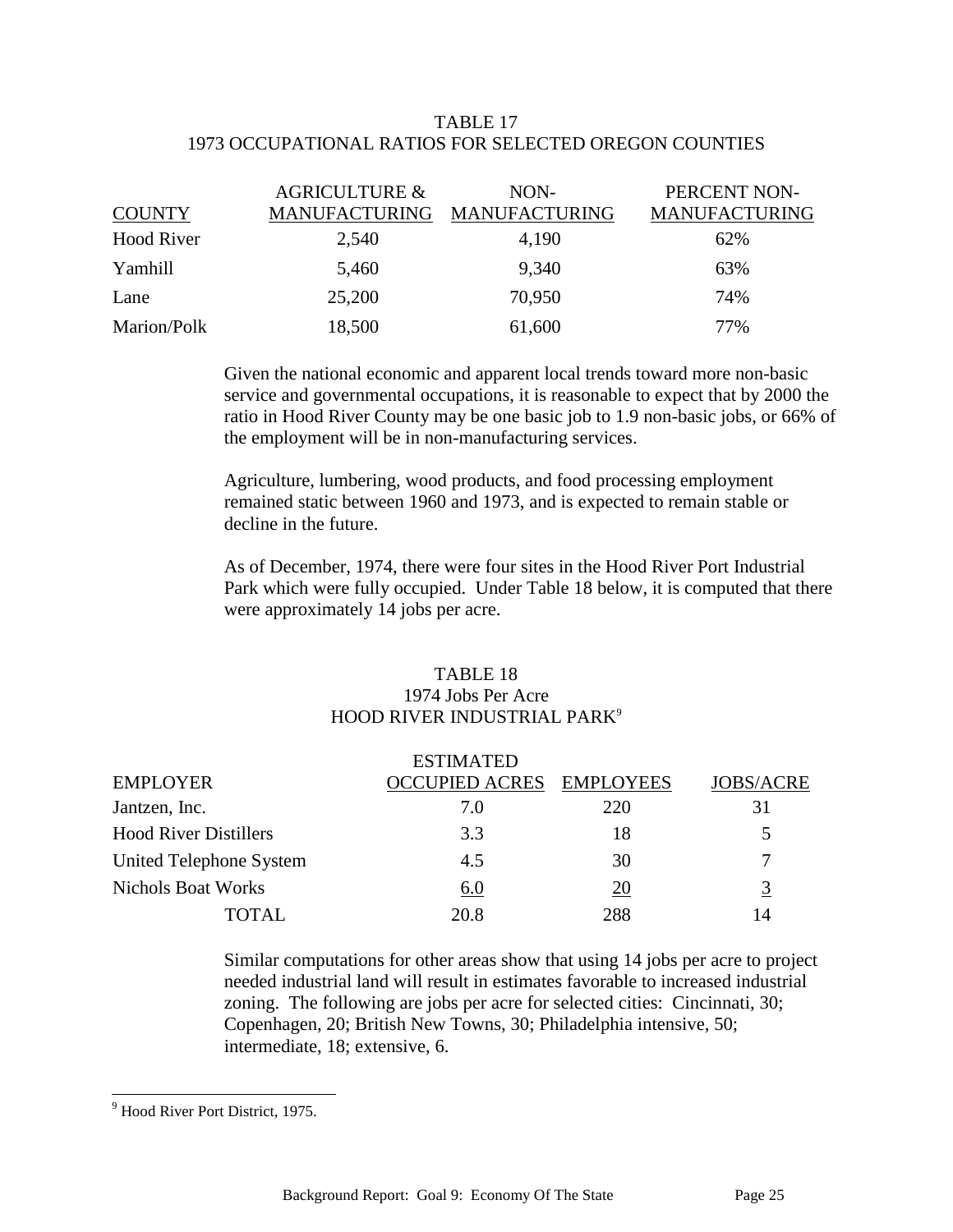### TABLE 17 1973 OCCUPATIONAL RATIOS FOR SELECTED OREGON COUNTIES

| <b>COUNTY</b>     | <b>AGRICULTURE &amp;</b><br><b>MANUFACTURING</b> | NON-<br>MANUFACTURING | PERCENT NON-<br><b>MANUFACTURING</b> |
|-------------------|--------------------------------------------------|-----------------------|--------------------------------------|
| <b>Hood River</b> | 2,540                                            | 4,190                 | 62%                                  |
| Yamhill           | 5,460                                            | 9,340                 | 63%                                  |
| Lane              | 25,200                                           | 70,950                | 74%                                  |
| Marion/Polk       | 18,500                                           | 61,600                | 77%                                  |

Given the national economic and apparent local trends toward more non-basic service and governmental occupations, it is reasonable to expect that by 2000 the ratio in Hood River County may be one basic job to 1.9 non-basic jobs, or 66% of the employment will be in non-manufacturing services.

Agriculture, lumbering, wood products, and food processing employment remained static between 1960 and 1973, and is expected to remain stable or decline in the future.

As of December, 1974, there were four sites in the Hood River Port Industrial Park which were fully occupied. Under Table 18 below, it is computed that there were approximately 14 jobs per acre.

### TABLE 18 1974 Jobs Per Acre HOOD RIVER INDUSTRIAL PARK<sup>9</sup>

|                              | <b>ESTIMATED</b>         |     |                  |
|------------------------------|--------------------------|-----|------------------|
| <b>EMPLOYER</b>              | OCCUPIED ACRES EMPLOYEES |     | <b>JOBS/ACRE</b> |
| Jantzen, Inc.                | 7.0                      | 220 | 31               |
| <b>Hood River Distillers</b> | 3.3                      | 18  | 5                |
| United Telephone System      | 4.5                      | 30  |                  |
| <b>Nichols Boat Works</b>    | 6.0                      | 20  | 3                |
| TOTAL.                       | 20.8                     | 288 | 14               |

Similar computations for other areas show that using 14 jobs per acre to project needed industrial land will result in estimates favorable to increased industrial zoning. The following are jobs per acre for selected cities: Cincinnati, 30; Copenhagen, 20; British New Towns, 30; Philadelphia intensive, 50; intermediate, 18; extensive, 6.

l

<sup>&</sup>lt;sup>9</sup> Hood River Port District, 1975.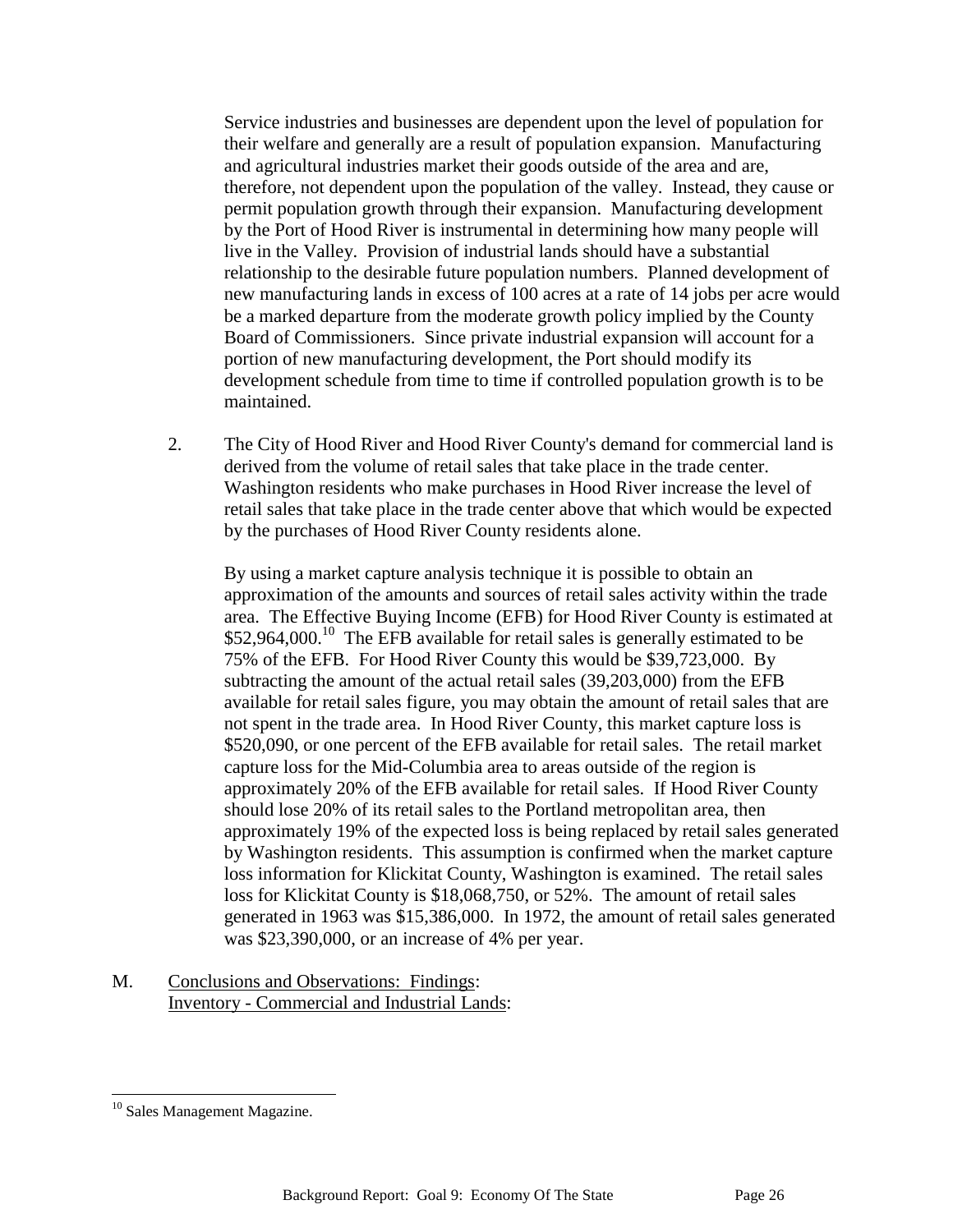Service industries and businesses are dependent upon the level of population for their welfare and generally are a result of population expansion. Manufacturing and agricultural industries market their goods outside of the area and are, therefore, not dependent upon the population of the valley. Instead, they cause or permit population growth through their expansion. Manufacturing development by the Port of Hood River is instrumental in determining how many people will live in the Valley. Provision of industrial lands should have a substantial relationship to the desirable future population numbers. Planned development of new manufacturing lands in excess of 100 acres at a rate of 14 jobs per acre would be a marked departure from the moderate growth policy implied by the County Board of Commissioners. Since private industrial expansion will account for a portion of new manufacturing development, the Port should modify its development schedule from time to time if controlled population growth is to be maintained.

2. The City of Hood River and Hood River County's demand for commercial land is derived from the volume of retail sales that take place in the trade center. Washington residents who make purchases in Hood River increase the level of retail sales that take place in the trade center above that which would be expected by the purchases of Hood River County residents alone.

By using a market capture analysis technique it is possible to obtain an approximation of the amounts and sources of retail sales activity within the trade area. The Effective Buying Income (EFB) for Hood River County is estimated at  $$52,964,000$ .<sup>10</sup> The EFB available for retail sales is generally estimated to be 75% of the EFB. For Hood River County this would be \$39,723,000. By subtracting the amount of the actual retail sales (39,203,000) from the EFB available for retail sales figure, you may obtain the amount of retail sales that are not spent in the trade area. In Hood River County, this market capture loss is \$520,090, or one percent of the EFB available for retail sales. The retail market capture loss for the Mid-Columbia area to areas outside of the region is approximately 20% of the EFB available for retail sales. If Hood River County should lose 20% of its retail sales to the Portland metropolitan area, then approximately 19% of the expected loss is being replaced by retail sales generated by Washington residents. This assumption is confirmed when the market capture loss information for Klickitat County, Washington is examined. The retail sales loss for Klickitat County is \$18,068,750, or 52%. The amount of retail sales generated in 1963 was \$15,386,000. In 1972, the amount of retail sales generated was \$23,390,000, or an increase of 4% per year.

M. Conclusions and Observations: Findings: Inventory - Commercial and Industrial Lands:

l

<sup>&</sup>lt;sup>10</sup> Sales Management Magazine.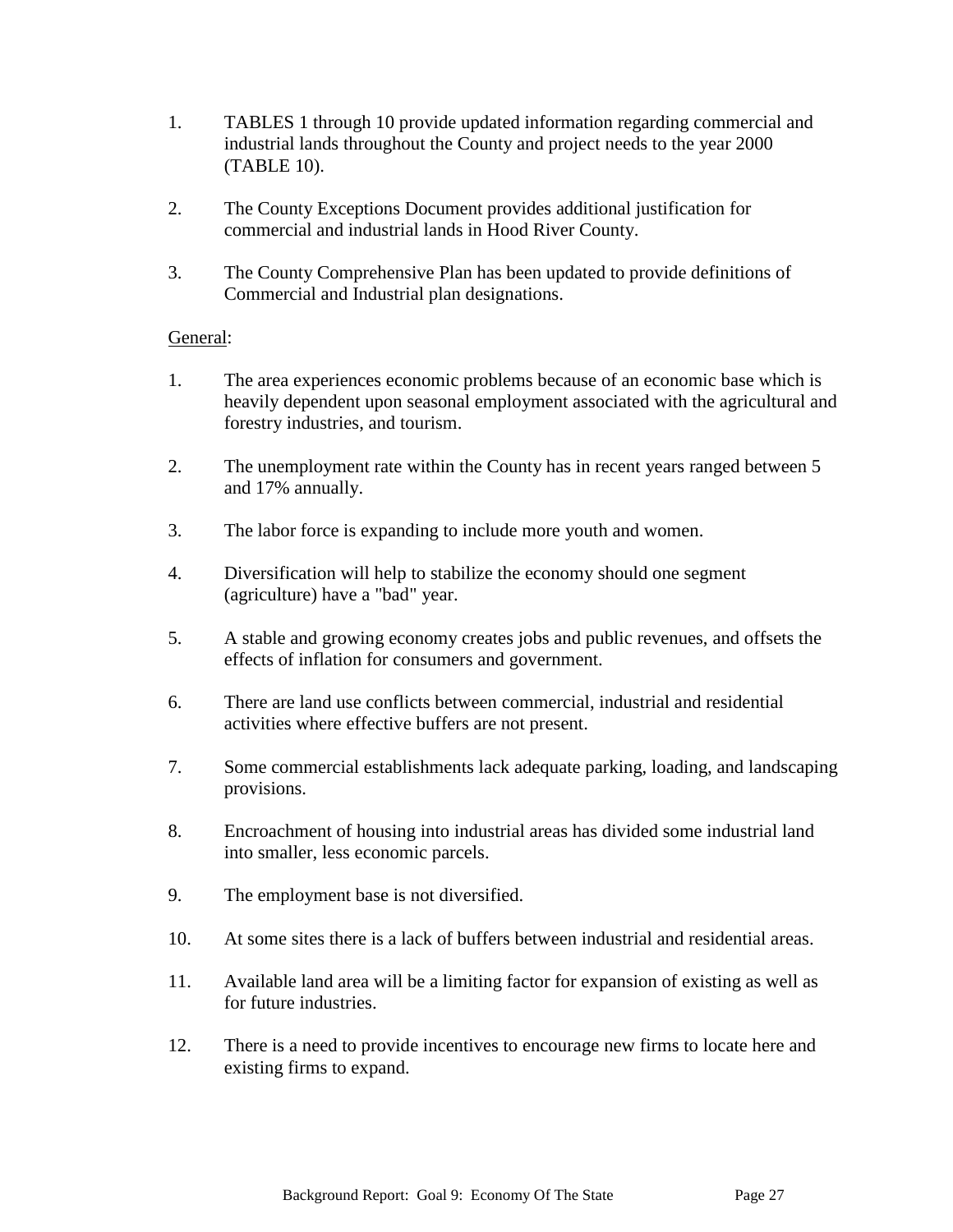- 1. TABLES 1 through 10 provide updated information regarding commercial and industrial lands throughout the County and project needs to the year 2000 (TABLE 10).
- 2. The County Exceptions Document provides additional justification for commercial and industrial lands in Hood River County.
- 3. The County Comprehensive Plan has been updated to provide definitions of Commercial and Industrial plan designations.

### General:

- 1. The area experiences economic problems because of an economic base which is heavily dependent upon seasonal employment associated with the agricultural and forestry industries, and tourism.
- 2. The unemployment rate within the County has in recent years ranged between 5 and 17% annually.
- 3. The labor force is expanding to include more youth and women.
- 4. Diversification will help to stabilize the economy should one segment (agriculture) have a "bad" year.
- 5. A stable and growing economy creates jobs and public revenues, and offsets the effects of inflation for consumers and government.
- 6. There are land use conflicts between commercial, industrial and residential activities where effective buffers are not present.
- 7. Some commercial establishments lack adequate parking, loading, and landscaping provisions.
- 8. Encroachment of housing into industrial areas has divided some industrial land into smaller, less economic parcels.
- 9. The employment base is not diversified.
- 10. At some sites there is a lack of buffers between industrial and residential areas.
- 11. Available land area will be a limiting factor for expansion of existing as well as for future industries.
- 12. There is a need to provide incentives to encourage new firms to locate here and existing firms to expand.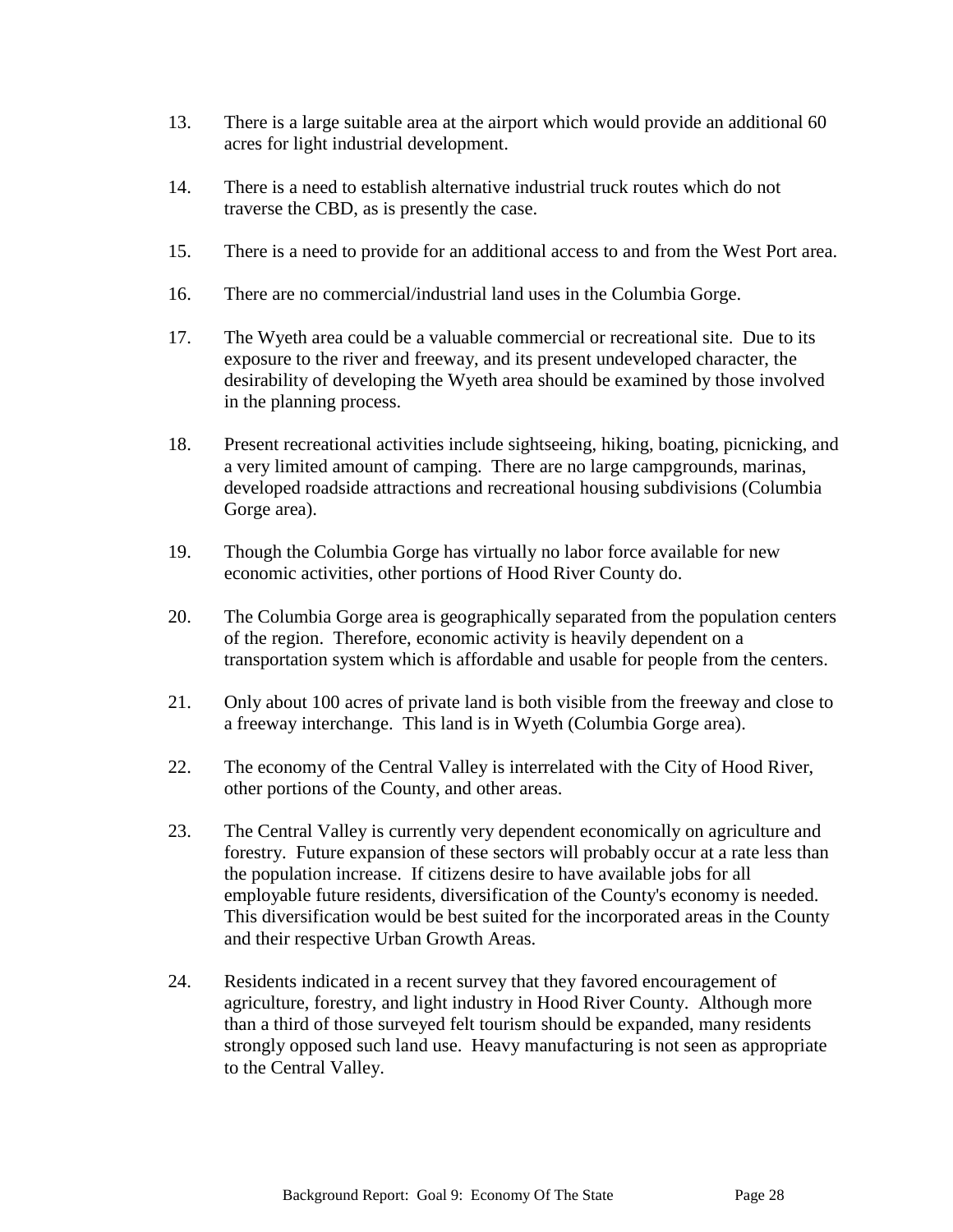- 13. There is a large suitable area at the airport which would provide an additional 60 acres for light industrial development.
- 14. There is a need to establish alternative industrial truck routes which do not traverse the CBD, as is presently the case.
- 15. There is a need to provide for an additional access to and from the West Port area.
- 16. There are no commercial/industrial land uses in the Columbia Gorge.
- 17. The Wyeth area could be a valuable commercial or recreational site. Due to its exposure to the river and freeway, and its present undeveloped character, the desirability of developing the Wyeth area should be examined by those involved in the planning process.
- 18. Present recreational activities include sightseeing, hiking, boating, picnicking, and a very limited amount of camping. There are no large campgrounds, marinas, developed roadside attractions and recreational housing subdivisions (Columbia Gorge area).
- 19. Though the Columbia Gorge has virtually no labor force available for new economic activities, other portions of Hood River County do.
- 20. The Columbia Gorge area is geographically separated from the population centers of the region. Therefore, economic activity is heavily dependent on a transportation system which is affordable and usable for people from the centers.
- 21. Only about 100 acres of private land is both visible from the freeway and close to a freeway interchange. This land is in Wyeth (Columbia Gorge area).
- 22. The economy of the Central Valley is interrelated with the City of Hood River, other portions of the County, and other areas.
- 23. The Central Valley is currently very dependent economically on agriculture and forestry. Future expansion of these sectors will probably occur at a rate less than the population increase. If citizens desire to have available jobs for all employable future residents, diversification of the County's economy is needed. This diversification would be best suited for the incorporated areas in the County and their respective Urban Growth Areas.
- 24. Residents indicated in a recent survey that they favored encouragement of agriculture, forestry, and light industry in Hood River County. Although more than a third of those surveyed felt tourism should be expanded, many residents strongly opposed such land use. Heavy manufacturing is not seen as appropriate to the Central Valley.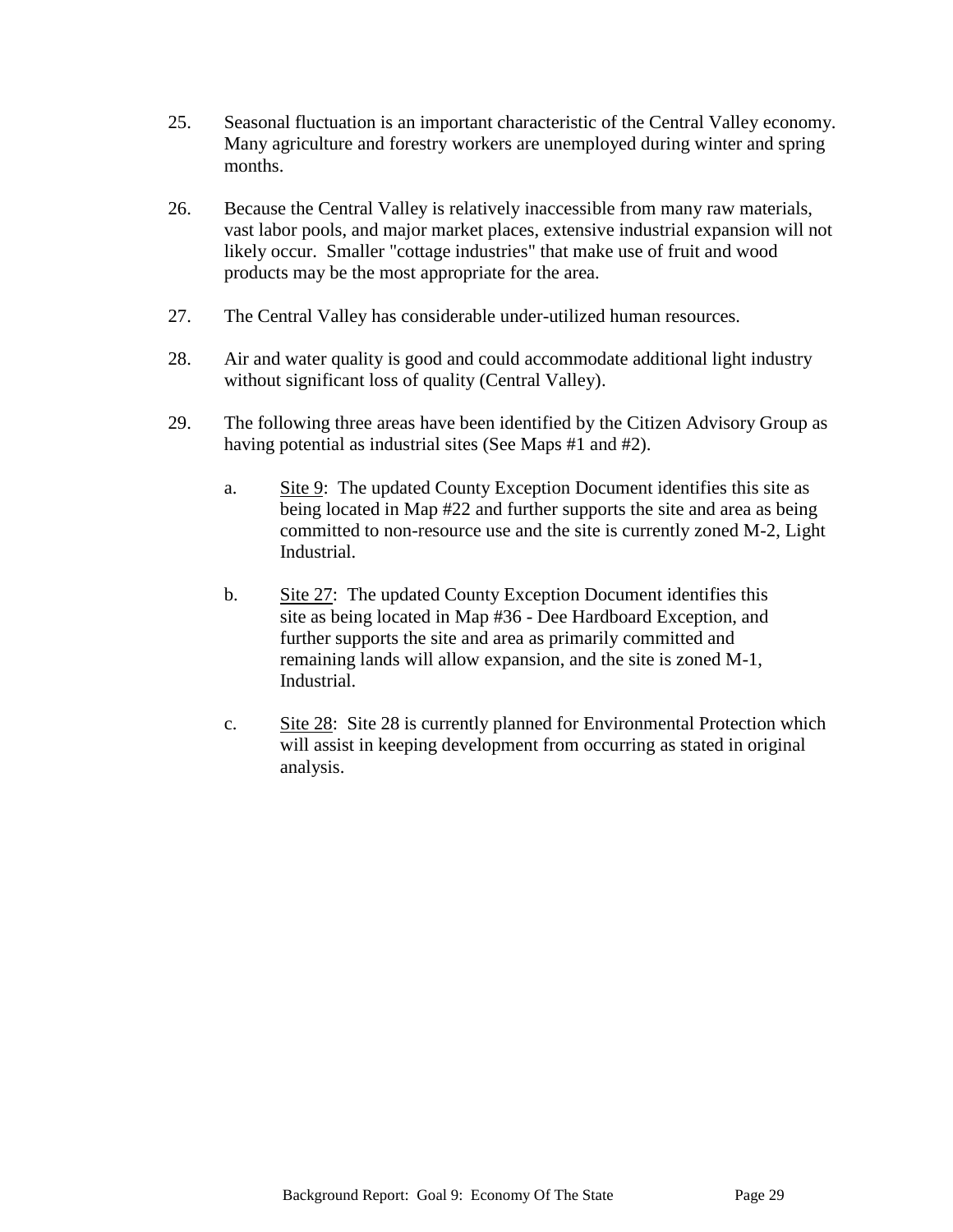- 25. Seasonal fluctuation is an important characteristic of the Central Valley economy. Many agriculture and forestry workers are unemployed during winter and spring months.
- 26. Because the Central Valley is relatively inaccessible from many raw materials, vast labor pools, and major market places, extensive industrial expansion will not likely occur. Smaller "cottage industries" that make use of fruit and wood products may be the most appropriate for the area.
- 27. The Central Valley has considerable under-utilized human resources.
- 28. Air and water quality is good and could accommodate additional light industry without significant loss of quality (Central Valley).
- 29. The following three areas have been identified by the Citizen Advisory Group as having potential as industrial sites (See Maps #1 and #2).
	- a. Site 9: The updated County Exception Document identifies this site as being located in Map #22 and further supports the site and area as being committed to non-resource use and the site is currently zoned M-2, Light Industrial.
	- b. Site 27: The updated County Exception Document identifies this site as being located in Map #36 - Dee Hardboard Exception, and further supports the site and area as primarily committed and remaining lands will allow expansion, and the site is zoned M-1, Industrial.
	- c. Site 28: Site 28 is currently planned for Environmental Protection which will assist in keeping development from occurring as stated in original analysis.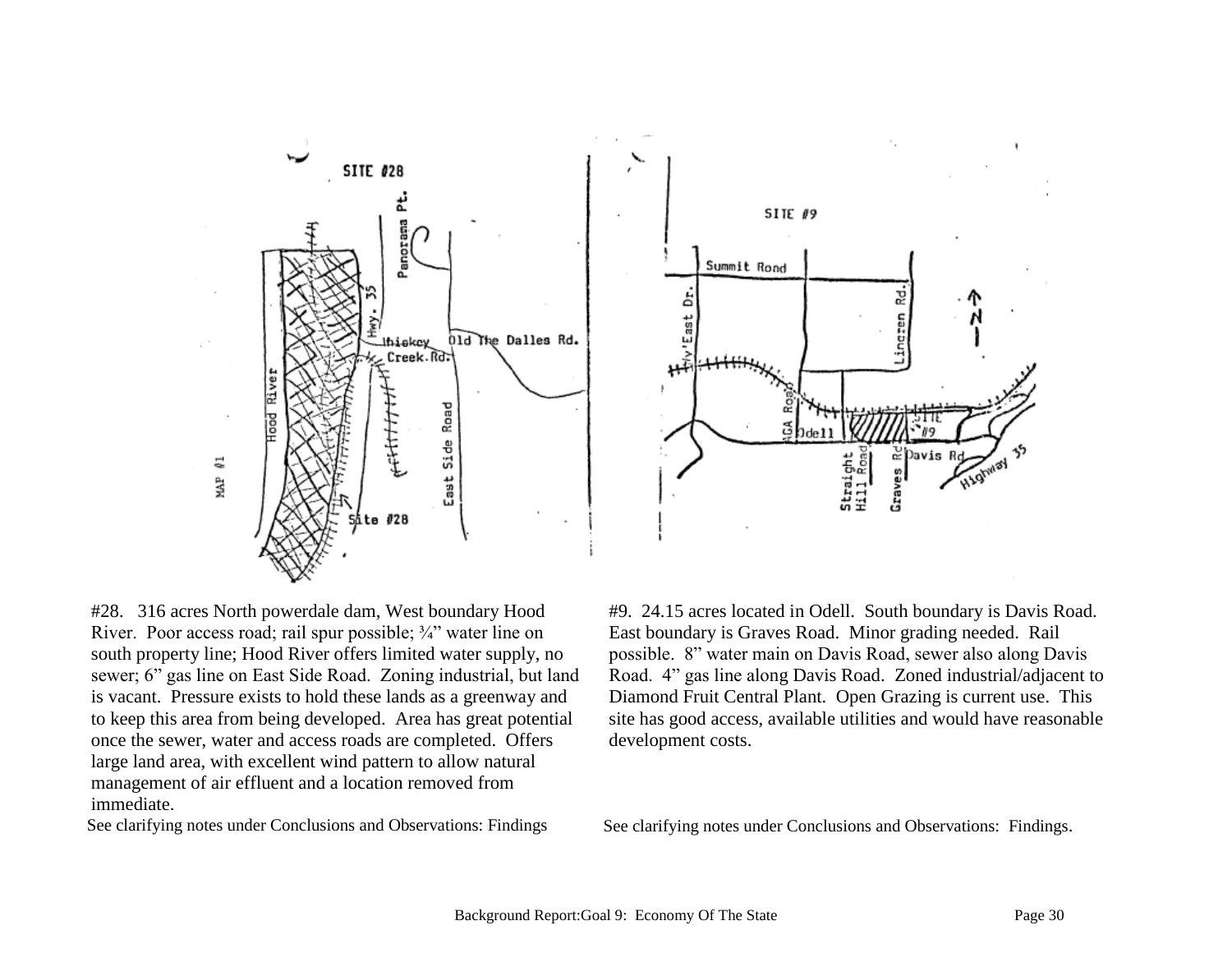



#28. 316 acres North powerdale dam, West boundary Hood River. Poor access road; rail spur possible;  $\frac{3}{4}$  water line on south property line; Hood River offers limited water supply, no sewer; 6" gas line on East Side Road. Zoning industrial, but land is vacant. Pressure exists to hold these lands as a greenway and to keep this area from being developed. Area has great potential once the sewer, water and access roads are completed. Offers large land area, with excellent wind pattern to allow natural management of air effluent and a location removed from immediate.

#9. 24.15 acres located in Odell. South boundary is Davis Road. East boundary is Graves Road. Minor grading needed. Rail possible. 8" water main on Davis Road, sewer also along Davis Road. 4" gas line along Davis Road. Zoned industrial/adjacent to Diamond Fruit Central Plant. Open Grazing is current use. This site has good access, available utilities and would have reasonable development costs.

See clarifying notes under Conclusions and Observations: Findings See clarifying notes under Conclusions and Observations: Findings.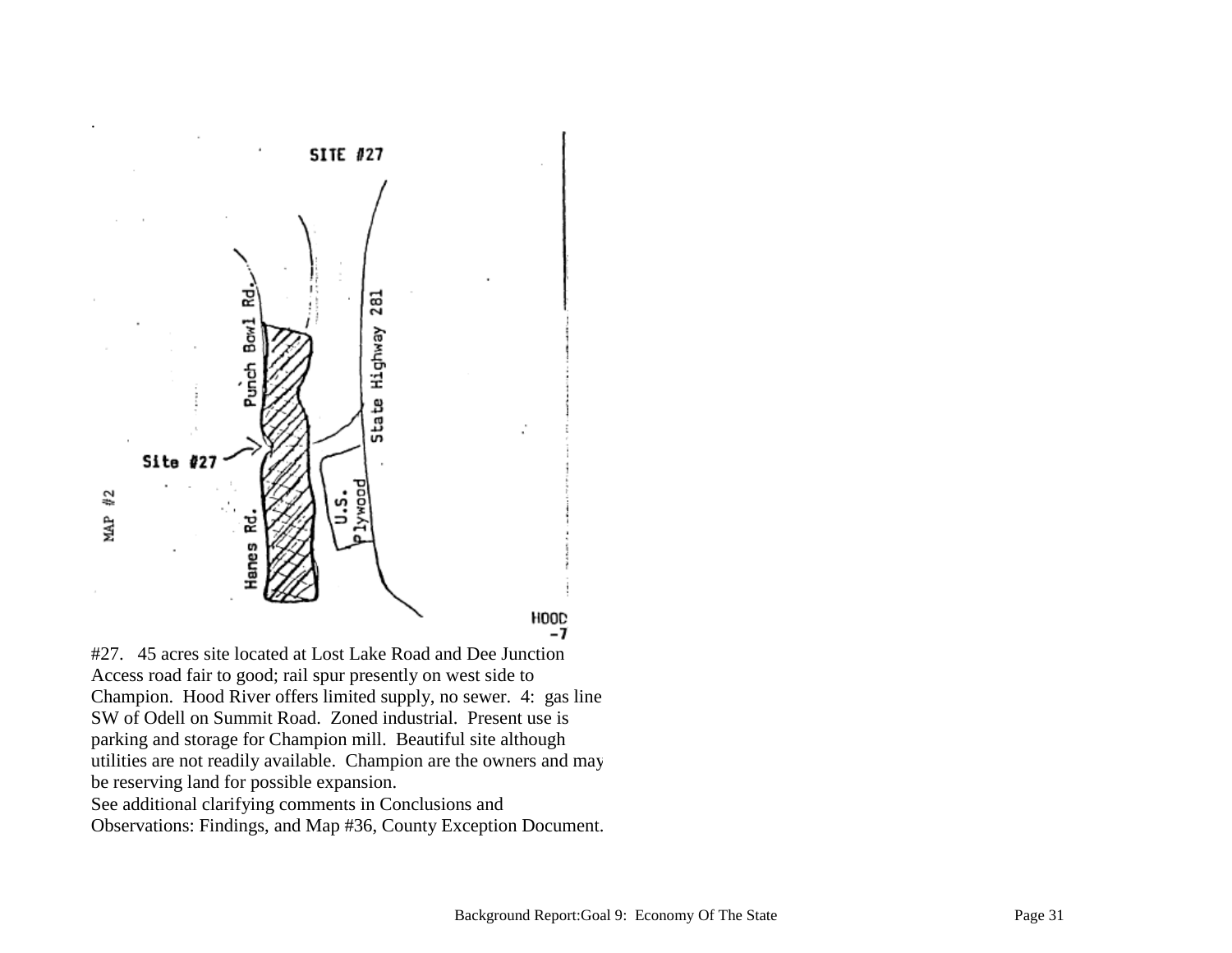

#27. 45 acres site located at Lost Lake Road and Dee Junction Access road fair to good; rail spur presently on west side to Champion. Hood River offers limited supply, no sewer. 4: gas line SW of Odell on Summit Road. Zoned industrial. Present use is parking and storage for Champion mill. Beautiful site although utilities are not readily available. Champion are the owners and may be reserving land for possible expansion. See additional clarifying comments in Conclusions and Observations: Findings, and Map #36, County Exception Document.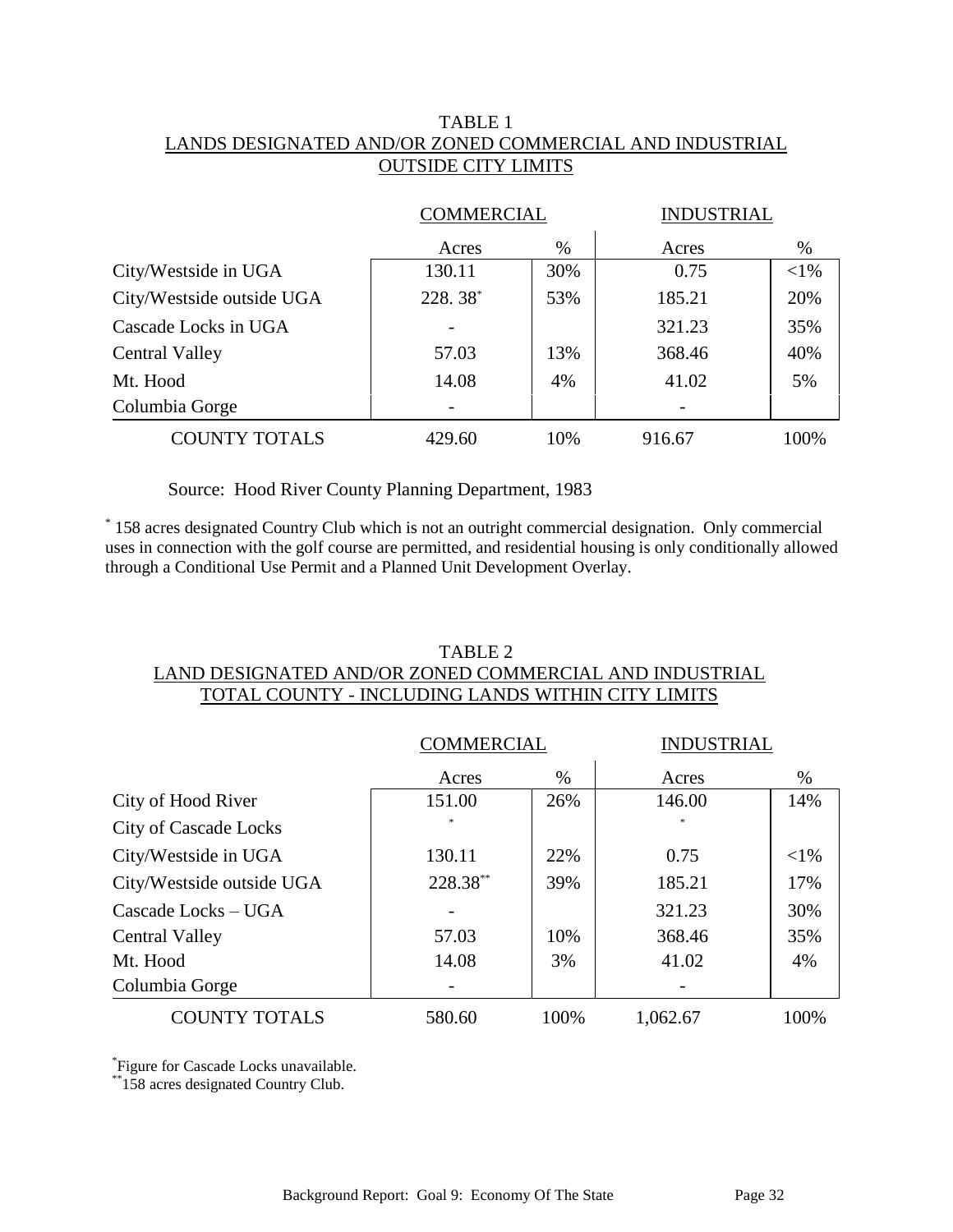## TABLE 1 LANDS DESIGNATED AND/OR ZONED COMMERCIAL AND INDUSTRIAL OUTSIDE CITY LIMITS

|                           | <b>COMMERCIAL</b> |     | <b>INDUSTRIAL</b> |        |
|---------------------------|-------------------|-----|-------------------|--------|
|                           | Acres             | %   | Acres             | $\%$   |
| City/Westside in UGA      | 130.11            | 30% | 0.75              | $<$ 1% |
| City/Westside outside UGA | $228.38^*$        | 53% | 185.21            | 20%    |
| Cascade Locks in UGA      |                   |     | 321.23            | 35%    |
| <b>Central Valley</b>     | 57.03             | 13% | 368.46            | 40%    |
| Mt. Hood                  | 14.08             | 4%  | 41.02             | 5%     |
| Columbia Gorge            |                   |     |                   |        |
| <b>COUNTY TOTALS</b>      | 429.60            | 10% | 916.67            | 100%   |

Source: Hood River County Planning Department, 1983

\* 158 acres designated Country Club which is not an outright commercial designation. Only commercial uses in connection with the golf course are permitted, and residential housing is only conditionally allowed through a Conditional Use Permit and a Planned Unit Development Overlay.

## TABLE 2

### LAND DESIGNATED AND/OR ZONED COMMERCIAL AND INDUSTRIAL TOTAL COUNTY - INCLUDING LANDS WITHIN CITY LIMITS

|                              | <b>COMMERCIAL</b> |      | <b>INDUSTRIAL</b> |          |
|------------------------------|-------------------|------|-------------------|----------|
|                              | Acres             | $\%$ | Acres             | $\%$     |
| City of Hood River           | 151.00            | 26%  | 146.00            | 14%      |
| <b>City of Cascade Locks</b> | $\ast$            |      | $\ast$            |          |
| City/Westside in UGA         | 130.11            | 22%  | 0.75              | ${<}1\%$ |
| City/Westside outside UGA    | 228.38**          | 39%  | 185.21            | 17%      |
| Cascade Locks – UGA          |                   |      | 321.23            | 30%      |
| <b>Central Valley</b>        | 57.03             | 10%  | 368.46            | 35%      |
| Mt. Hood                     | 14.08             | 3%   | 41.02             | 4%       |
| Columbia Gorge               |                   |      |                   |          |
| <b>COUNTY TOTALS</b>         | 580.60            | 100% | 1,062.67          | 100%     |

\* Figure for Cascade Locks unavailable.

\*\*158 acres designated Country Club.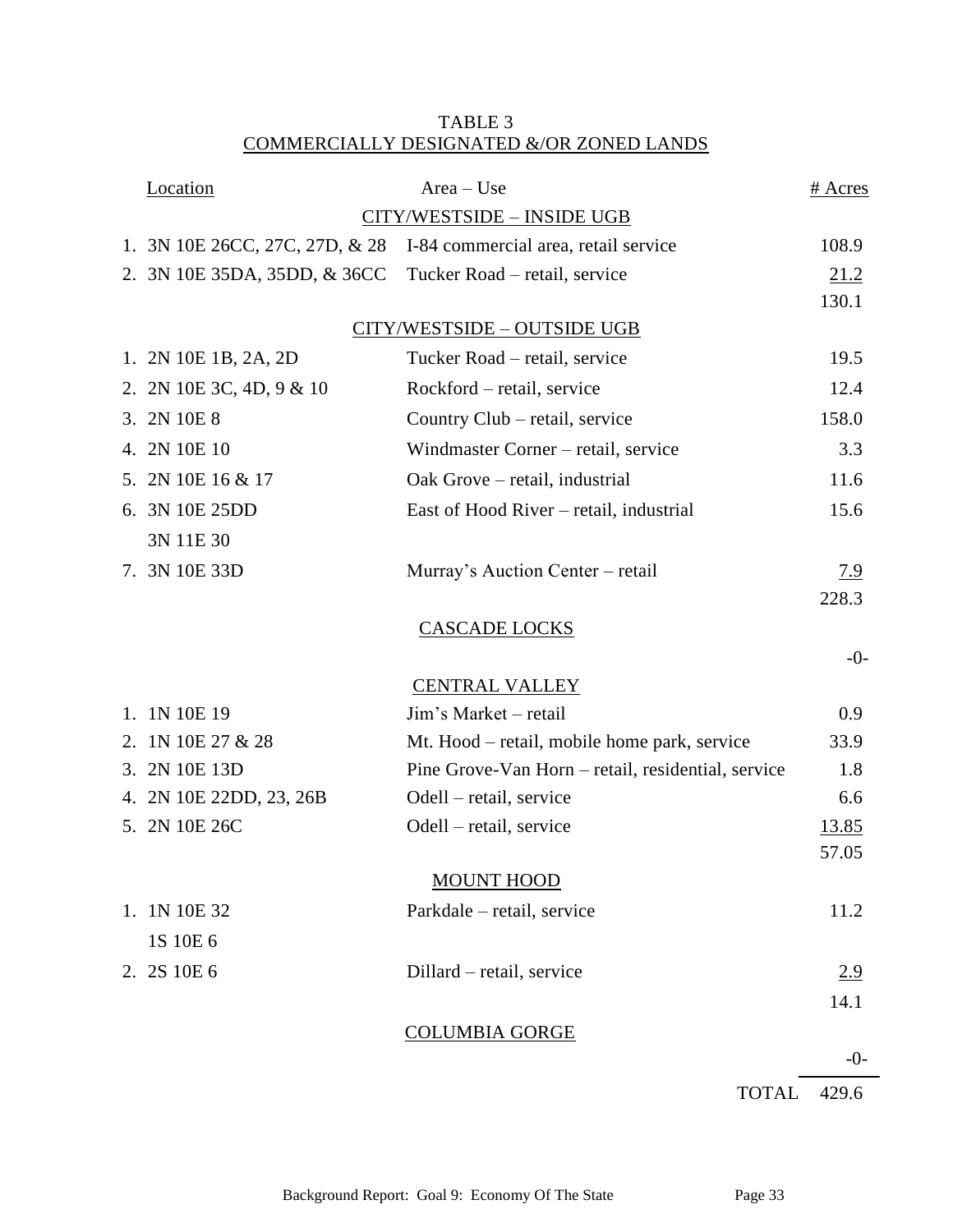# TABLE 3 COMMERCIALLY DESIGNATED &/OR ZONED LANDS

|    | Location                       | $Area - Use$                                       | # Acres      |  |  |  |
|----|--------------------------------|----------------------------------------------------|--------------|--|--|--|
|    | CITY/WESTSIDE - INSIDE UGB     |                                                    |              |  |  |  |
|    | 1. 3N 10E 26CC, 27C, 27D, & 28 | I-84 commercial area, retail service               | 108.9        |  |  |  |
|    | 2. 3N 10E 35DA, 35DD, & 36CC   | Tucker Road - retail, service                      | 21.2         |  |  |  |
|    |                                |                                                    | 130.1        |  |  |  |
|    |                                | CITY/WESTSIDE - OUTSIDE UGB                        |              |  |  |  |
|    | 1. 2N 10E 1B, 2A, 2D           | Tucker Road – retail, service                      | 19.5         |  |  |  |
|    | 2. 2N 10E 3C, 4D, 9 & 10       | Rockford – retail, service                         | 12.4         |  |  |  |
|    | 3. 2N 10E 8                    | Country Club – retail, service                     | 158.0        |  |  |  |
|    | 4. 2N 10E 10                   | Windmaster Corner – retail, service                | 3.3          |  |  |  |
|    | 5. 2N 10E 16 & 17              | Oak Grove – retail, industrial                     | 11.6         |  |  |  |
|    | 6. 3N 10E 25DD                 | East of Hood River – retail, industrial            | 15.6         |  |  |  |
|    | 3N 11E 30                      |                                                    |              |  |  |  |
|    | 7. 3N 10E 33D                  | Murray's Auction Center - retail                   | <u>7.9</u>   |  |  |  |
|    |                                |                                                    | 228.3        |  |  |  |
|    |                                | <b>CASCADE LOCKS</b>                               |              |  |  |  |
|    |                                |                                                    | $-0-$        |  |  |  |
|    |                                | <b>CENTRAL VALLEY</b>                              |              |  |  |  |
| 1. | 1N 10E 19                      | Jim's Market – retail                              | 0.9          |  |  |  |
| 2. | 1N 10E 27 & 28                 | Mt. Hood – retail, mobile home park, service       | 33.9         |  |  |  |
|    | 3. 2N 10E 13D                  | Pine Grove-Van Horn – retail, residential, service | 1.8          |  |  |  |
|    | 4. 2N 10E 22DD, 23, 26B        | Odell – retail, service                            | 6.6          |  |  |  |
|    | 5. 2N 10E 26C                  | Odell – retail, service                            | <u>13.85</u> |  |  |  |
|    |                                |                                                    | 57.05        |  |  |  |
|    |                                | <b>MOUNT HOOD</b>                                  |              |  |  |  |
|    | 1. 1N 10E 32                   | Parkdale - retail, service                         | 11.2         |  |  |  |
|    | 1S 10E 6                       |                                                    |              |  |  |  |
|    | 2. 2S 10E 6                    | Dillard – retail, service                          | 2.9          |  |  |  |
|    |                                |                                                    | 14.1         |  |  |  |
|    |                                | <b>COLUMBIA GORGE</b>                              |              |  |  |  |
|    |                                |                                                    | $-0-$        |  |  |  |
|    |                                | <b>TOTAL</b>                                       | 429.6        |  |  |  |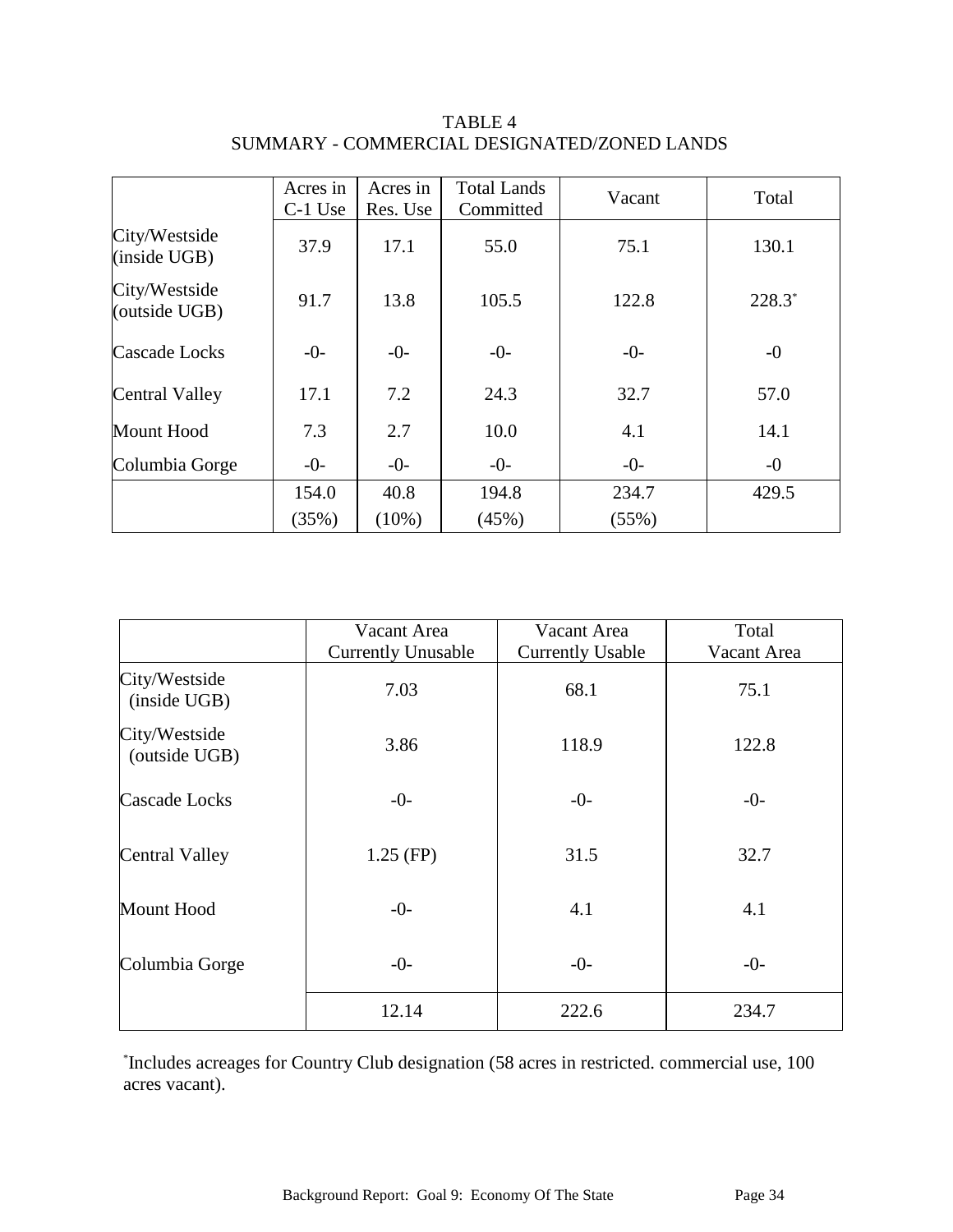|                                | Acres in<br>C-1 Use | Acres in<br>Res. Use | <b>Total Lands</b><br>Committed | Vacant | Total    |
|--------------------------------|---------------------|----------------------|---------------------------------|--------|----------|
| City/Westside<br>(inside UGB)  | 37.9                | 17.1                 | 55.0                            | 75.1   | 130.1    |
| City/Westside<br>(outside UGB) | 91.7                | 13.8                 | 105.5                           | 122.8  | $228.3*$ |
| Cascade Locks                  | $-0-$               | $-0-$                | $-0-$                           | $-0-$  | $-0$     |
| Central Valley                 | 17.1                | 7.2                  | 24.3                            | 32.7   | 57.0     |
| Mount Hood                     | 7.3                 | 2.7                  | 10.0                            | 4.1    | 14.1     |
| Columbia Gorge                 | $-0-$               | $-0-$                | $-0-$                           | $-0-$  | $-0$     |
|                                | 154.0               | 40.8                 | 194.8                           | 234.7  | 429.5    |
|                                | (35%)               | $(10\%)$             | (45%)                           | (55%)  |          |

TABLE 4 SUMMARY - COMMERCIAL DESIGNATED/ZONED LANDS

|                                | Vacant Area               | Vacant Area             | Total       |
|--------------------------------|---------------------------|-------------------------|-------------|
|                                | <b>Currently Unusable</b> | <b>Currently Usable</b> | Vacant Area |
| City/Westside<br>(inside UGB)  | 7.03                      | 68.1                    | 75.1        |
| City/Westside<br>(outside UGB) | 3.86                      | 118.9                   | 122.8       |
| Cascade Locks                  | $-0-$                     | $-0-$                   | $-0-$       |
| <b>Central Valley</b>          | $1.25$ (FP)               | 31.5                    | 32.7        |
| Mount Hood                     | $-0-$                     | 4.1                     | 4.1         |
| Columbia Gorge                 | $-0-$                     | $-0-$                   | $-0-$       |
|                                | 12.14                     | 222.6                   | 234.7       |

\* Includes acreages for Country Club designation (58 acres in restricted. commercial use, 100 acres vacant).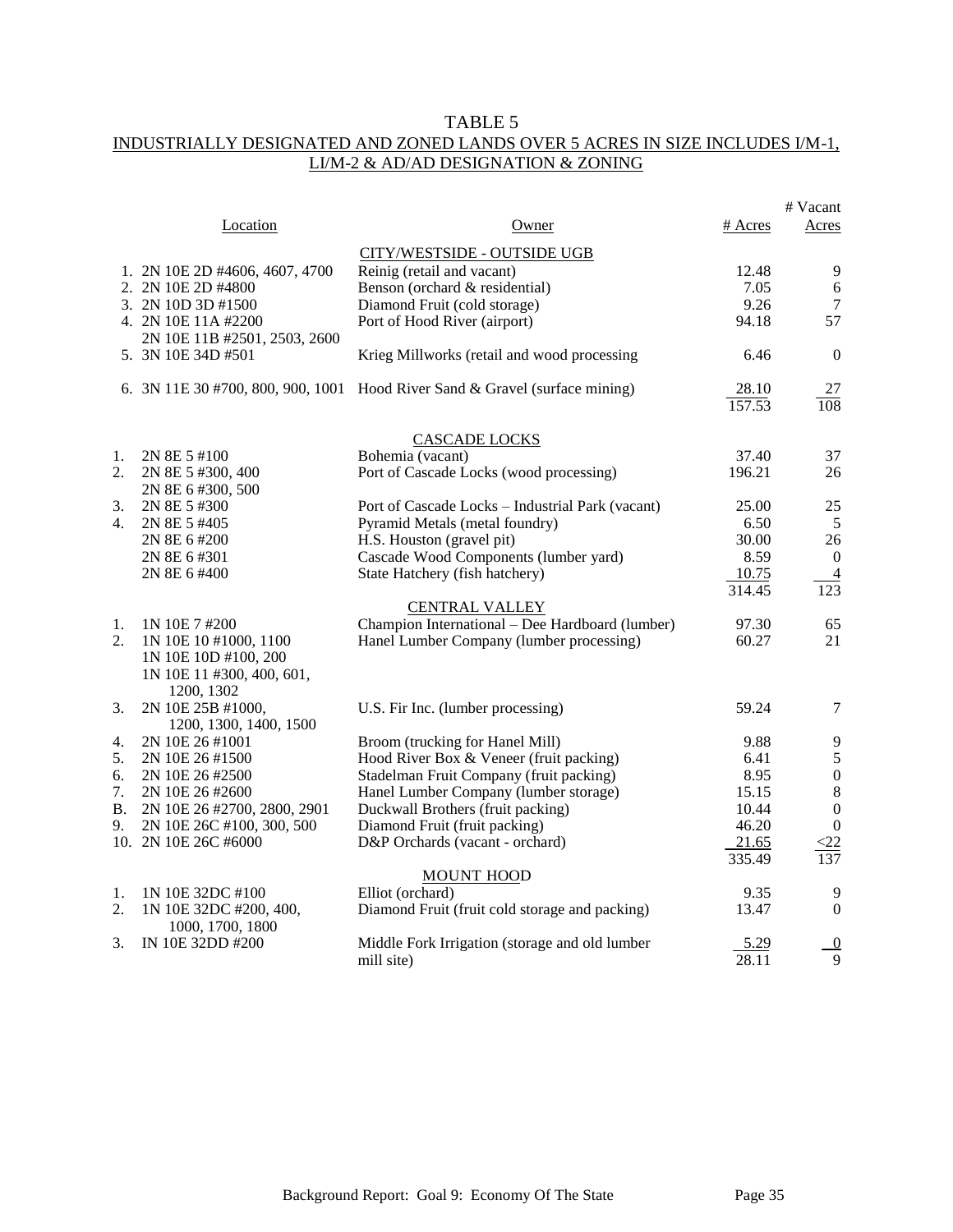### TABLE 5 INDUSTRIALLY DESIGNATED AND ZONED LANDS OVER 5 ACRES IN SIZE INCLUDES I/M-1, LI/M-2 & AD/AD DESIGNATION & ZONING

|    |                                             |                                                                             |         | # Vacant                         |
|----|---------------------------------------------|-----------------------------------------------------------------------------|---------|----------------------------------|
|    | Location                                    | Owner                                                                       | # Acres | Acres                            |
|    |                                             | CITY/WESTSIDE - OUTSIDE UGB                                                 |         |                                  |
|    | 1. 2N 10E 2D #4606, 4607, 4700              | Reinig (retail and vacant)                                                  | 12.48   | 9                                |
|    | 2. 2N 10E 2D #4800                          | Benson (orchard & residential)                                              | 7.05    | 6                                |
|    | 3. 2N 10D 3D #1500                          | Diamond Fruit (cold storage)                                                | 9.26    | 7                                |
|    | 4. 2N 10E 11A #2200                         | Port of Hood River (airport)                                                | 94.18   | 57                               |
|    | 2N 10E 11B #2501, 2503, 2600                |                                                                             |         |                                  |
|    | 5. 3N 10E 34D #501                          | Krieg Millworks (retail and wood processing                                 | 6.46    | $\overline{0}$                   |
|    |                                             | 6. 3N 11E 30 #700, 800, 900, 1001 Hood River Sand & Gravel (surface mining) | 28.10   | 27                               |
|    |                                             |                                                                             | 157.53  | $\overline{108}$                 |
|    |                                             |                                                                             |         |                                  |
|    |                                             | <b>CASCADE LOCKS</b>                                                        |         |                                  |
| 1. | 2N 8E 5 #100                                | Bohemia (vacant)                                                            | 37.40   | 37                               |
| 2. | 2N 8E 5 #300, 400<br>2N 8E 6 #300, 500      | Port of Cascade Locks (wood processing)                                     | 196.21  | 26                               |
| 3. | 2N 8E 5 #300                                | Port of Cascade Locks - Industrial Park (vacant)                            | 25.00   | 25                               |
| 4. | 2N 8E 5 #405                                | Pyramid Metals (metal foundry)                                              | 6.50    | 5                                |
|    | 2N 8E 6 #200                                | H.S. Houston (gravel pit)                                                   | 30.00   | 26                               |
|    | 2N 8E 6 #301                                | Cascade Wood Components (lumber yard)                                       | 8.59    | $\overline{0}$                   |
|    | 2N 8E 6 #400                                | State Hatchery (fish hatchery)                                              | 10.75   |                                  |
|    |                                             |                                                                             | 314.45  | $\overline{4}$<br>$\frac{1}{23}$ |
|    |                                             |                                                                             |         |                                  |
| 1. | 1N 10E 7 #200                               | <b>CENTRAL VALLEY</b><br>Champion International - Dee Hardboard (lumber)    | 97.30   | 65                               |
| 2. | 1N 10E 10 #1000, 1100                       | Hanel Lumber Company (lumber processing)                                    | 60.27   | 21                               |
|    | 1N 10E 10D #100, 200                        |                                                                             |         |                                  |
|    |                                             |                                                                             |         |                                  |
|    | 1N 10E 11 #300, 400, 601,<br>1200, 1302     |                                                                             |         |                                  |
|    |                                             |                                                                             | 59.24   | $\tau$                           |
| 3. | 2N 10E 25B #1000,<br>1200, 1300, 1400, 1500 | U.S. Fir Inc. (lumber processing)                                           |         |                                  |
| 4. | 2N 10E 26 #1001                             | Broom (trucking for Hanel Mill)                                             | 9.88    | 9                                |
| 5. | 2N 10E 26 #1500                             | Hood River Box & Veneer (fruit packing)                                     | 6.41    | $\mathfrak s$                    |
| 6. | 2N 10E 26 #2500                             | Stadelman Fruit Company (fruit packing)                                     | 8.95    | $\boldsymbol{0}$                 |
| 7. | 2N 10E 26 #2600                             | Hanel Lumber Company (lumber storage)                                       | 15.15   | $\,8\,$                          |
| В. | 2N 10E 26 #2700, 2800, 2901                 | Duckwall Brothers (fruit packing)                                           | 10.44   | $\boldsymbol{0}$                 |
| 9. | 2N 10E 26C #100, 300, 500                   | Diamond Fruit (fruit packing)                                               | 46.20   | $\boldsymbol{0}$                 |
|    | 10. 2N 10E 26C #6000                        | D&P Orchards (vacant - orchard)                                             | 21.65   | $\leq$ 22                        |
|    |                                             |                                                                             | 335.49  | 137                              |
|    |                                             | <b>MOUNT HOOD</b>                                                           |         |                                  |
| 1. | 1N 10E 32DC #100                            | Elliot (orchard)                                                            | 9.35    | 9                                |
| 2. | 1N 10E 32DC #200, 400,                      | Diamond Fruit (fruit cold storage and packing)                              | 13.47   | $\mathbf{0}$                     |
|    | 1000, 1700, 1800                            |                                                                             |         |                                  |
| 3. | IN 10E 32DD #200                            | Middle Fork Irrigation (storage and old lumber                              | 5.29    | $\overline{0}$                   |
|    |                                             | mill site)                                                                  | 28.11   | 9                                |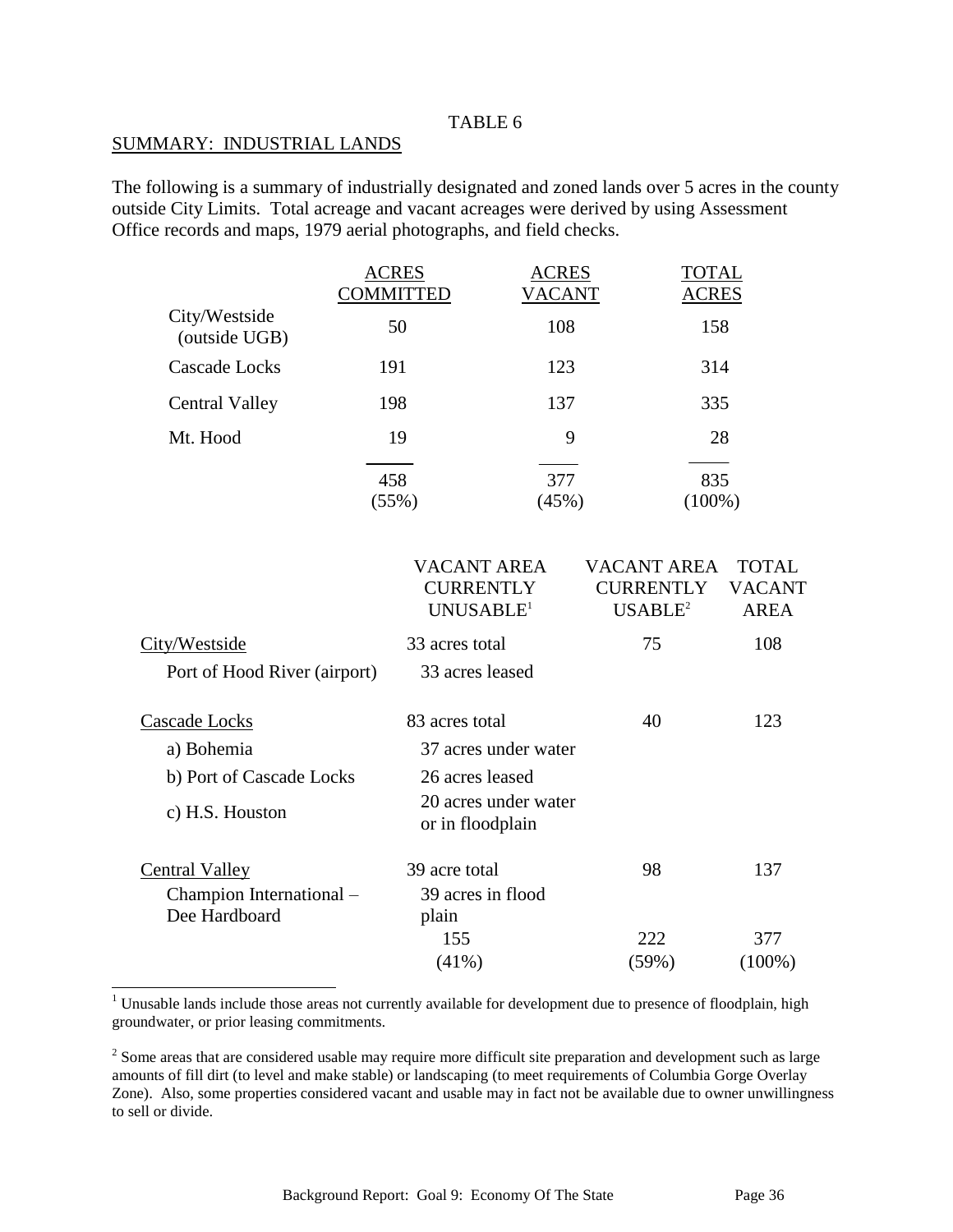#### TABLE 6

#### SUMMARY: INDUSTRIAL LANDS

 $\overline{a}$ 

The following is a summary of industrially designated and zoned lands over 5 acres in the county outside City Limits. Total acreage and vacant acreages were derived by using Assessment Office records and maps, 1979 aerial photographs, and field checks.

|                                | <b>ACRES</b><br><b>COMMITTED</b> | <b>ACRES</b><br><b>VACANT</b> | <b>TOTAL</b><br><b>ACRES</b> |
|--------------------------------|----------------------------------|-------------------------------|------------------------------|
| City/Westside<br>(outside UGB) | 50                               | 108                           | 158                          |
| Cascade Locks                  | 191                              | 123                           | 314                          |
| <b>Central Valley</b>          | 198                              | 137                           | 335                          |
| Mt. Hood                       | 19                               | 9                             | 28                           |
|                                | 458<br>(55%)                     | 377<br>(45%)                  | 835<br>$(100\%)$             |

|                              | VACANT AREA<br><b>CURRENTLY</b><br>UNUSABLE <sup>1</sup> | VACANT AREA<br><b>CURRENTLY</b><br>USABLE <sup>2</sup> | <b>TOTAL</b><br><b>VACANT</b><br><b>AREA</b> |
|------------------------------|----------------------------------------------------------|--------------------------------------------------------|----------------------------------------------|
| City/Westside                | 33 acres total                                           | 75                                                     | 108                                          |
| Port of Hood River (airport) | 33 acres leased                                          |                                                        |                                              |
| Cascade Locks                | 83 acres total                                           | 40                                                     | 123                                          |
| a) Bohemia                   | 37 acres under water                                     |                                                        |                                              |
| b) Port of Cascade Locks     | 26 acres leased                                          |                                                        |                                              |
| c) H.S. Houston              | 20 acres under water<br>or in floodplain                 |                                                        |                                              |
| Central Valley               | 39 acre total                                            | 98                                                     | 137                                          |
| Champion International -     | 39 acres in flood                                        |                                                        |                                              |
| Dee Hardboard                | plain                                                    |                                                        |                                              |
|                              | 155                                                      | 222                                                    | 377                                          |
|                              | (41%)                                                    | (59%)                                                  | $(100\%)$                                    |

<sup>1</sup> Unusable lands include those areas not currently available for development due to presence of floodplain, high groundwater, or prior leasing commitments.

 $2^2$  Some areas that are considered usable may require more difficult site preparation and development such as large amounts of fill dirt (to level and make stable) or landscaping (to meet requirements of Columbia Gorge Overlay Zone). Also, some properties considered vacant and usable may in fact not be available due to owner unwillingness to sell or divide.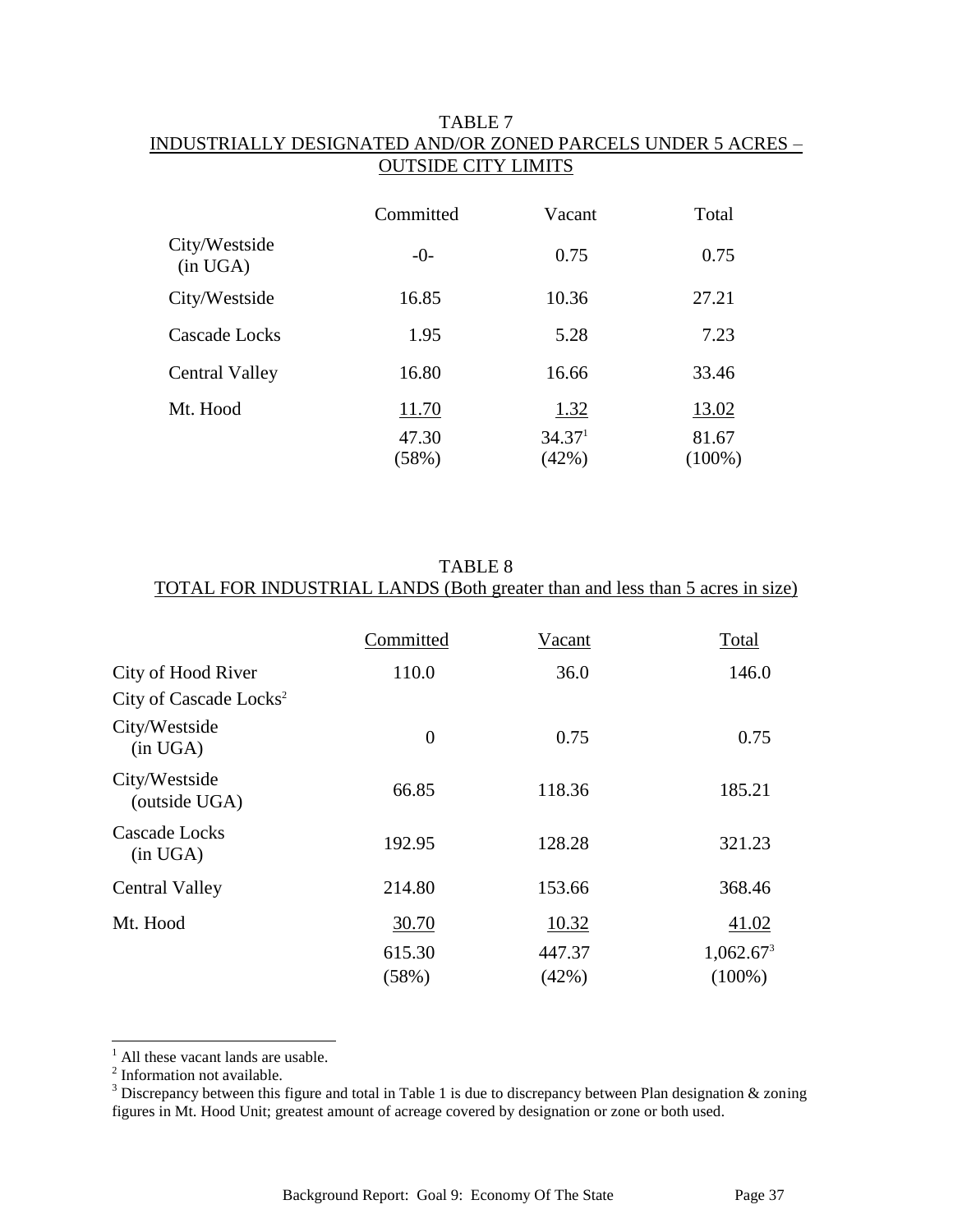### TABLE 7 INDUSTRIALLY DESIGNATED AND/OR ZONED PARCELS UNDER 5 ACRES – OUTSIDE CITY LIMITS

|                           | Committed      | Vacant                            | Total          |
|---------------------------|----------------|-----------------------------------|----------------|
| City/Westside<br>(in UGA) | $-0-$          | 0.75                              | 0.75           |
| City/Westside             | 16.85          | 10.36                             | 27.21          |
| Cascade Locks             | 1.95           | 5.28                              | 7.23           |
| Central Valley            | 16.80          | 16.66                             | 33.46          |
| Mt. Hood                  | 11.70<br>47.30 | <u>1.32</u><br>34.37 <sup>1</sup> | 13.02<br>81.67 |
|                           | (58%)          | (42%)                             | $(100\%)$      |

TABLE 8 TOTAL FOR INDUSTRIAL LANDS (Both greater than and less than 5 acres in size)

|                                    | Committed      | Vacant | Total                 |
|------------------------------------|----------------|--------|-----------------------|
| City of Hood River                 | 110.0          | 36.0   | 146.0                 |
| City of Cascade Locks <sup>2</sup> |                |        |                       |
| City/Westside<br>(in UGA)          | $\overline{0}$ | 0.75   | 0.75                  |
| City/Westside<br>(outside UGA)     | 66.85          | 118.36 | 185.21                |
| <b>Cascade Locks</b><br>(in UGA)   | 192.95         | 128.28 | 321.23                |
| <b>Central Valley</b>              | 214.80         | 153.66 | 368.46                |
| Mt. Hood                           | 30.70          | 10.32  | 41.02                 |
|                                    | 615.30         | 447.37 | 1,062.67 <sup>3</sup> |
|                                    | (58%)          | (42%)  | $(100\%)$             |

<sup>1</sup> All these vacant lands are usable.<sup>2</sup> Information not available.

 $\overline{a}$ 

<sup>&</sup>lt;sup>3</sup> Discrepancy between this figure and total in Table 1 is due to discrepancy between Plan designation  $\&$  zoning figures in Mt. Hood Unit; greatest amount of acreage covered by designation or zone or both used.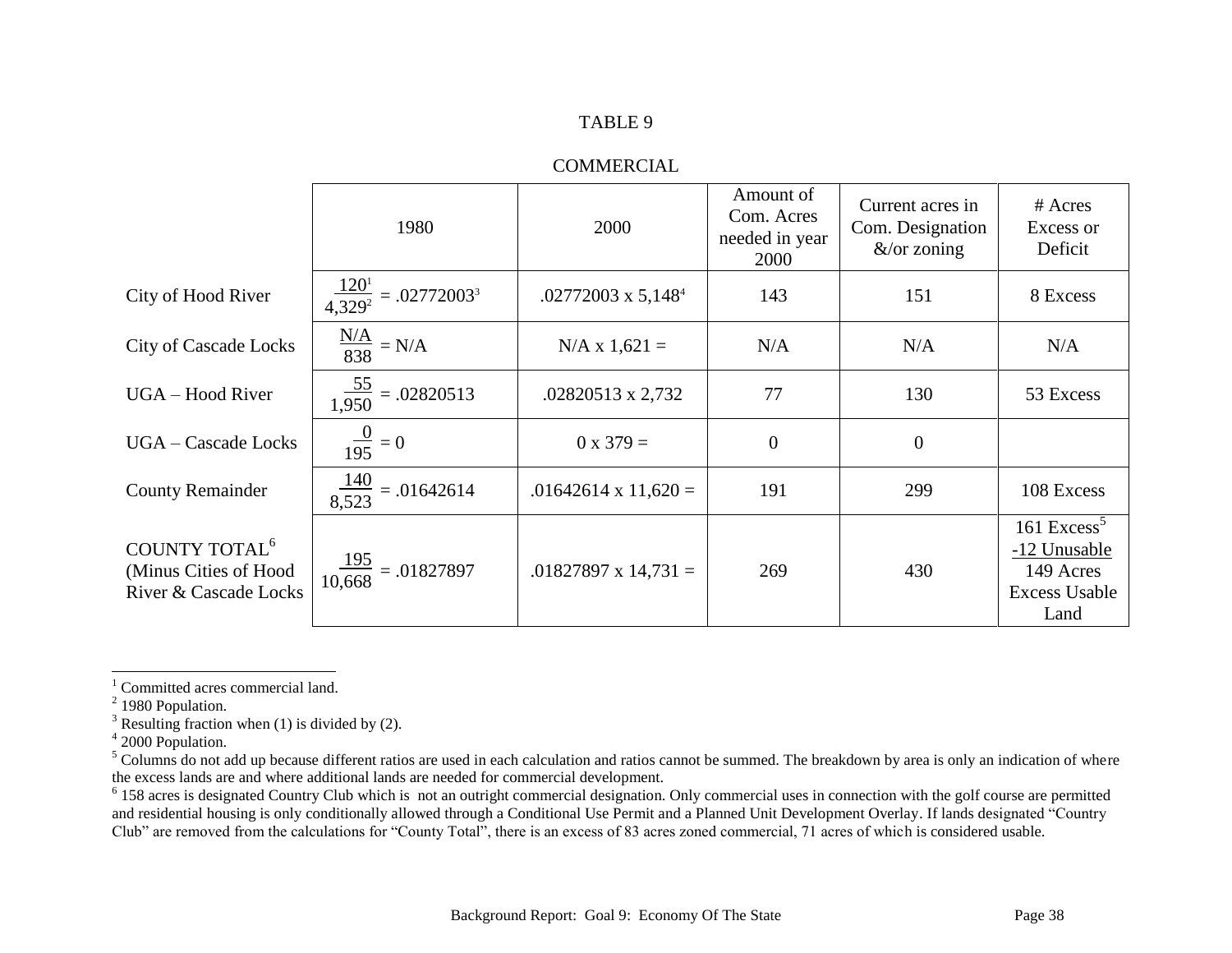### TABLE 9

### COMMERCIAL

|                                                                             | 1980                                        | 2000                        | Amount of<br>Com. Acres<br>needed in year<br>2000 | Current acres in<br>Com. Designation<br>$&\sqrt{\text{or} z}$ oning | # Acres<br>Excess or<br>Deficit                                             |
|-----------------------------------------------------------------------------|---------------------------------------------|-----------------------------|---------------------------------------------------|---------------------------------------------------------------------|-----------------------------------------------------------------------------|
| City of Hood River                                                          | $\frac{120^{1}}{4.329^{2}} = .02772003^{3}$ | $.02772003 \times 5,148^4$  | 143                                               | 151                                                                 | 8 Excess                                                                    |
| <b>City of Cascade Locks</b>                                                | $\frac{N/A}{838} = N/A$                     | $N/A \times 1,621 =$        | N/A                                               | N/A                                                                 | N/A                                                                         |
| UGA - Hood River                                                            | $\frac{55}{1,950} = .02820513$              | .02820513 x 2,732           | 77                                                | 130                                                                 | 53 Excess                                                                   |
| <b>UGA</b> – Cascade Locks                                                  | $\frac{0}{195} = 0$                         | $0 \times 379 =$            | $\boldsymbol{0}$                                  | $\overline{0}$                                                      |                                                                             |
| <b>County Remainder</b>                                                     | $\frac{140}{8.523} = .01642614$             | $.01642614 \times 11,620 =$ | 191                                               | 299                                                                 | 108 Excess                                                                  |
| COUNTY TOTAL <sup>6</sup><br>(Minus Cities of Hood<br>River & Cascade Locks | $\frac{195}{10,668} = .01827897$            | $.01827897 \times 14,731 =$ | 269                                               | 430                                                                 | 161 Excess $5$<br>-12 Unusable<br>149 Acres<br><b>Excess Usable</b><br>Land |

l

<sup>&</sup>lt;sup>1</sup> Committed acres commercial land.

 $2$  1980 Population.

 $3$  Resulting fraction when (1) is divided by (2).

<sup>4</sup> 2000 Population.

<sup>&</sup>lt;sup>5</sup> Columns do not add up because different ratios are used in each calculation and ratios cannot be summed. The breakdown by area is only an indication of where the excess lands are and where additional lands are needed for commercial development.

 $6$  158 acres is designated Country Club which is not an outright commercial designation. Only commercial uses in connection with the golf course are permitted and residential housing is only conditionally allowed through a Conditional Use Permit and a Planned Unit Development Overlay. If lands designated "Country Club" are removed from the calculations for "County Total", there is an excess of 83 acres zoned commercial, 71 acres of which is considered usable.